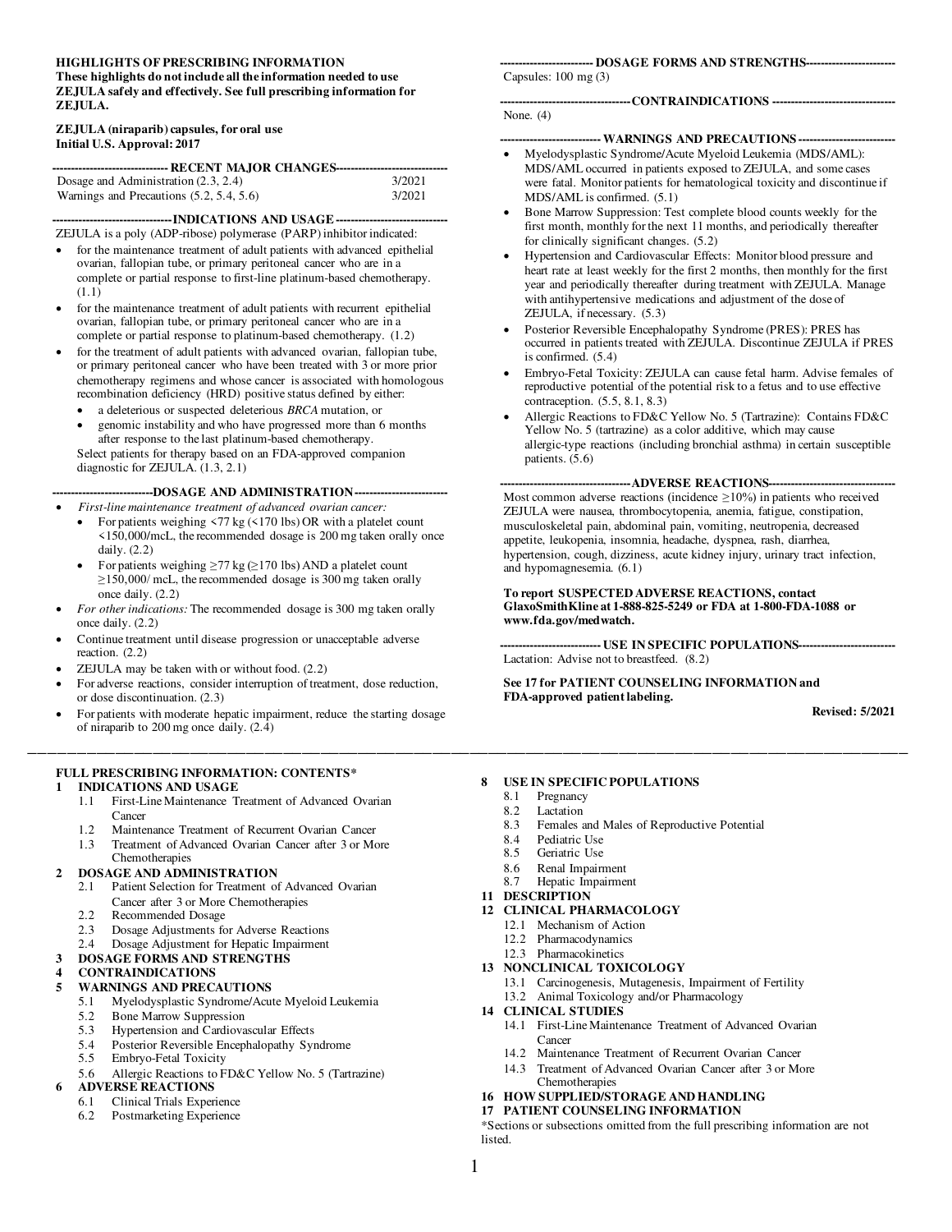#### **HIGHLIGHTS OF PRESCRIBING INFORMATION These highlights do not include all the information needed to use ZEJULA safely and effectively. See full prescribing information for ZEJULA.**

#### **ZEJULA (niraparib) capsules, for oral use Initial U.S. Approval: 2017**

| ------------------------------- RECENT MAJOR CHANGES----------------------------- |        |  |  |  |
|-----------------------------------------------------------------------------------|--------|--|--|--|
| Dosage and Administration $(2.3, 2.4)$                                            | 3/2021 |  |  |  |
| Warnings and Precautions $(5.2, 5.4, 5.6)$                                        | 3/2021 |  |  |  |

**--------------------------------INDICATIONS AND USAGE------------------------------**  ZEJULA is a poly (ADP-ribose) polymerase (PARP) inhibitor indicated:

- for the maintenance treatment of adult patients with advanced epithelial ovarian, fallopian tube, or primary peritoneal cancer who are in a complete or partial response to first-line platinum-based chemotherapy. (1.1)
- for the maintenance treatment of adult patients with recurrent epithelial ovarian, fallopian tube, or primary peritoneal cancer who are in a complete or partial response to platinum-based chemotherapy. (1.2)
- for the treatment of adult patients with advanced ovarian, fallopian tube, or primary peritoneal cancer who have been treated with 3 or more prior chemotherapy regimens and whose cancer is associated with homologous recombination deficiency (HRD) positive status defined by either:
	- a deleterious or suspected deleterious *BRCA* mutation, or
	- genomic instability and who have progressed more than 6 months after response to the last platinum-based chemotherapy.

Select patients for therapy based on an FDA-approved companion diagnostic for ZEJULA. (1.3, 2.1)

**---------------------------DOSAGE AND ADMINISTRATION-------------------------**

- *First-line maintenance treatment of advanced ovarian cancer:*
	- For patients weighing  $\langle 77 \text{ kg} (\langle 170 \text{ lbs}}) \text{ OR } \text{ with a platelet count}$ <150,000/mcL, the recommended dosage is 200 mg taken orally once daily. (2.2)
	- For patients weighing  $\geq$  77 kg ( $\geq$  170 lbs) AND a platelet count  $\geq$ 150,000/ mcL, the recommended dosage is 300 mg taken orally once daily. (2.2)
- *For other indications:* The recommended dosage is 300 mg taken orally once daily. (2.2)
- Continue treatment until disease progression or unacceptable adverse reaction. (2.2)
- ZEJULA may be taken with or without food. (2.2)
- For adverse reactions, consider interruption of treatment, dose reduction, or dose discontinuation. (2.3)
- For patients with moderate hepatic impairment, reduce the starting dosage of niraparib to 200 mg once daily. (2.4)

#### **FULL PRESCRIBING INFORMATION: CONTENTS\* 1 [INDICATIONS AND USAGE](#page-1-0)**

- [1.1 First-Line Maintenance Treatment of Advanced Ovarian](#page-1-1)  [Cancer](#page-1-1)
- [1.2 Maintenance Treatment of Recurrent Ovarian Cancer](#page-1-2)
- [1.3 Treatment of Advanced Ovarian Cancer after 3 or More](#page-1-3)  [Chemotherapies](#page-1-3)

#### **2 [DOSAGE AND ADMINISTRATION](#page-1-4)**

- [2.1 Patient Selection for Treatment of Advanced Ovarian](#page-1-5) 
	- [Cancer after 3 or More Chemotherapies](#page-1-5)
- [2.2 Recommended Dosage](#page-1-6)
- [2.3 Dosage Adjustments for Adverse Reactions](#page-2-0)
- [2.4 Dosage Adjustment for Hepatic Impairment](#page-4-0)

# **3 [DOSAGE FORMS AND STRENGTHS](#page-4-1)**

#### **4 [CONTRAINDICATIONS](#page-4-2)**

#### **5 [WARNINGS AND PRECAUTIONS](#page-4-3)**

- [5.1 Myelodysplastic Syndrome/Acute Myeloid Leukemia](#page-4-4)
- [5.2 Bone Marrow Suppression](#page-4-5)<br>5.3 Hypertension and Cardiova
- [5.3 Hypertension and Cardiovascular Effects](#page-5-0)
- [5.4 Posterior Reversible Encephalopathy Syndrome](#page-6-0)<br>5.5 Embryo-Fetal Toxicity
- [5.5 Embryo-Fetal Toxicity](#page-6-1)
- [5.6 Allergic Reactions to FD&C Yellow No. 5 \(Tartrazine\)](#page-6-2)

#### **6 [ADVERSE REACTIONS](#page-6-3)**

- [6.1 Clinical Trials Experience](#page-7-0)
- [6.2 Postmarketing Experience](#page-16-0)

#### **------------------------- DOSAGE FORMS AND STRENGTHS------------------------**

Capsules: 100 mg (3)

#### **-----------------------------------CONTRAINDICATIONS ---------------------------------**

#### **--------------------------- WARNINGS AND PRECAUTIONS --------------------------**

- Myelodysplastic Syndrome/Acute Myeloid Leukemia (MDS/AML): MDS/AML occurred in patients exposed to ZEJULA, and some cases were fatal. Monitor patients for hematological toxicity and discontinue if MDS/AML is confirmed. (5.1)
- Bone Marrow Suppression: Test complete blood counts weekly for the first month, monthly for the next 11 months, and periodically thereafter for clinically significant changes. (5.2)
- Hypertension and Cardiovascular Effects: Monitor blood pressure and heart rate at least weekly for the first 2 months, then monthly for the first year and periodically thereafter during treatment with ZEJULA. Manage with antihypertensive medications and adjustment of the dose of ZEJULA, if necessary. (5.3)
- Posterior Reversible Encephalopathy Syndrome (PRES): PRES has occurred in patients treated with ZEJULA. Discontinue ZEJULA if PRES is confirmed. (5.4)
- Embryo-Fetal Toxicity: ZEJULA can cause fetal harm. Advise females of reproductive potential of the potential risk to a fetus and to use effective contraception. (5.5, 8.1, 8.3)
- Allergic Reactions to FD&C Yellow No. 5 (Tartrazine): Contains FD&C Yellow No. 5 (tartrazine) as a color additive, which may cause allergic-type reactions (including bronchial asthma) in certain susceptible patients. (5.6)

#### **-----------------------------------ADVERSE REACTIONS----------------------------------**

Most common adverse reactions (incidence  $\geq$ 10%) in patients who received ZEJULA were nausea, thrombocytopenia, anemia, fatigue, constipation, musculoskeletal pain, abdominal pain, vomiting, neutropenia, decreased appetite, leukopenia, insomnia, headache, dyspnea, rash, diarrhea, hypertension, cough, dizziness, acute kidney injury, urinary tract infection, and hypomagnesemia. (6.1)

#### **To report SUSPECTED ADVERSE REACTIONS, contact GlaxoSmithKline at 1-888-825-5249 or FDA at 1-800-FDA-1088 or www.fda.gov/medwatch.**

**--------------------------- USE IN SPECIFIC POPULATIONS--------------------------**  Lactation: Advise not to breastfeed. (8.2)

#### **See 17 for PATIENT COUNSELING INFORMATION and FDA-approved patient labeling.**

**Revised: 5/2021** 

#### **8 [USE IN SPECIFIC POPULATIONS](#page-16-1)**

[8.1 Pregnancy](#page-16-2)

\_\_\_\_\_\_\_\_\_\_\_\_\_\_\_\_\_\_\_\_\_\_\_\_\_\_\_\_\_\_\_\_\_\_\_\_\_\_\_\_\_\_\_\_\_\_\_\_\_\_\_\_\_\_\_\_\_\_\_\_\_\_\_\_\_\_\_\_\_\_\_\_\_\_\_\_\_\_\_\_\_\_\_\_\_\_\_\_\_\_\_\_\_\_

- [8.2 Lactation](#page-17-0)<br>8.3 Females
- Females and Males of Reproductive Potential
- [8.4 Pediatric Use](#page-17-2)<br>8.5 Geriatric Use
- Geriatric Use
- [8.6 Renal Impairment](#page-17-4)<br>8.7 Henatic Impairment
- Hepatic Impairment
- **11 [DESCRIPTION](#page-18-1)**
- **12 [CLINICAL PHARMACOLOGY](#page-19-0)**
	- [12.1 Mechanism of Action](#page-19-1)
	- [12.2 Pharmacodynamics](#page-19-2) [12.3 Pharmacokinetics](#page-20-0)
	-
- **13 [NONCLINICAL TOXICOLOGY](#page-22-0)**
	- [13.1 Carcinogenesis, Mutagenesis, Impairment of Fertility](#page-22-1)
- [13.2 Animal Toxicology and/or Pharmacology](#page-22-2)
- **14 [CLINICAL STUDIES](#page-23-0)**
	- [14.1 First-Line Maintenance Treatment of Advanced Ovarian](#page-23-1)  **[Cancer](#page-23-1)**
	- [14.2 Maintenance Treatment of Recurrent Ovarian Cancer](#page-26-0)
	- [14.3 Treatment of Advanced Ovarian Cancer after 3 or More](#page-29-0)  [Chemotherapies](#page-29-0)
- **16 [HOW SUPPLIED/STORAGE AND HANDLING](#page-30-0)**

#### **17 [PATIENT COUNSELING INFORMATION](#page-31-0)**

\*Sections or subsections omitted from the full prescribing information are not **listed** 

None. (4)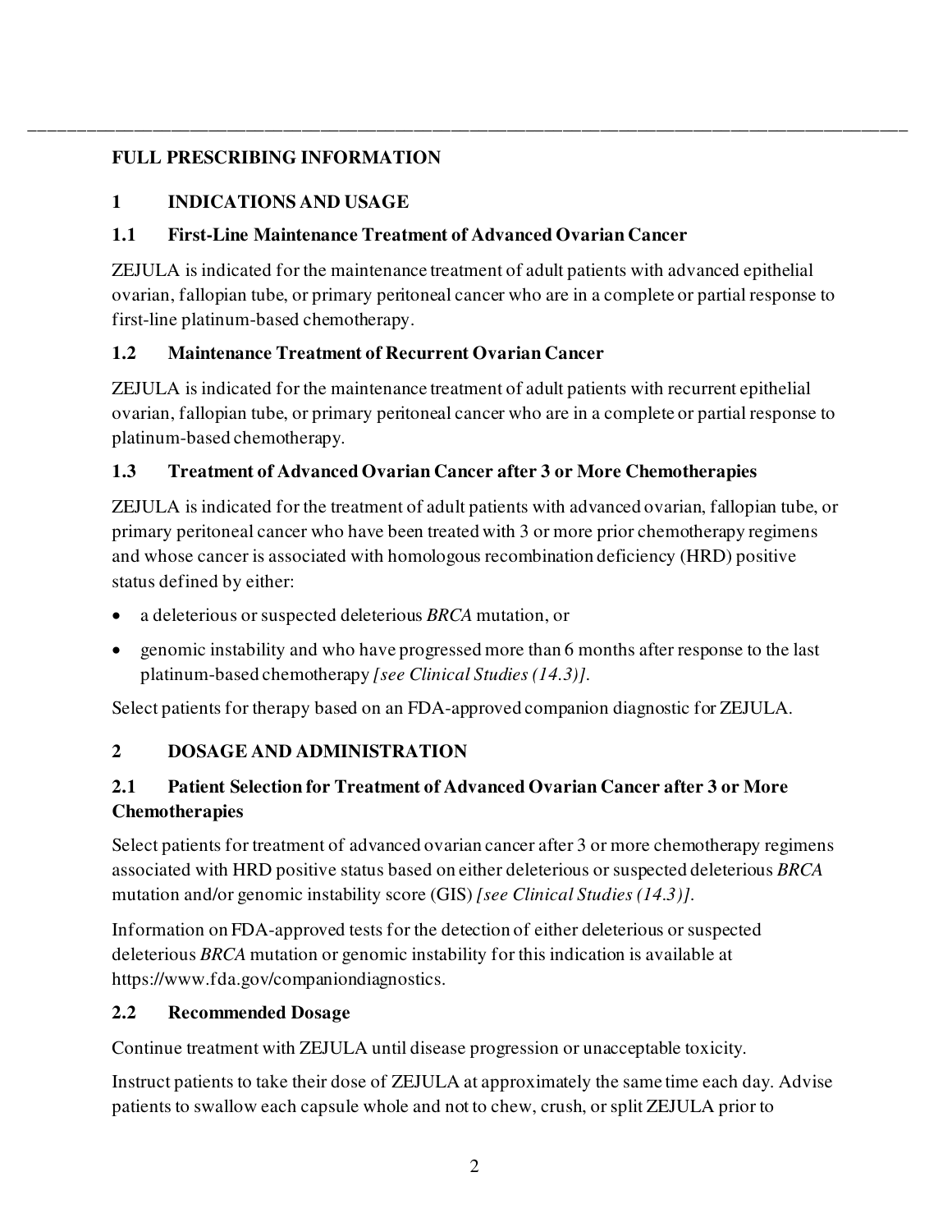# <span id="page-1-0"></span>**FULL PRESCRIBING INFORMATION**

# **1 INDICATIONS AND USAGE**

# <span id="page-1-1"></span>**1.1 First-Line Maintenance Treatment of Advanced Ovarian Cancer**

ZEJULA is indicated for the maintenance treatment of adult patients with advanced epithelial ovarian, fallopian tube, or primary peritoneal cancer who are in a complete or partial response to first-line platinum-based chemotherapy.

\_\_\_\_\_\_\_\_\_\_\_\_\_\_\_\_\_\_\_\_\_\_\_\_\_\_\_\_\_\_\_\_\_\_\_\_\_\_\_\_\_\_\_\_\_\_\_\_\_\_\_\_\_\_\_\_\_\_\_\_\_\_\_\_\_\_\_\_\_\_\_\_\_\_\_\_\_\_\_\_\_\_\_\_\_\_\_\_\_\_\_\_\_\_

# <span id="page-1-2"></span>**1.2 Maintenance Treatment of Recurrent Ovarian Cancer**

ZEJULA is indicated for the maintenance treatment of adult patients with recurrent epithelial ovarian, fallopian tube, or primary peritoneal cancer who are in a complete or partial response to platinum-based chemotherapy.

# <span id="page-1-3"></span>**1.3 Treatment of Advanced Ovarian Cancer after 3 or More Chemotherapies**

ZEJULA is indicated for the treatment of adult patients with advanced ovarian, fallopian tube, or primary peritoneal cancer who have been treated with 3 or more prior chemotherapy regimens and whose cancer is associated with homologous recombination deficiency (HRD) positive status defined by either:

- a deleterious or suspected deleterious *BRCA* mutation, or
- genomic instability and who have progressed more than 6 months after response to the last platinum-based chemotherapy *[see Clinical Studies (14.3)]*.

Select patients for therapy based on an FDA-approved companion diagnostic for ZEJULA.

# <span id="page-1-4"></span>**2 DOSAGE AND ADMINISTRATION**

# <span id="page-1-5"></span>**2.1 Patient Selection for Treatment of Advanced Ovarian Cancer after 3 or More Chemotherapies**

Select patients for treatment of advanced ovarian cancer after 3 or more chemotherapy regimens associated with HRD positive status based on either deleterious or suspected deleterious *BRCA* mutation and/or genomic instability score (GIS) *[see Clinical Studies (14.3)]*.

Information on FDA-approved tests for the detection of either deleterious or suspected deleterious *BRCA* mutation or genomic instability for this indication is available at https://www.fda.gov/companiondiagnostics.

# <span id="page-1-6"></span>**2.2 Recommended Dosage**

Continue treatment with ZEJULA until disease progression or unacceptable toxicity.

Instruct patients to take their dose of ZEJULA at approximately the same time each day. Advise patients to swallow each capsule whole and not to chew, crush, or split ZEJULA prior to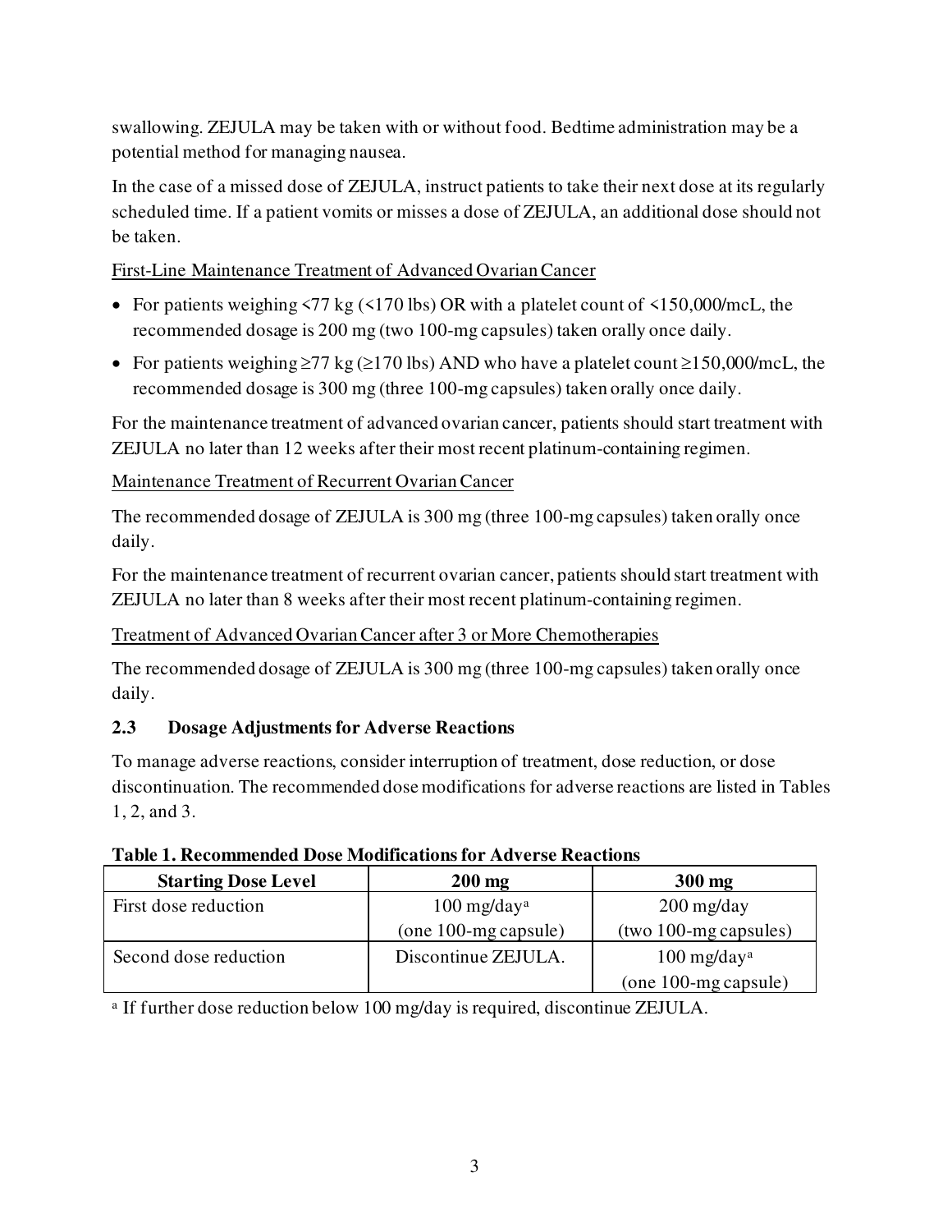swallowing. ZEJULA may be taken with or without food. Bedtime administration may be a potential method for managing nausea.

In the case of a missed dose of ZEJULA, instruct patients to take their next dose at its regularly scheduled time. If a patient vomits or misses a dose of ZEJULA, an additional dose should not be taken.

First-Line Maintenance Treatment of Advanced Ovarian Cancer

- For patients weighing  $\langle 77 \text{ kg } (\langle 170 \text{ lbs}}) \text{ OR with a platelet count of } \langle 150,000 \text{ /mcL}, \text{the} \rangle$ recommended dosage is 200 mg (two 100-mg capsules) taken orally once daily.
- For patients weighing  $\geq$ 77 kg ( $\geq$ 170 lbs) AND who have a platelet count  $\geq$ 150,000/mcL, the recommended dosage is 300 mg (three 100-mg capsules) taken orally once daily.

For the maintenance treatment of advanced ovarian cancer, patients should start treatment with ZEJULA no later than 12 weeks after their most recent platinum-containing regimen.

Maintenance Treatment of Recurrent Ovarian Cancer

The recommended dosage of ZEJULA is 300 mg (three 100-mg capsules) taken orally once daily.

For the maintenance treatment of recurrent ovarian cancer, patients should start treatment with ZEJULA no later than 8 weeks after their most recent platinum-containing regimen.

Treatment of Advanced Ovarian Cancer after 3 or More Chemotherapies

The recommended dosage of ZEJULA is 300 mg (three 100-mg capsules) taken orally once daily.

### <span id="page-2-0"></span>**2.3 Dosage Adjustments for Adverse Reactions**

To manage adverse reactions, consider interruption of treatment, dose reduction, or dose discontinuation. The recommended dose modifications for adverse reactions are listed in Tables 1, 2, and 3.

| тамс трассонносное в ож номнеанонятот так егзе теасионя |                           |                                               |  |  |
|---------------------------------------------------------|---------------------------|-----------------------------------------------|--|--|
| <b>Starting Dose Level</b>                              | $200$ mg                  | $300$ mg                                      |  |  |
| First dose reduction                                    | $100$ mg/day <sup>a</sup> | $200 \frac{\text{mg}}{\text{day}}$            |  |  |
|                                                         | $(one 100-mg capsule)$    | $(two 100-mg\,capsules)$                      |  |  |
| Second dose reduction                                   | Discontinue ZEJULA.       | $100 \frac{\text{mg}}{\text{day}^{\text{a}}}$ |  |  |
|                                                         |                           | $(one 100-mg capsule)$                        |  |  |

**Table 1. Recommended Dose Modifications for Adverse Reactions**

<sup>a</sup> If further dose reduction below 100 mg/day is required, discontinue ZEJULA.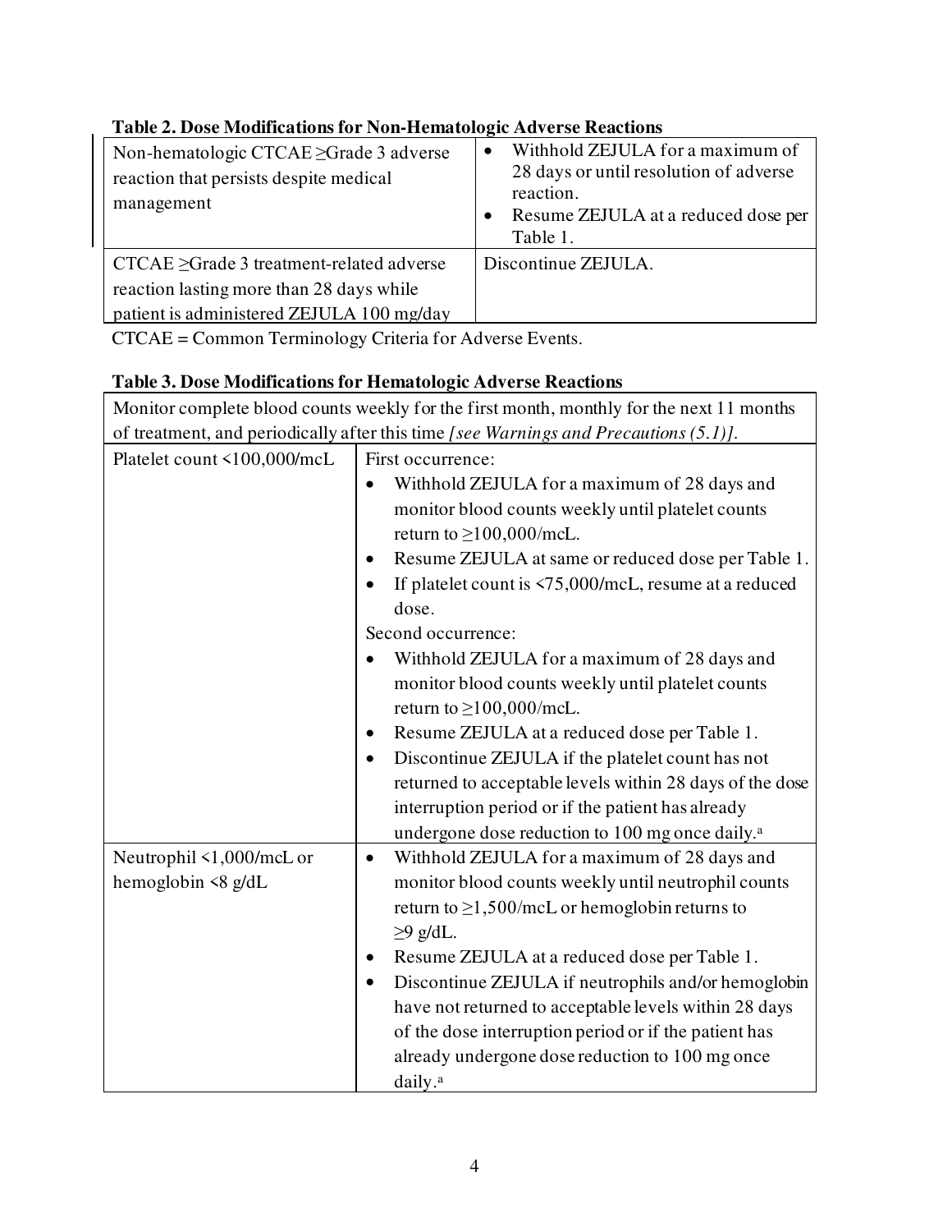| Non-hematologic CTCAE ≥Grade 3 adverse<br>reaction that persists despite medical<br>management                                          | Withhold ZEJULA for a maximum of<br>$\bullet$<br>28 days or until resolution of adverse<br>reaction.<br>Resume ZEJULA at a reduced dose per<br>$\bullet$<br>Table 1. |
|-----------------------------------------------------------------------------------------------------------------------------------------|----------------------------------------------------------------------------------------------------------------------------------------------------------------------|
| $CTCAE \geq Grade 3 treatment-related adverse$<br>reaction lasting more than 28 days while<br>patient is administered ZEJULA 100 mg/day | Discontinue ZEJULA.                                                                                                                                                  |

٦

# **Table 2. Dose Modifications for Non-Hematologic Adverse Reactions**

CTCAE = Common Terminology Criteria for Adverse Events.

#### **Table 3. Dose Modifications for Hematologic Adverse Reactions**  $\sqrt{\frac{1}{\sqrt{1-\frac{1}{\sqrt{1-\frac{1}{\sqrt{1-\frac{1}{\sqrt{1-\frac{1}{\sqrt{1-\frac{1}{\sqrt{1-\frac{1}{\sqrt{1-\frac{1}{\sqrt{1-\frac{1}{\sqrt{1-\frac{1}{\sqrt{1-\frac{1}{\sqrt{1-\frac{1}{\sqrt{1-\frac{1}{\sqrt{1-\frac{1}{\sqrt{1-\frac{1}{\sqrt{1-\frac{1}{\sqrt{1-\frac{1}{\sqrt{1-\frac{1}{\sqrt{1-\frac{1}{\sqrt{1-\frac{1}{\sqrt{1-\frac{1}{\sqrt{1-\frac{1}{\sqrt{1-\frac{1}{\sqrt{1-\frac{1}{\sqrt{1-\frac$

| <u><b>MOMINI COMPICIO DIOOG COMITS WEEKLY FOL MIC FILST MOMINI, MOMINITY FOL MIC HEAT FT MOMINIS</b></u> |                                                                                      |  |  |  |  |
|----------------------------------------------------------------------------------------------------------|--------------------------------------------------------------------------------------|--|--|--|--|
|                                                                                                          | of treatment, and periodically after this time [see Warnings and Precautions (5.1)]. |  |  |  |  |
| Platelet count <100,000/mcL                                                                              | First occurrence:                                                                    |  |  |  |  |
|                                                                                                          | Withhold ZEJULA for a maximum of 28 days and                                         |  |  |  |  |
|                                                                                                          | monitor blood counts weekly until platelet counts                                    |  |  |  |  |
|                                                                                                          | return to $\geq$ 100,000/mcL.                                                        |  |  |  |  |
|                                                                                                          | Resume ZEJULA at same or reduced dose per Table 1.                                   |  |  |  |  |
|                                                                                                          | If platelet count is $\langle 75,000 \rangle$ mcL, resume at a reduced               |  |  |  |  |
|                                                                                                          | dose.                                                                                |  |  |  |  |
|                                                                                                          | Second occurrence:                                                                   |  |  |  |  |
|                                                                                                          | Withhold ZEJULA for a maximum of 28 days and                                         |  |  |  |  |
|                                                                                                          | monitor blood counts weekly until platelet counts                                    |  |  |  |  |
|                                                                                                          | return to $\geq$ 100,000/mcL.                                                        |  |  |  |  |
|                                                                                                          | Resume ZEJULA at a reduced dose per Table 1.                                         |  |  |  |  |
|                                                                                                          | Discontinue ZEJULA if the platelet count has not<br>$\bullet$                        |  |  |  |  |
|                                                                                                          | returned to acceptable levels within 28 days of the dose                             |  |  |  |  |
|                                                                                                          | interruption period or if the patient has already                                    |  |  |  |  |
|                                                                                                          | undergone dose reduction to 100 mg once daily. <sup>a</sup>                          |  |  |  |  |
| Neutrophil <1,000/mcL or                                                                                 | Withhold ZEJULA for a maximum of 28 days and<br>$\bullet$                            |  |  |  |  |
| hemoglobin $\langle 8 \text{ g/dL} \rangle$                                                              | monitor blood counts weekly until neutrophil counts                                  |  |  |  |  |
|                                                                                                          | return to $\geq$ 1,500/mcL or hemoglobin returns to                                  |  |  |  |  |
|                                                                                                          | $\geq$ 9 g/dL.                                                                       |  |  |  |  |
|                                                                                                          | Resume ZEJULA at a reduced dose per Table 1.                                         |  |  |  |  |
|                                                                                                          | Discontinue ZEJULA if neutrophils and/or hemoglobin<br>$\bullet$                     |  |  |  |  |
|                                                                                                          | have not returned to acceptable levels within 28 days                                |  |  |  |  |
|                                                                                                          | of the dose interruption period or if the patient has                                |  |  |  |  |
|                                                                                                          | already undergone dose reduction to 100 mg once                                      |  |  |  |  |
|                                                                                                          | daily. <sup>a</sup>                                                                  |  |  |  |  |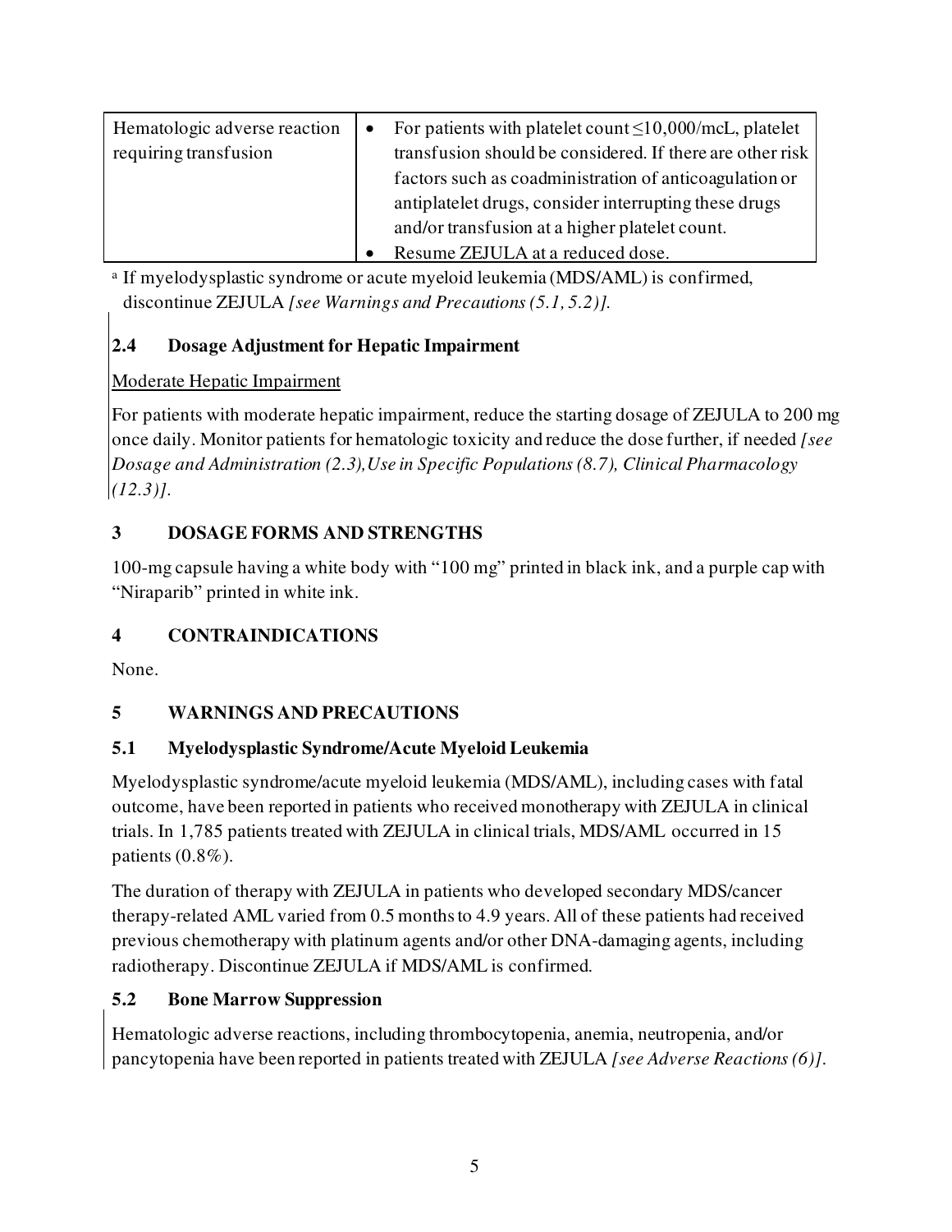| Hematologic adverse reaction | $\bullet$ | For patients with platelet count $\leq 10,000$ /mcL, platelet |
|------------------------------|-----------|---------------------------------------------------------------|
| requiring transfusion        |           | transfusion should be considered. If there are other risk     |
|                              |           | factors such as coadministration of anticoagulation or        |
|                              |           | antiplatelet drugs, consider interrupting these drugs         |
|                              |           | and/or transfusion at a higher platelet count.                |
|                              |           | Resume ZEJULA at a reduced dose.                              |

a If myelodysplastic syndrome or acute myeloid leukemia (MDS/AML) is confirmed, discontinue ZEJULA *[see Warnings and Precautions (5.1, 5.2)].*

# <span id="page-4-0"></span>**2.4 Dosage Adjustment for Hepatic Impairment**

# Moderate Hepatic Impairment

For patients with moderate hepatic impairment, reduce the starting dosage of ZEJULA to 200 mg once daily. Monitor patients for hematologic toxicity and reduce the dose further, if needed *[see Dosage and Administration (2.3),Use in Specific Populations (8.7), Clinical Pharmacology (12.3)]*.

# <span id="page-4-1"></span>**3 DOSAGE FORMS AND STRENGTHS**

100-mg capsule having a white body with "100 mg" printed in black ink, and a purple cap with "Niraparib" printed in white ink.

# <span id="page-4-2"></span>**4 CONTRAINDICATIONS**

<span id="page-4-3"></span>None.

# **5 WARNINGS AND PRECAUTIONS**

# <span id="page-4-4"></span>**5.1 Myelodysplastic Syndrome/Acute Myeloid Leukemia**

Myelodysplastic syndrome/acute myeloid leukemia (MDS/AML), including cases with fatal outcome, have been reported in patients who received monotherapy with ZEJULA in clinical trials. In 1,785 patients treated with ZEJULA in clinical trials, MDS/AML occurred in 15 patients (0.8%).

The duration of therapy with ZEJULA in patients who developed secondary MDS/cancer therapy-related AML varied from 0.5 months to 4.9 years. All of these patients had received previous chemotherapy with platinum agents and/or other DNA-damaging agents, including radiotherapy. Discontinue ZEJULA if MDS/AML is confirmed.

# <span id="page-4-5"></span>**5.2 Bone Marrow Suppression**

Hematologic adverse reactions, including thrombocytopenia, anemia, neutropenia, and/or pancytopenia have been reported in patients treated with ZEJULA *[see Adverse Reactions (6)]*.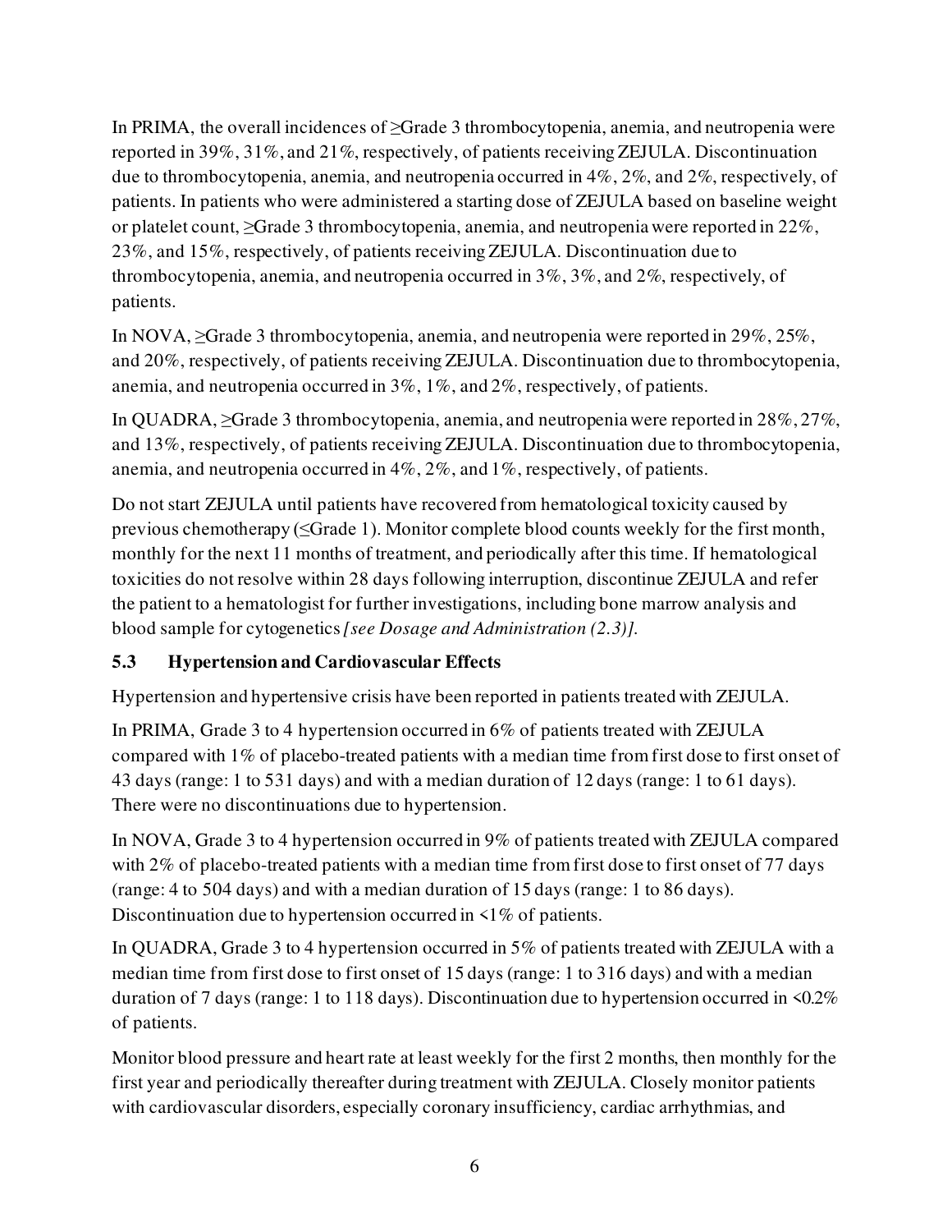In PRIMA, the overall incidences of ≥Grade 3 thrombocytopenia, anemia, and neutropenia were reported in 39%, 31%, and 21%, respectively, of patients receiving ZEJULA. Discontinuation due to thrombocytopenia, anemia, and neutropenia occurred in 4%, 2%, and 2%, respectively, of patients. In patients who were administered a starting dose of ZEJULA based on baseline weight or platelet count, ≥Grade 3 thrombocytopenia, anemia, and neutropenia were reported in 22%, 23%, and 15%, respectively, of patients receiving ZEJULA. Discontinuation due to thrombocytopenia, anemia, and neutropenia occurred in 3%, 3%, and 2%, respectively, of patients.

In NOVA, ≥Grade 3 thrombocytopenia, anemia, and neutropenia were reported in 29%, 25%, and 20%, respectively, of patients receiving ZEJULA. Discontinuation due to thrombocytopenia, anemia, and neutropenia occurred in 3%, 1%, and 2%, respectively, of patients.

In QUADRA, ≥Grade 3 thrombocytopenia, anemia, and neutropenia were reported in 28%, 27%, and 13%, respectively, of patients receiving ZEJULA. Discontinuation due to thrombocytopenia, anemia, and neutropenia occurred in 4%, 2%, and 1%, respectively, of patients.

Do not start ZEJULA until patients have recovered from hematological toxicity caused by previous chemotherapy (≤Grade 1). Monitor complete blood counts weekly for the first month, monthly for the next 11 months of treatment, and periodically after this time. If hematological toxicities do not resolve within 28 days following interruption, discontinue ZEJULA and refer the patient to a hematologist for further investigations, including bone marrow analysis and blood sample for cytogenetics*[see Dosage and Administration (2.3)].*

# <span id="page-5-0"></span>**5.3 Hypertension and Cardiovascular Effects**

Hypertension and hypertensive crisis have been reported in patients treated with ZEJULA.

In PRIMA, Grade 3 to 4 hypertension occurred in 6% of patients treated with ZEJULA compared with 1% of placebo-treated patients with a median time from first dose to first onset of 43 days (range: 1 to 531 days) and with a median duration of 12 days (range: 1 to 61 days). There were no discontinuations due to hypertension.

In NOVA, Grade 3 to 4 hypertension occurred in 9% of patients treated with ZEJULA compared with 2% of placebo-treated patients with a median time from first dose to first onset of 77 days (range: 4 to 504 days) and with a median duration of 15 days (range: 1 to 86 days). Discontinuation due to hypertension occurred in  $\leq 1\%$  of patients.

In QUADRA, Grade 3 to 4 hypertension occurred in 5% of patients treated with ZEJULA with a median time from first dose to first onset of 15 days (range: 1 to 316 days) and with a median duration of 7 days (range: 1 to 118 days). Discontinuation due to hypertension occurred in <0.2% of patients.

Monitor blood pressure and heart rate at least weekly for the first 2 months, then monthly for the first year and periodically thereafter during treatment with ZEJULA. Closely monitor patients with cardiovascular disorders, especially coronary insufficiency, cardiac arrhythmias, and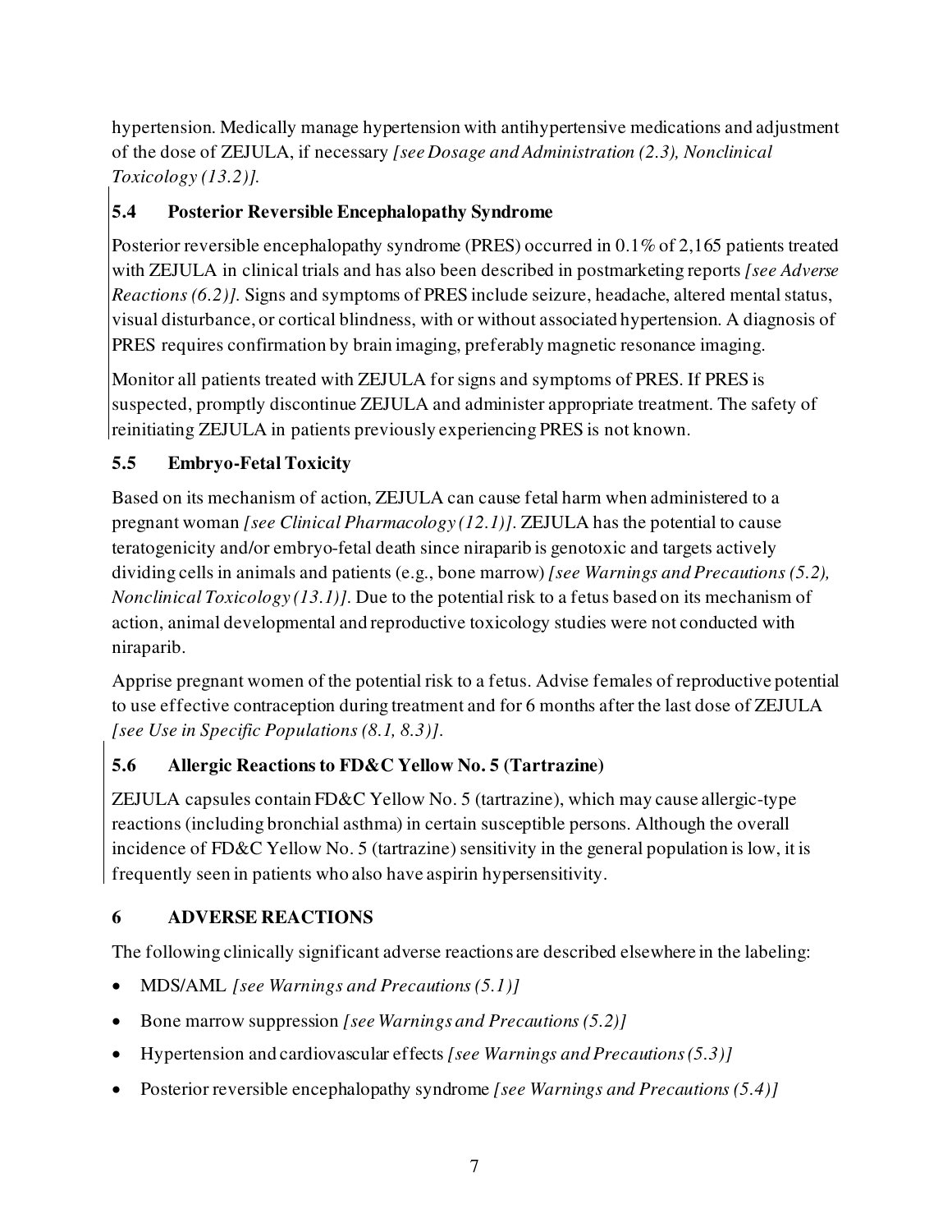hypertension. Medically manage hypertension with antihypertensive medications and adjustment of the dose of ZEJULA, if necessary *[see Dosage and Administration (2.3), Nonclinical Toxicology (13.2)]*.

# <span id="page-6-0"></span>**5.4 Posterior Reversible Encephalopathy Syndrome**

Posterior reversible encephalopathy syndrome (PRES) occurred in 0.1% of 2,165 patients treated with ZEJULA in clinical trials and has also been described in postmarketing reports *[see Adverse Reactions (6.2)].* Signs and symptoms of PRES include seizure, headache, altered mental status, visual disturbance, or cortical blindness, with or without associated hypertension. A diagnosis of PRES requires confirmation by brain imaging, preferably magnetic resonance imaging.

Monitor all patients treated with ZEJULA for signs and symptoms of PRES. If PRES is suspected, promptly discontinue ZEJULA and administer appropriate treatment. The safety of reinitiating ZEJULA in patients previously experiencing PRES is not known.

# <span id="page-6-1"></span>**5.5 Embryo-Fetal Toxicity**

Based on its mechanism of action, ZEJULA can cause fetal harm when administered to a pregnant woman *[see Clinical Pharmacology (12.1)]*. ZEJULA has the potential to cause teratogenicity and/or embryo-fetal death since niraparib is genotoxic and targets actively dividing cells in animals and patients (e.g., bone marrow) *[see Warnings and Precautions (5.2), Nonclinical Toxicology (13.1)]*. Due to the potential risk to a fetus based on its mechanism of action, animal developmental and reproductive toxicology studies were not conducted with niraparib.

Apprise pregnant women of the potential risk to a fetus. Advise females of reproductive potential to use effective contraception during treatment and for 6 months after the last dose of ZEJULA *[see Use in Specific Populations (8.1, 8.3)]*.

# <span id="page-6-2"></span>**5.6 Allergic Reactions to FD&C Yellow No. 5 (Tartrazine)**

ZEJULA capsules contain FD&C Yellow No. 5 (tartrazine), which may cause allergic-type reactions (including bronchial asthma) in certain susceptible persons. Although the overall incidence of FD&C Yellow No. 5 (tartrazine) sensitivity in the general population is low, it is frequently seen in patients who also have aspirin hypersensitivity.

# <span id="page-6-3"></span>**6 ADVERSE REACTIONS**

The following clinically significant adverse reactions are described elsewhere in the labeling:

- MDS/AML *[see Warnings and Precautions (5.1)]*
- Bone marrow suppression *[see Warnings and Precautions (5.2)]*
- Hypertension and cardiovascular effects *[see Warnings and Precautions (5.3)]*
- Posterior reversible encephalopathy syndrome *[see Warnings and Precautions (5.4)]*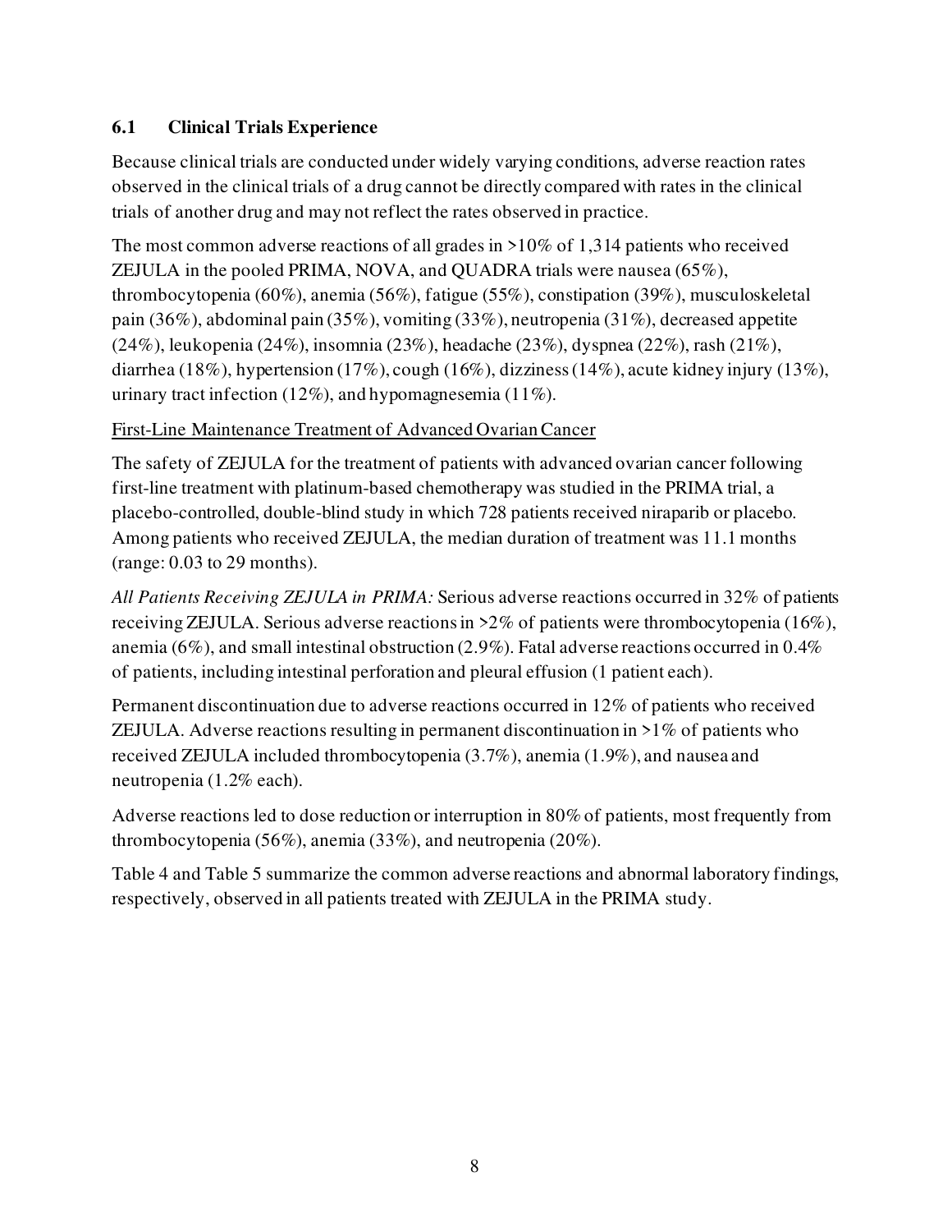# <span id="page-7-0"></span>**6.1 Clinical Trials Experience**

Because clinical trials are conducted under widely varying conditions, adverse reaction rates observed in the clinical trials of a drug cannot be directly compared with rates in the clinical trials of another drug and may not reflect the rates observed in practice.

The most common adverse reactions of all grades in >10% of 1,314 patients who received ZEJULA in the pooled PRIMA, NOVA, and QUADRA trials were nausea (65%), thrombocytopenia (60%), anemia (56%), fatigue (55%), constipation (39%), musculoskeletal pain (36%), abdominal pain (35%), vomiting (33%), neutropenia (31%), decreased appetite (24%), leukopenia (24%), insomnia (23%), headache (23%), dyspnea (22%), rash (21%), diarrhea (18%), hypertension (17%), cough (16%), dizziness (14%), acute kidney injury (13%), urinary tract infection (12%), and hypomagnesemia (11%).

# First-Line Maintenance Treatment of Advanced Ovarian Cancer

The safety of ZEJULA for the treatment of patients with advanced ovarian cancer following first-line treatment with platinum-based chemotherapy was studied in the PRIMA trial, a placebo-controlled, double-blind study in which 728 patients received niraparib or placebo. Among patients who received ZEJULA, the median duration of treatment was 11.1 months (range: 0.03 to 29 months).

*All Patients Receiving ZEJULA in PRIMA:* Serious adverse reactions occurred in 32% of patients receiving ZEJULA. Serious adverse reactions in >2% of patients were thrombocytopenia (16%), anemia (6%), and small intestinal obstruction (2.9%). Fatal adverse reactions occurred in 0.4% of patients, including intestinal perforation and pleural effusion (1 patient each).

Permanent discontinuation due to adverse reactions occurred in 12% of patients who received ZEJULA. Adverse reactions resulting in permanent discontinuation in  $>1\%$  of patients who received ZEJULA included thrombocytopenia (3.7%), anemia (1.9%), and nausea and neutropenia (1.2% each).

Adverse reactions led to dose reduction or interruption in 80% of patients, most frequently from thrombocytopenia (56%), anemia (33%), and neutropenia (20%).

Table 4 and Table 5 summarize the common adverse reactions and abnormal laboratory findings, respectively, observed in all patients treated with ZEJULA in the PRIMA study.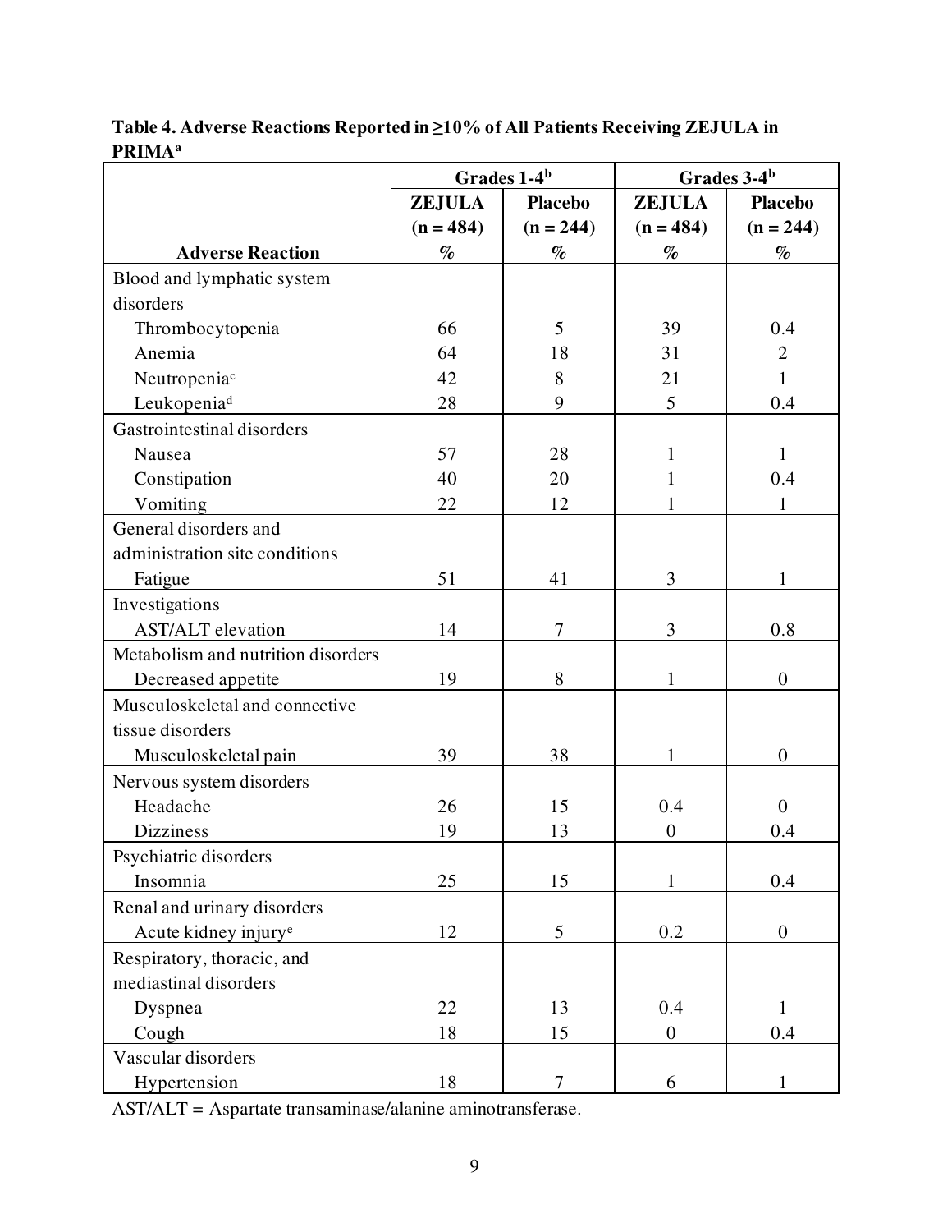|                                    | Grades 1-4 <sup>b</sup> |                  | Grades 3-4 <sup>b</sup> |                |
|------------------------------------|-------------------------|------------------|-------------------------|----------------|
|                                    | <b>ZEJULA</b>           | <b>Placebo</b>   | <b>ZEJULA</b>           | <b>Placebo</b> |
|                                    | $(n = 484)$             | $(n = 244)$      | $(n = 484)$             | $(n = 244)$    |
| <b>Adverse Reaction</b>            | $\%$                    | $\%$             | $\%$                    | $\%$           |
| Blood and lymphatic system         |                         |                  |                         |                |
| disorders                          |                         |                  |                         |                |
| Thrombocytopenia                   | 66                      | 5                | 39                      | 0.4            |
| Anemia                             | 64                      | 18               | 31                      | $\overline{2}$ |
| Neutropeniac                       | 42                      | 8                | 21                      | $\mathbf{1}$   |
| Leukopenia <sup>d</sup>            | 28                      | 9                | 5                       | 0.4            |
| Gastrointestinal disorders         |                         |                  |                         |                |
| Nausea                             | 57                      | 28               | 1                       | $\mathbf{1}$   |
| Constipation                       | 40                      | 20               | 1                       | 0.4            |
| Vomiting                           | 22                      | 12               |                         |                |
| General disorders and              |                         |                  |                         |                |
| administration site conditions     |                         |                  |                         |                |
| Fatigue                            | 51                      | 41               | 3                       | 1              |
| Investigations                     |                         |                  |                         |                |
| <b>AST/ALT</b> elevation           | 14                      | $\tau$           | 3                       | 0.8            |
| Metabolism and nutrition disorders |                         |                  |                         |                |
| Decreased appetite                 | 19                      | 8                |                         | $\overline{0}$ |
| Musculoskeletal and connective     |                         |                  |                         |                |
| tissue disorders                   |                         |                  |                         |                |
| Musculoskeletal pain               | 39                      | 38               | 1                       | $\overline{0}$ |
| Nervous system disorders           |                         |                  |                         |                |
| Headache                           | 26                      | 15               | 0.4                     | $\mathbf{0}$   |
| <b>Dizziness</b>                   | 19                      | 13               | $\overline{0}$          | 0.4            |
| Psychiatric disorders              |                         |                  |                         |                |
| Insomnia                           | 25                      | 15               | 1                       | 0.4            |
| Renal and urinary disorders        |                         |                  |                         |                |
| Acute kidney injury <sup>e</sup>   | 12                      | 5                | 0.2                     | $\overline{0}$ |
| Respiratory, thoracic, and         |                         |                  |                         |                |
| mediastinal disorders              |                         |                  |                         |                |
| Dyspnea                            | 22                      | 13               | 0.4                     | $\mathbf{1}$   |
| Cough                              | 18                      | 15               | $\boldsymbol{0}$        | 0.4            |
| Vascular disorders                 |                         |                  |                         |                |
| Hypertension                       | 18                      | $\boldsymbol{7}$ | 6                       | $\mathbf{1}$   |

**Table 4. Adverse Reactions Reported in ≥10% of All Patients Receiving ZEJULA in PRIMA<sup>a</sup>**

AST/ALT = Aspartate transaminase/alanine aminotransferase.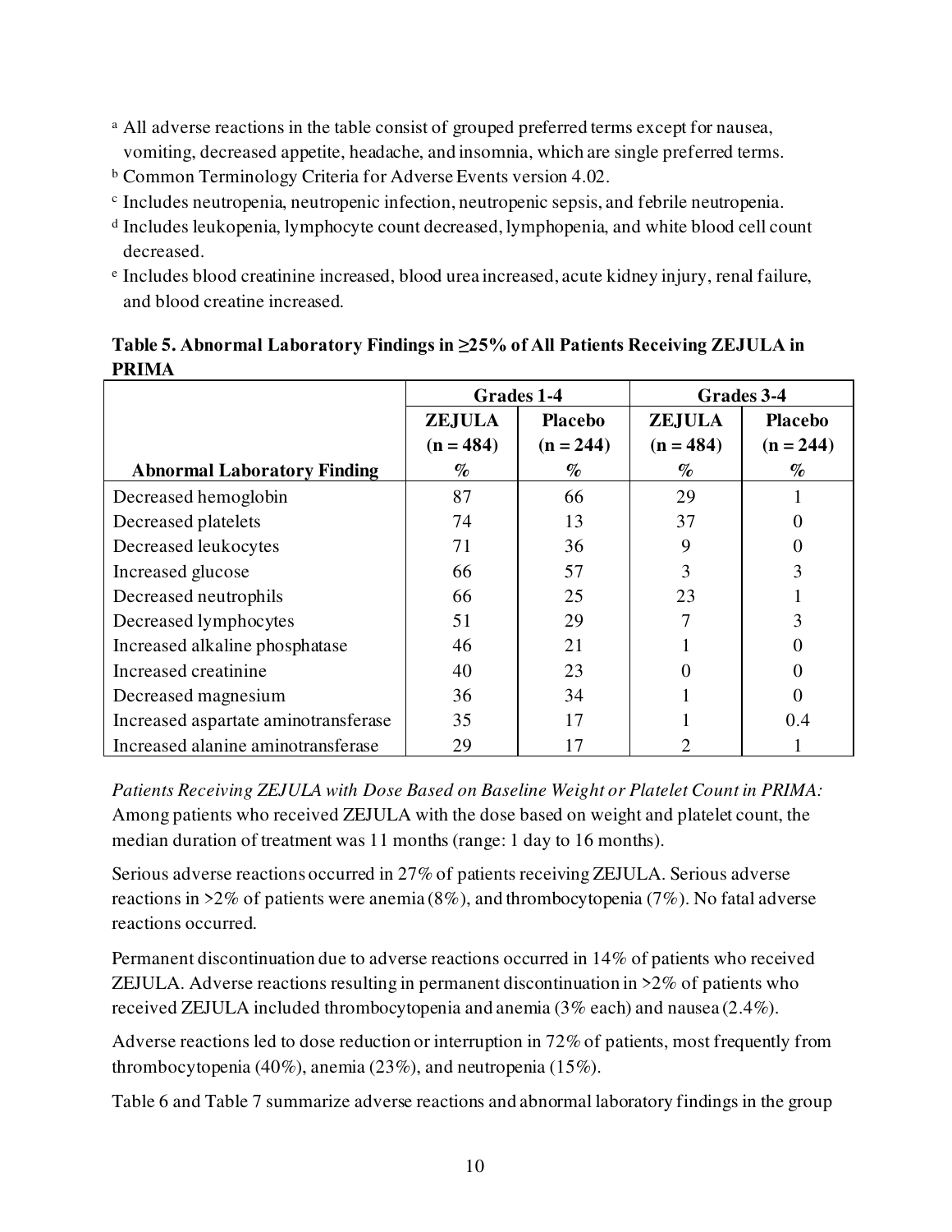- <sup>a</sup> All adverse reactions in the table consist of grouped preferred terms except for nausea, vomiting, decreased appetite, headache, and insomnia, which are single preferred terms.
- <sup>b</sup> Common Terminology Criteria for Adverse Events version 4.02.
- c Includes neutropenia, neutropenic infection, neutropenic sepsis, and febrile neutropenia.
- d Includes leukopenia, lymphocyte count decreased, lymphopenia, and white blood cell count decreased.
- e Includes blood creatinine increased, blood urea increased, acute kidney injury, renal failure, and blood creatine increased.

| Table 5. Abnormal Laboratory Findings in ≥25% of All Patients Receiving ZEJULA in |  |
|-----------------------------------------------------------------------------------|--|
| <b>PRIMA</b>                                                                      |  |

|                                      | Grades 1-4                   |                               | Grades 3-4                   |                               |
|--------------------------------------|------------------------------|-------------------------------|------------------------------|-------------------------------|
|                                      | <b>ZEJULA</b><br>$(n = 484)$ | <b>Placebo</b><br>$(n = 244)$ | <b>ZEJULA</b><br>$(n = 484)$ | <b>Placebo</b><br>$(n = 244)$ |
| <b>Abnormal Laboratory Finding</b>   | $\%$                         | $\%$                          | $\%$                         | $\%$                          |
| Decreased hemoglobin                 | 87                           | 66                            | 29                           |                               |
| Decreased platelets                  | 74                           | 13                            | 37                           |                               |
| Decreased leukocytes                 | 71                           | 36                            | 9                            |                               |
| Increased glucose                    | 66                           | 57                            | 3                            |                               |
| Decreased neutrophils                | 66                           | 25                            | 23                           |                               |
| Decreased lymphocytes                | 51                           | 29                            |                              |                               |
| Increased alkaline phosphatase       | 46                           | 21                            |                              |                               |
| Increased creatinine                 | 40                           | 23                            |                              |                               |
| Decreased magnesium                  | 36                           | 34                            |                              |                               |
| Increased aspartate aminotransferase | 35                           | 17                            |                              | 0.4                           |
| Increased alanine aminotransferase   | 29                           | 17                            |                              |                               |

*Patients Receiving ZEJULA with Dose Based on Baseline Weight or Platelet Count in PRIMA:* Among patients who received ZEJULA with the dose based on weight and platelet count, the median duration of treatment was 11 months (range: 1 day to 16 months).

Serious adverse reactions occurred in 27% of patients receiving ZEJULA. Serious adverse reactions in >2% of patients were anemia (8%), and thrombocytopenia (7%). No fatal adverse reactions occurred.

Permanent discontinuation due to adverse reactions occurred in 14% of patients who received ZEJULA. Adverse reactions resulting in permanent discontinuation in >2% of patients who received ZEJULA included thrombocytopenia and anemia (3% each) and nausea (2.4%).

Adverse reactions led to dose reduction or interruption in 72% of patients, most frequently from thrombocytopenia (40%), anemia (23%), and neutropenia (15%).

Table 6 and Table 7 summarize adverse reactions and abnormal laboratory findings in the group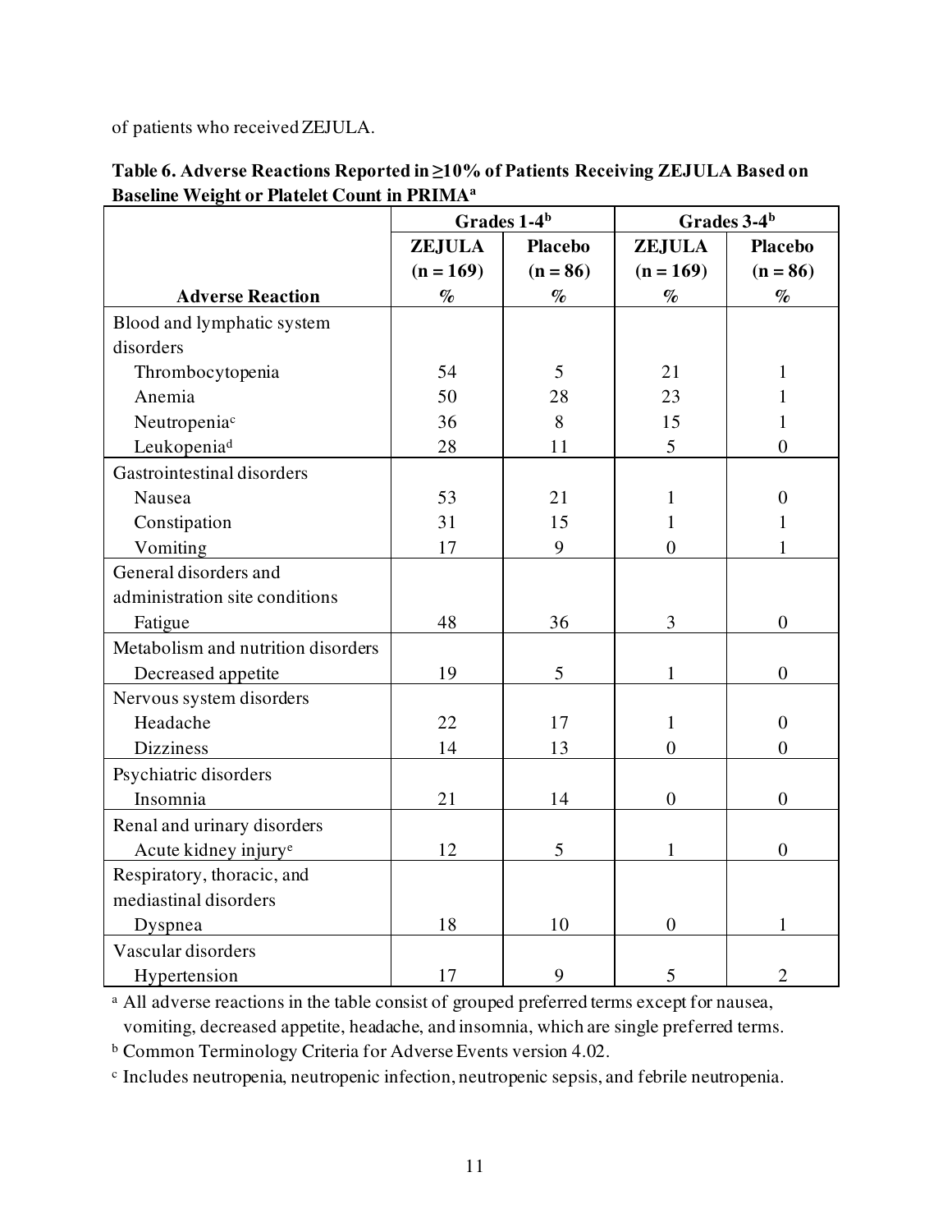of patients who received ZEJULA.

| Table 6. Adverse Reactions Reported in ≥10% of Patients Receiving ZEJULA Based on |
|-----------------------------------------------------------------------------------|
| <b>Baseline Weight or Platelet Count in PRIMA</b> <sup>a</sup>                    |

|                                    | Grades 1-4 <sup>b</sup>         |            | Grades 3-4 <sup>b</sup> |                  |
|------------------------------------|---------------------------------|------------|-------------------------|------------------|
|                                    | <b>ZEJULA</b><br><b>Placebo</b> |            | <b>ZEJULA</b>           | <b>Placebo</b>   |
|                                    | $(n = 169)$                     | $(n = 86)$ | $(n = 169)$             | $(n = 86)$       |
| <b>Adverse Reaction</b>            | $\%$                            | $\%$       | $\%$                    | $\%$             |
| Blood and lymphatic system         |                                 |            |                         |                  |
| disorders                          |                                 |            |                         |                  |
| Thrombocytopenia                   | 54                              | 5          | 21                      | 1                |
| Anemia                             | 50                              | 28         | 23                      | 1                |
| Neutropenia <sup>c</sup>           | 36                              | 8          | 15                      | 1                |
| Leukopenia <sup>d</sup>            | 28                              | 11         | 5                       | $\overline{0}$   |
| Gastrointestinal disorders         |                                 |            |                         |                  |
| Nausea                             | 53                              | 21         | 1                       | $\boldsymbol{0}$ |
| Constipation                       | 31                              | 15         | 1                       | 1                |
| Vomiting                           | 17                              | 9          | $\overline{0}$          | 1                |
| General disorders and              |                                 |            |                         |                  |
| administration site conditions     |                                 |            |                         |                  |
| Fatigue                            | 48                              | 36         | 3                       | $\overline{0}$   |
| Metabolism and nutrition disorders |                                 |            |                         |                  |
| Decreased appetite                 | 19                              | 5          | 1                       | $\overline{0}$   |
| Nervous system disorders           |                                 |            |                         |                  |
| Headache                           | 22                              | 17         | 1                       | $\overline{0}$   |
| <b>Dizziness</b>                   | 14                              | 13         | $\overline{0}$          | $\overline{0}$   |
| Psychiatric disorders              |                                 |            |                         |                  |
| Insomnia                           | 21                              | 14         | $\boldsymbol{0}$        | $\overline{0}$   |
| Renal and urinary disorders        |                                 |            |                         |                  |
| Acute kidney injury <sup>e</sup>   | 12                              | 5          | 1                       | $\overline{0}$   |
| Respiratory, thoracic, and         |                                 |            |                         |                  |
| mediastinal disorders              |                                 |            |                         |                  |
| Dyspnea                            | 18                              | 10         | $\boldsymbol{0}$        |                  |
| Vascular disorders                 |                                 |            |                         |                  |
| Hypertension                       | 17                              | 9          | 5                       | $\overline{2}$   |

<sup>a</sup> All adverse reactions in the table consist of grouped preferred terms except for nausea,

vomiting, decreased appetite, headache, and insomnia, which are single preferred terms.

<sup>b</sup> Common Terminology Criteria for Adverse Events version 4.02.

c Includes neutropenia, neutropenic infection, neutropenic sepsis, and febrile neutropenia.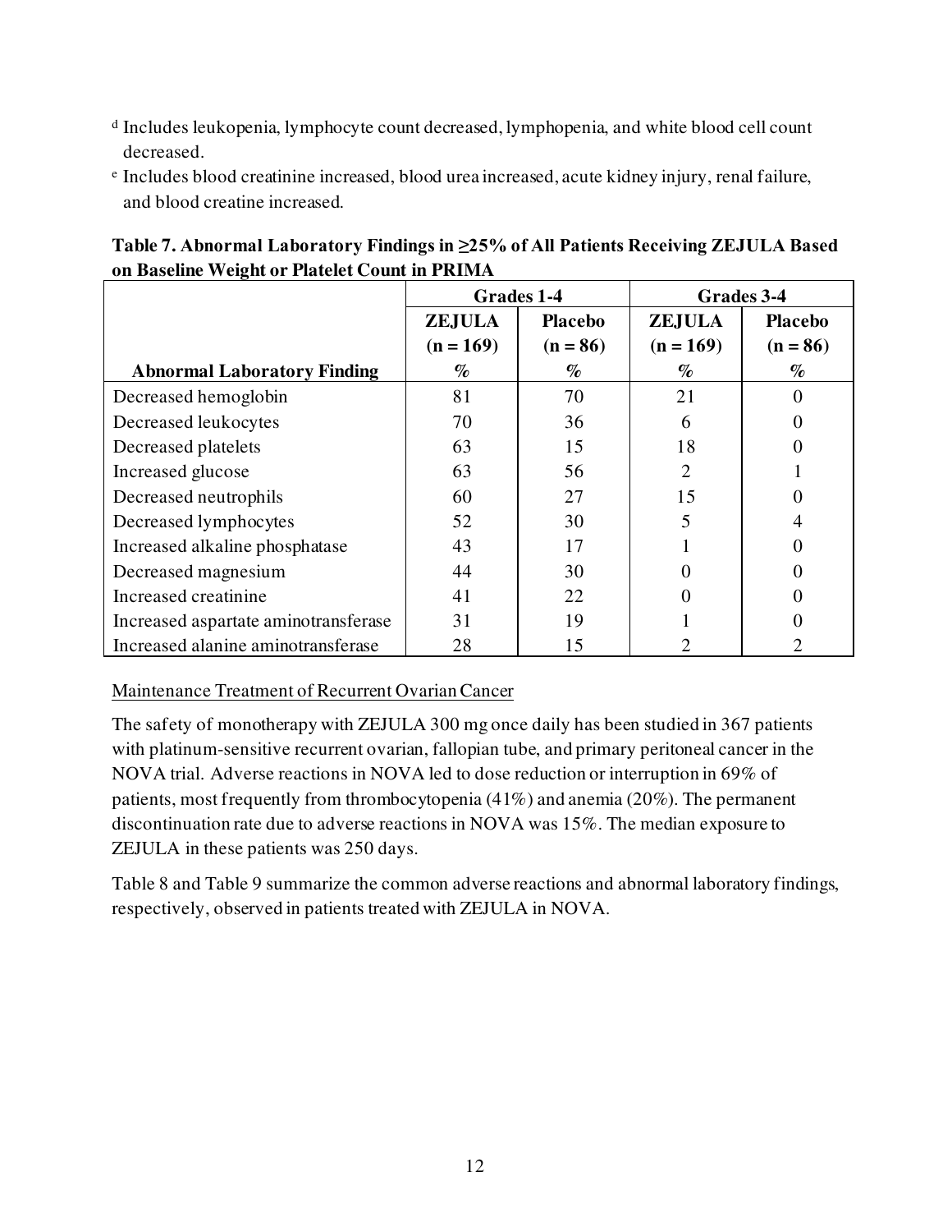- d Includes leukopenia, lymphocyte count decreased, lymphopenia, and white blood cell count decreased.
- e Includes blood creatinine increased, blood urea increased, acute kidney injury, renal failure, and blood creatine increased.

|                                      | Grades 1-4    |                |                | Grades 3-4     |
|--------------------------------------|---------------|----------------|----------------|----------------|
|                                      | <b>ZEJULA</b> | <b>Placebo</b> | <b>ZEJULA</b>  | <b>Placebo</b> |
|                                      | $(n = 169)$   | $(n = 86)$     | $(n = 169)$    | $(n = 86)$     |
| <b>Abnormal Laboratory Finding</b>   | $\%$          | $\%$           | $\%$           | $\%$           |
| Decreased hemoglobin                 | 81            | 70             | 21             |                |
| Decreased leukocytes                 | 70            | 36             | 6              |                |
| Decreased platelets                  | 63            | 15             | 18             |                |
| Increased glucose                    | 63            | 56             | $\overline{2}$ |                |
| Decreased neutrophils                | 60            | 27             | 15             |                |
| Decreased lymphocytes                | 52            | 30             | 5              |                |
| Increased alkaline phosphatase       | 43            | 17             |                |                |
| Decreased magnesium                  | 44            | 30             |                |                |
| Increased creatinine                 | 41            | 22             |                |                |
| Increased aspartate aminotransferase | 31            | 19             |                |                |
| Increased alanine aminotransferase   | 28            | 15             |                |                |

**Table 7. Abnormal Laboratory Findings in ≥25% of All Patients Receiving ZEJULA Based on Baseline Weight or Platelet Count in PRIMA**

### Maintenance Treatment of Recurrent Ovarian Cancer

The safety of monotherapy with ZEJULA 300 mg once daily has been studied in 367 patients with platinum-sensitive recurrent ovarian, fallopian tube, and primary peritoneal cancer in the NOVA trial. Adverse reactions in NOVA led to dose reduction or interruption in 69% of patients, most frequently from thrombocytopenia (41%) and anemia (20%). The permanent discontinuation rate due to adverse reactions in NOVA was 15%. The median exposure to ZEJULA in these patients was 250 days.

Table 8 and Table 9 summarize the common adverse reactions and abnormal laboratory findings, respectively, observed in patients treated with ZEJULA in NOVA.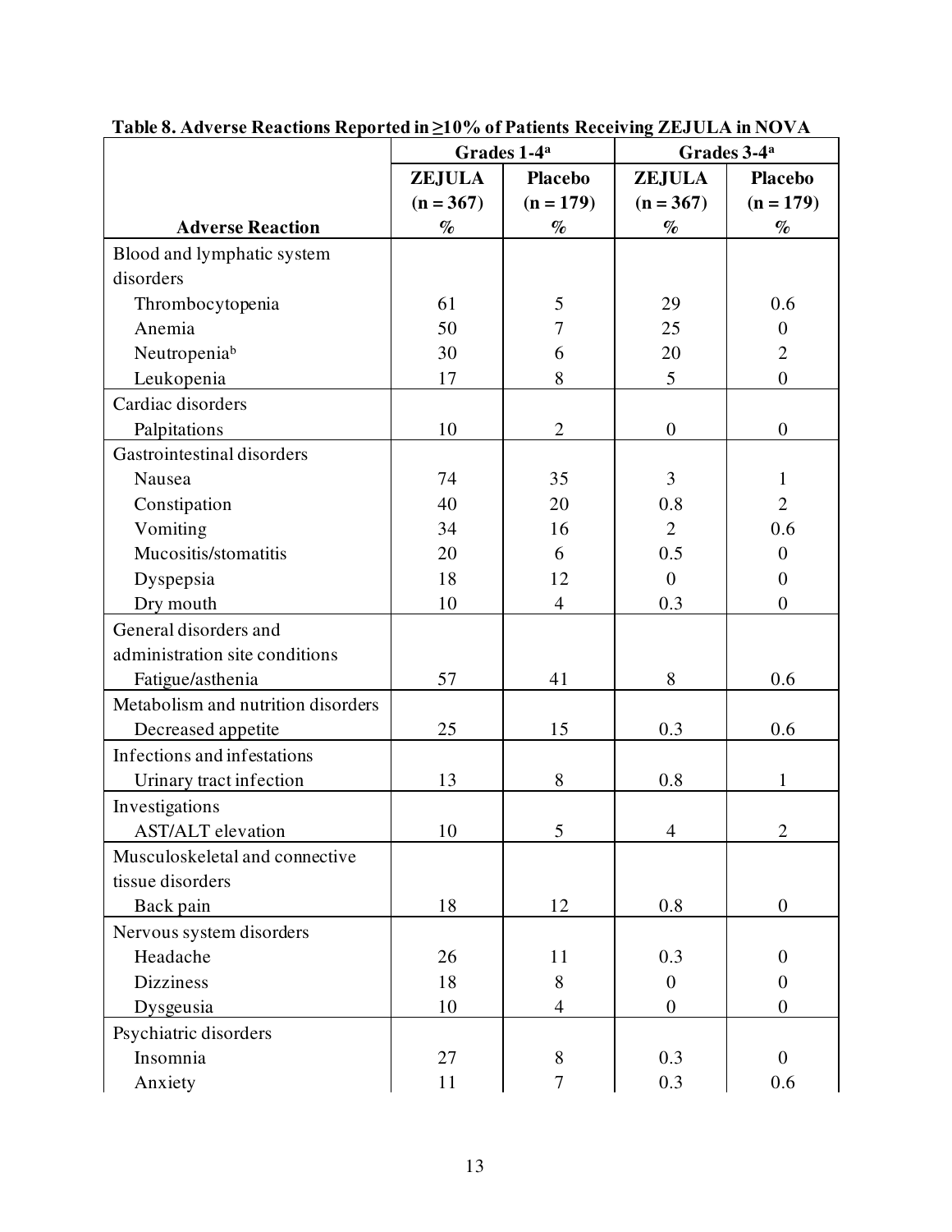|                                    | Grades 1-4 <sup>a</sup> |                  | Grades 3-4 <sup>a</sup> |                  |
|------------------------------------|-------------------------|------------------|-------------------------|------------------|
|                                    | <b>ZEJULA</b>           | <b>Placebo</b>   | <b>ZEJULA</b>           | <b>Placebo</b>   |
|                                    | $(n = 367)$             | $(n = 179)$      | $(n = 367)$             | $(n = 179)$      |
| <b>Adverse Reaction</b>            | $\%$                    | $\%$             | $\%$                    | $\%$             |
| Blood and lymphatic system         |                         |                  |                         |                  |
| disorders                          |                         |                  |                         |                  |
| Thrombocytopenia                   | 61                      | 5                | 29                      | 0.6              |
| Anemia                             | 50                      | $\overline{7}$   | 25                      | $\overline{0}$   |
| Neutropeniab                       | 30                      | 6                | 20                      | $\overline{2}$   |
| Leukopenia                         | 17                      | 8                | 5                       | $\overline{0}$   |
| Cardiac disorders                  |                         |                  |                         |                  |
| Palpitations                       | 10                      | $\mathbf{2}$     | $\boldsymbol{0}$        | $\boldsymbol{0}$ |
| Gastrointestinal disorders         |                         |                  |                         |                  |
| Nausea                             | 74                      | 35               | $\overline{3}$          | 1                |
| Constipation                       | 40                      | 20               | 0.8                     | $\overline{2}$   |
| Vomiting                           | 34                      | 16               | $\overline{2}$          | 0.6              |
| Mucositis/stomatitis               | 20                      | 6                | 0.5                     | $\overline{0}$   |
| Dyspepsia                          | 18                      | 12               | $\overline{0}$          | $\theta$         |
| Dry mouth                          | 10                      | $\overline{4}$   | 0.3                     | $\overline{0}$   |
| General disorders and              |                         |                  |                         |                  |
| administration site conditions     |                         |                  |                         |                  |
| Fatigue/asthenia                   | 57                      | 41               | 8                       | 0.6              |
| Metabolism and nutrition disorders |                         |                  |                         |                  |
| Decreased appetite                 | 25                      | 15               | 0.3                     | 0.6              |
| Infections and infestations        |                         |                  |                         |                  |
| Urinary tract infection            | 13                      | 8                | 0.8                     | $\mathbf{1}$     |
| Investigations                     |                         |                  |                         |                  |
| <b>AST/ALT</b> elevation           | 10                      | 5                | $\overline{4}$          | $\overline{2}$   |
| Musculoskeletal and connective     |                         |                  |                         |                  |
| tissue disorders                   |                         |                  |                         |                  |
| Back pain                          | 18                      | 12               | 0.8                     | $\boldsymbol{0}$ |
| Nervous system disorders           |                         |                  |                         |                  |
| Headache                           | 26                      | 11               | 0.3                     | $\overline{0}$   |
| <b>Dizziness</b>                   | 18                      | 8                | $\theta$                | $\overline{0}$   |
| Dysgeusia                          | 10                      | 4                | $\boldsymbol{0}$        | $\theta$         |
| Psychiatric disorders              |                         |                  |                         |                  |
| Insomnia                           | 27                      | 8                | 0.3                     | $\overline{0}$   |
| Anxiety                            | 11                      | $\boldsymbol{7}$ | 0.3                     | 0.6              |

**Table 8. Adverse Reactions Reported in ≥10% of Patients Receiving ZEJULA in NOVA**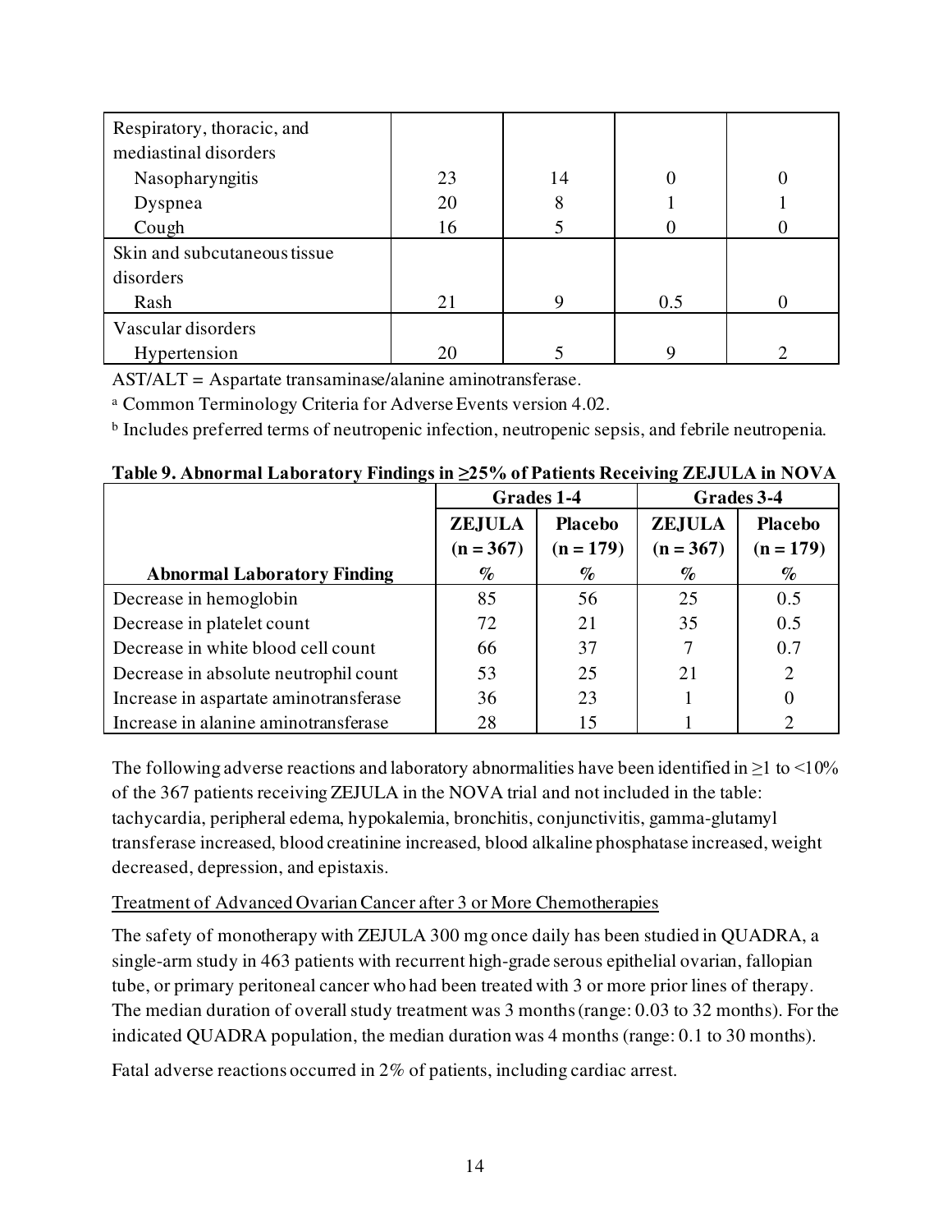| Respiratory, thoracic, and   |    |    |     |  |
|------------------------------|----|----|-----|--|
| mediastinal disorders        |    |    |     |  |
| Nasopharyngitis              | 23 | 14 |     |  |
| Dyspnea                      | 20 | 8  |     |  |
| Cough                        | 16 |    |     |  |
| Skin and subcutaneous tissue |    |    |     |  |
| disorders                    |    |    |     |  |
| Rash                         | 21 | 9  | 0.5 |  |
| Vascular disorders           |    |    |     |  |
| Hypertension                 | 20 |    | Q   |  |

AST/ALT = Aspartate transaminase/alanine aminotransferase.

<sup>a</sup> Common Terminology Criteria for Adverse Events version 4.02.

<sup>b</sup> Includes preferred terms of neutropenic infection, neutropenic sepsis, and febrile neutropenia.

|                                        | Grades 1-4    |                | Grades 3-4    |                             |
|----------------------------------------|---------------|----------------|---------------|-----------------------------|
|                                        | <b>ZEJULA</b> | <b>Placebo</b> | <b>ZEJULA</b> | <b>Placebo</b>              |
|                                        | $(n = 367)$   | $(n = 179)$    | $(n = 367)$   | $(n = 179)$                 |
| <b>Abnormal Laboratory Finding</b>     | $\%$          | $\%$           | $\%$          | $\%$                        |
| Decrease in hemoglobin                 | 85            | 56             | 25            | 0.5                         |
| Decrease in platelet count             | 72            | 21             | 35            | 0.5                         |
| Decrease in white blood cell count     | 66            | 37             |               | 0.7                         |
| Decrease in absolute neutrophil count  | 53            | 25             | 21            | $\overline{2}$              |
| Increase in aspartate aminotransferase | 36            | 23             |               | 0                           |
| Increase in alanine aminotransferase   | 28            | 15             |               | $\mathcal{D}_{\mathcal{L}}$ |

**Table 9. Abnormal Laboratory Findings in ≥25% of Patients Receiving ZEJULA in NOVA**

The following adverse reactions and laboratory abnormalities have been identified in  $\geq 1$  to  $\leq 10\%$ of the 367 patients receiving ZEJULA in the NOVA trial and not included in the table: tachycardia, peripheral edema, hypokalemia, bronchitis, conjunctivitis, gamma-glutamyl transferase increased, blood creatinine increased, blood alkaline phosphatase increased, weight decreased, depression, and epistaxis.

# Treatment of Advanced Ovarian Cancer after 3 or More Chemotherapies

The safety of monotherapy with ZEJULA 300 mg once daily has been studied in QUADRA, a single-arm study in 463 patients with recurrent high-grade serous epithelial ovarian, fallopian tube, or primary peritoneal cancer who had been treated with 3 or more prior lines of therapy. The median duration of overall study treatment was 3 months (range: 0.03 to 32 months). For the indicated QUADRA population, the median duration was 4 months (range: 0.1 to 30 months).

Fatal adverse reactions occurred in 2% of patients, including cardiac arrest.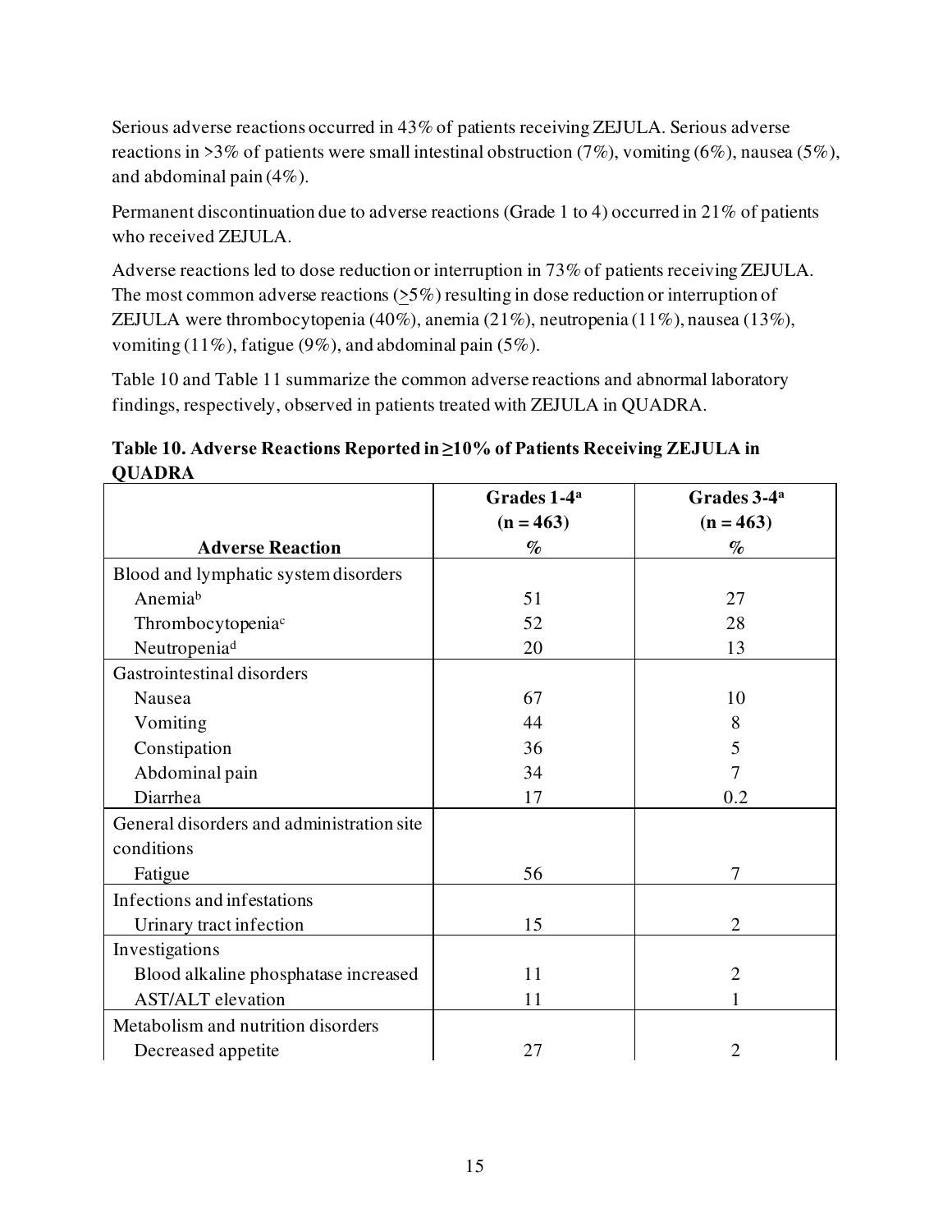Serious adverse reactions occurred in 43% of patients receiving ZEJULA. Serious adverse reactions in >3% of patients were small intestinal obstruction  $(7\%)$ , vomiting  $(6\%)$ , nausea  $(5\%)$ , and abdominal pain (4%).

Permanent discontinuation due to adverse reactions (Grade 1 to 4) occurred in 21% of patients who received ZEJULA.

Adverse reactions led to dose reduction or interruption in 73% of patients receiving ZEJULA. The most common adverse reactions (>5%) resulting in dose reduction or interruption of ZEJULA were thrombocytopenia (40%), anemia (21%), neutropenia (11%), nausea (13%), vomiting (11%), fatigue (9%), and abdominal pain (5%).

Table 10 and Table 11 summarize the common adverse reactions and abnormal laboratory findings, respectively, observed in patients treated with ZEJULA in QUADRA.

**Table 10. Adverse Reactions Reported in ≥10% of Patients Receiving ZEJULA in QUADRA**

|                                           | Grades 1-4 <sup>a</sup> | Grades 3-4 <sup>a</sup> |
|-------------------------------------------|-------------------------|-------------------------|
|                                           | $(n = 463)$             | $(n = 463)$             |
| <b>Adverse Reaction</b>                   | $\%$                    | $\%$                    |
| Blood and lymphatic system disorders      |                         |                         |
| Anemiab                                   | 51                      | 27                      |
| Thrombocytopenia <sup>c</sup>             | 52                      | 28                      |
| Neutropenia <sup>d</sup>                  | 20                      | 13                      |
| Gastrointestinal disorders                |                         |                         |
| Nausea                                    | 67                      | 10                      |
| Vomiting                                  | 44                      | 8                       |
| Constipation                              | 36                      | 5                       |
| Abdominal pain                            | 34                      | 7                       |
| Diarrhea                                  | 17                      | 0.2                     |
| General disorders and administration site |                         |                         |
| conditions                                |                         |                         |
| Fatigue                                   | 56                      | $\overline{7}$          |
| Infections and infestations               |                         |                         |
| Urinary tract infection                   | 15                      | $\overline{2}$          |
| Investigations                            |                         |                         |
| Blood alkaline phosphatase increased      | 11                      | $\overline{2}$          |
| <b>AST/ALT</b> elevation                  | 11                      | 1                       |
| Metabolism and nutrition disorders        |                         |                         |
| Decreased appetite                        | 27                      | $\overline{2}$          |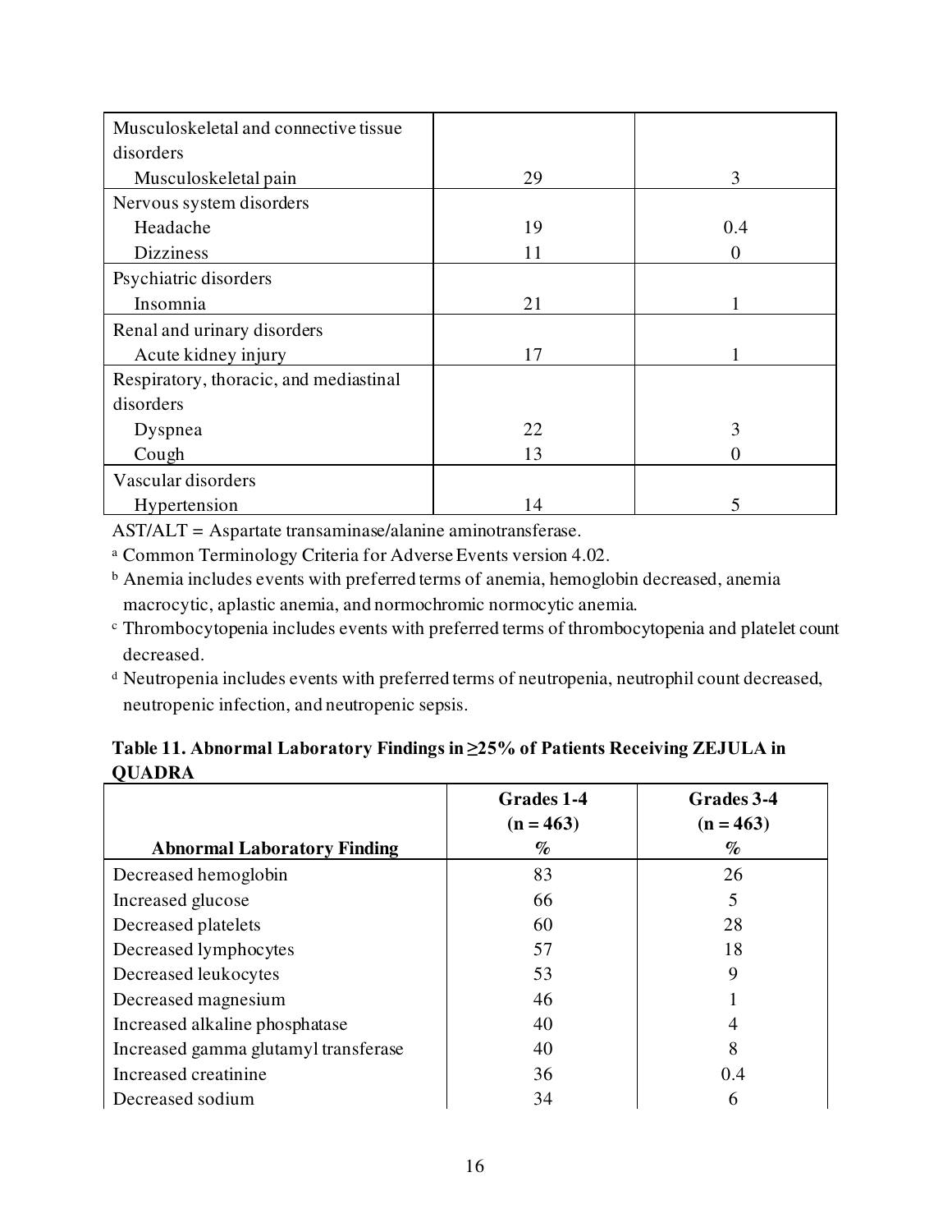| Musculoskeletal and connective tissue  |    |     |
|----------------------------------------|----|-----|
| disorders                              |    |     |
| Musculoskeletal pain                   | 29 | 3   |
| Nervous system disorders               |    |     |
| Headache                               | 19 | 0.4 |
| <b>Dizziness</b>                       | 11 |     |
| Psychiatric disorders                  |    |     |
| Insomnia                               | 21 |     |
| Renal and urinary disorders            |    |     |
| Acute kidney injury                    | 17 |     |
| Respiratory, thoracic, and mediastinal |    |     |
| disorders                              |    |     |
| Dyspnea                                | 22 | 3   |
| Cough                                  | 13 |     |
| Vascular disorders                     |    |     |
| Hypertension                           | 14 | 5   |

AST/ALT = Aspartate transaminase/alanine aminotransferase.

<sup>a</sup> Common Terminology Criteria for Adverse Events version 4.02.

<sup>b</sup> Anemia includes events with preferred terms of anemia, hemoglobin decreased, anemia macrocytic, aplastic anemia, and normochromic normocytic anemia.

- <sup>c</sup> Thrombocytopenia includes events with preferred terms of thrombocytopenia and platelet count decreased.
- <sup>d</sup> Neutropenia includes events with preferred terms of neutropenia, neutrophil count decreased, neutropenic infection, and neutropenic sepsis.

| Table 11. Abnormal Laboratory Findings in ≥25% of Patients Receiving ZEJULA in |  |
|--------------------------------------------------------------------------------|--|
| <b>QUADRA</b>                                                                  |  |

|                                      | Grades 1-4<br>$(n = 463)$ | Grades 3-4<br>$(n = 463)$ |
|--------------------------------------|---------------------------|---------------------------|
| <b>Abnormal Laboratory Finding</b>   | $\%$                      | $\%$                      |
| Decreased hemoglobin                 | 83                        | 26                        |
| Increased glucose                    | 66                        | 5                         |
| Decreased platelets                  | 60                        | 28                        |
| Decreased lymphocytes                | 57                        | 18                        |
| Decreased leukocytes                 | 53                        | 9                         |
| Decreased magnesium                  | 46                        |                           |
| Increased alkaline phosphatase       | 40                        |                           |
| Increased gamma glutamyl transferase | 40                        | 8                         |
| Increased creatinine                 | 36                        | 0.4                       |
| Decreased sodium                     | 34                        | 6                         |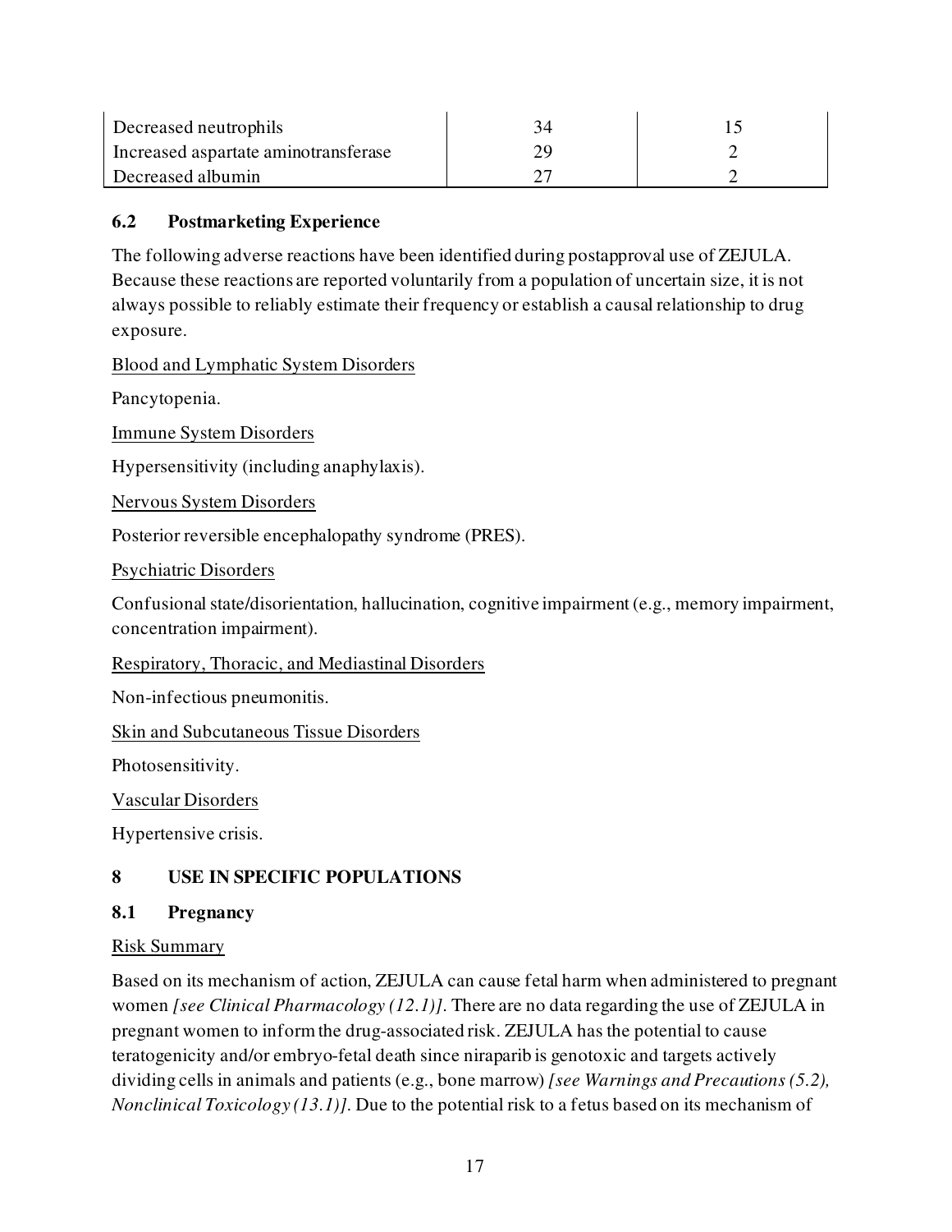| Decreased neutrophils                |  |
|--------------------------------------|--|
| Increased aspartate aminotransferase |  |
| Decreased albumin                    |  |

### <span id="page-16-0"></span>**6.2 Postmarketing Experience**

The following adverse reactions have been identified during postapproval use of ZEJULA. Because these reactions are reported voluntarily from a population of uncertain size, it is not always possible to reliably estimate their frequency or establish a causal relationship to drug exposure.

Blood and Lymphatic System Disorders

Pancytopenia.

Immune System Disorders

Hypersensitivity (including anaphylaxis).

Nervous System Disorders

Posterior reversible encephalopathy syndrome (PRES).

Psychiatric Disorders

Confusional state/disorientation, hallucination, cognitive impairment (e.g., memory impairment, concentration impairment).

Respiratory, Thoracic, and Mediastinal Disorders

Non-infectious pneumonitis.

Skin and Subcutaneous Tissue Disorders

Photosensitivity.

Vascular Disorders

<span id="page-16-1"></span>Hypertensive crisis.

# **8 USE IN SPECIFIC POPULATIONS**

### <span id="page-16-2"></span>**8.1 Pregnancy**

### Risk Summary

Based on its mechanism of action, ZEJULA can cause fetal harm when administered to pregnant women *[see Clinical Pharmacology (12.1)]*. There are no data regarding the use of ZEJULA in pregnant women to inform the drug-associated risk. ZEJULA has the potential to cause teratogenicity and/or embryo-fetal death since niraparib is genotoxic and targets actively dividing cells in animals and patients (e.g., bone marrow) *[see Warnings and Precautions (5.2), Nonclinical Toxicology (13.1)]*. Due to the potential risk to a fetus based on its mechanism of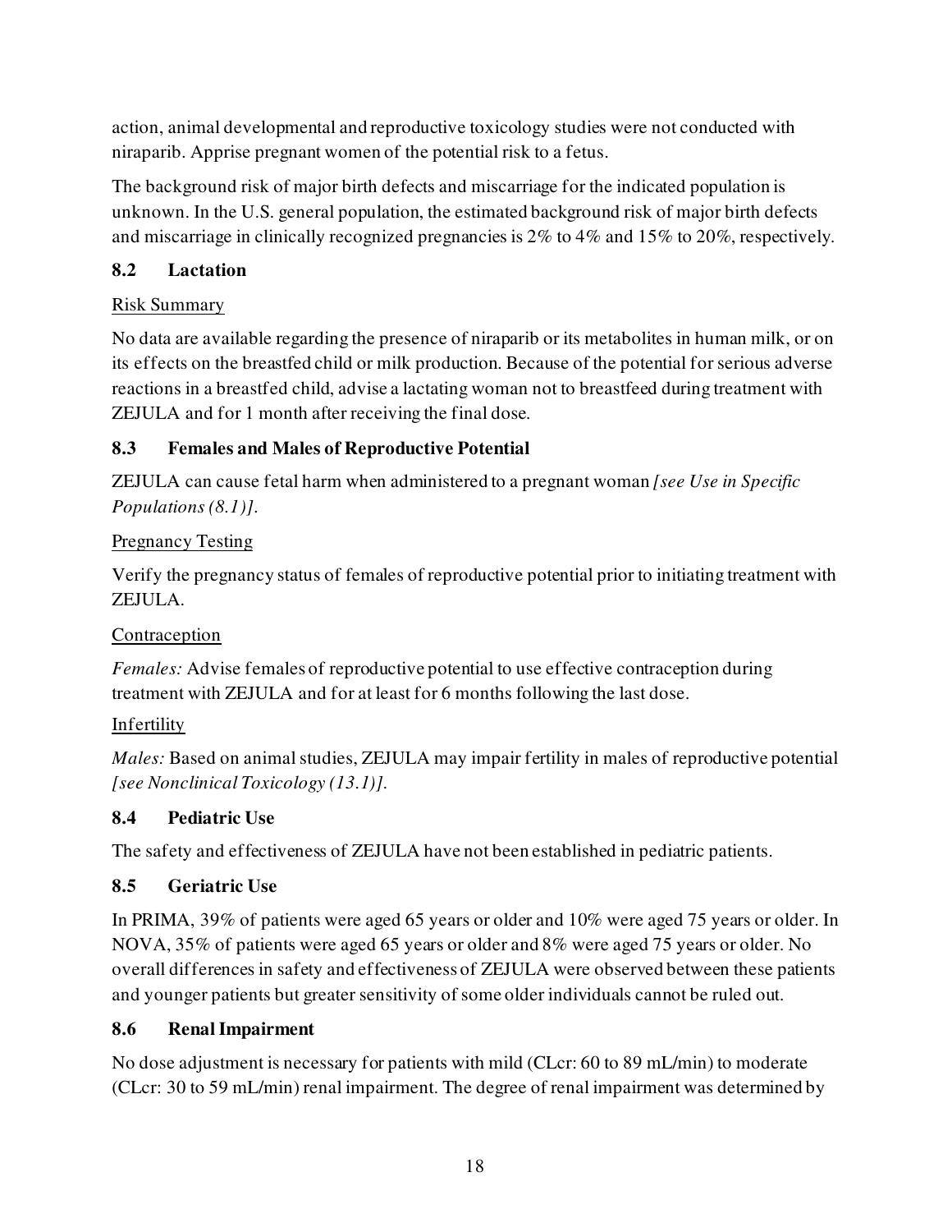action, animal developmental and reproductive toxicology studies were not conducted with niraparib. Apprise pregnant women of the potential risk to a fetus.

The background risk of major birth defects and miscarriage for the indicated population is unknown. In the U.S. general population, the estimated background risk of major birth defects and miscarriage in clinically recognized pregnancies is 2% to 4% and 15% to 20%, respectively.

### <span id="page-17-0"></span>**8.2 Lactation**

### Risk Summary

No data are available regarding the presence of niraparib or its metabolites in human milk, or on its effects on the breastfed child or milk production. Because of the potential for serious adverse reactions in a breastfed child, advise a lactating woman not to breastfeed during treatment with ZEJULA and for 1 month after receiving the final dose.

## <span id="page-17-1"></span>**8.3 Females and Males of Reproductive Potential**

ZEJULA can cause fetal harm when administered to a pregnant woman *[see Use in Specific Populations (8.1)]*.

## Pregnancy Testing

Verify the pregnancy status of females of reproductive potential prior to initiating treatment with ZEJULA.

# Contraception

*Females:* Advise females of reproductive potential to use effective contraception during treatment with ZEJULA and for at least for 6 months following the last dose.

# Infertility

*Males:* Based on animal studies, ZEJULA may impair fertility in males of reproductive potential *[see Nonclinical Toxicology (13.1)]*.

### <span id="page-17-2"></span>**8.4 Pediatric Use**

The safety and effectiveness of ZEJULA have not been established in pediatric patients.

# <span id="page-17-3"></span>**8.5 Geriatric Use**

In PRIMA, 39% of patients were aged 65 years or older and 10% were aged 75 years or older. In NOVA, 35% of patients were aged 65 years or older and 8% were aged 75 years or older. No overall differences in safety and effectiveness of ZEJULA were observed between these patients and younger patients but greater sensitivity of some older individuals cannot be ruled out.

### <span id="page-17-4"></span>**8.6 Renal Impairment**

No dose adjustment is necessary for patients with mild (CLcr: 60 to 89 mL/min) to moderate (CLcr: 30 to 59 mL/min) renal impairment. The degree of renal impairment was determined by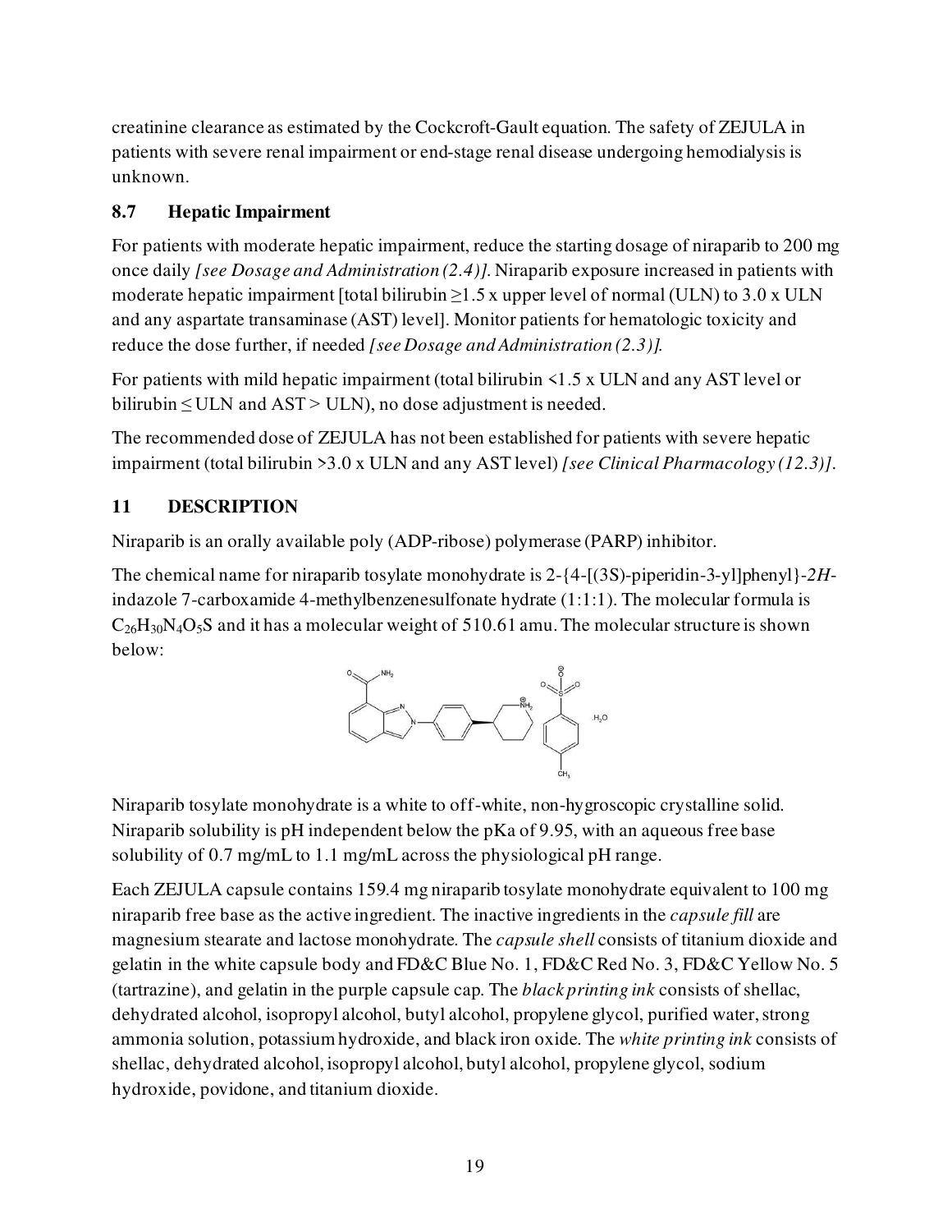creatinine clearance as estimated by the Cockcroft-Gault equation. The safety of ZEJULA in patients with severe renal impairment or end-stage renal disease undergoing hemodialysis is unknown.

# <span id="page-18-0"></span>**8.7 Hepatic Impairment**

For patients with moderate hepatic impairment, reduce the starting dosage of niraparib to 200 mg once daily *[see Dosage and Administration (2.4)].* Niraparib exposure increased in patients with moderate hepatic impairment [total bilirubin  $\geq$ 1.5 x upper level of normal (ULN) to 3.0 x ULN and any aspartate transaminase (AST) level]. Monitor patients for hematologic toxicity and reduce the dose further, if needed *[see Dosage and Administration (2.3)].*

For patients with mild hepatic impairment (total bilirubin <1.5 x ULN and any AST level or bilirubin  $\leq$  ULN and AST > ULN), no dose adjustment is needed.

The recommended dose of ZEJULA has not been established for patients with severe hepatic impairment (total bilirubin >3.0 x ULN and any AST level) *[see Clinical Pharmacology (12.3)]*.

# <span id="page-18-1"></span>**11 DESCRIPTION**

Niraparib is an orally available poly (ADP-ribose) polymerase (PARP) inhibitor.

The chemical name for niraparib tosylate monohydrate is 2-{4-[(3S)-piperidin-3-yl]phenyl}-*2H*indazole 7-carboxamide 4-methylbenzenesulfonate hydrate (1:1:1). The molecular formula is  $C_{26}H_{30}N_4O_5S$  and it has a molecular weight of 510.61 amu. The molecular structure is shown below:



Niraparib tosylate monohydrate is a white to off-white, non-hygroscopic crystalline solid. Niraparib solubility is pH independent below the pKa of 9.95, with an aqueous free base solubility of 0.7 mg/mL to 1.1 mg/mL across the physiological pH range.

Each ZEJULA capsule contains 159.4 mg niraparib tosylate monohydrate equivalent to 100 mg niraparib free base as the active ingredient. The inactive ingredients in the *capsule fill* are magnesium stearate and lactose monohydrate. The *capsule shell* consists of titanium dioxide and gelatin in the white capsule body and FD&C Blue No. 1, FD&C Red No. 3, FD&C Yellow No. 5 (tartrazine), and gelatin in the purple capsule cap. The *black printing ink* consists of shellac, dehydrated alcohol, isopropyl alcohol, butyl alcohol, propylene glycol, purified water, strong ammonia solution, potassium hydroxide, and black iron oxide. The *white printing ink* consists of shellac, dehydrated alcohol, isopropyl alcohol, butyl alcohol, propylene glycol, sodium hydroxide, povidone, and titanium dioxide.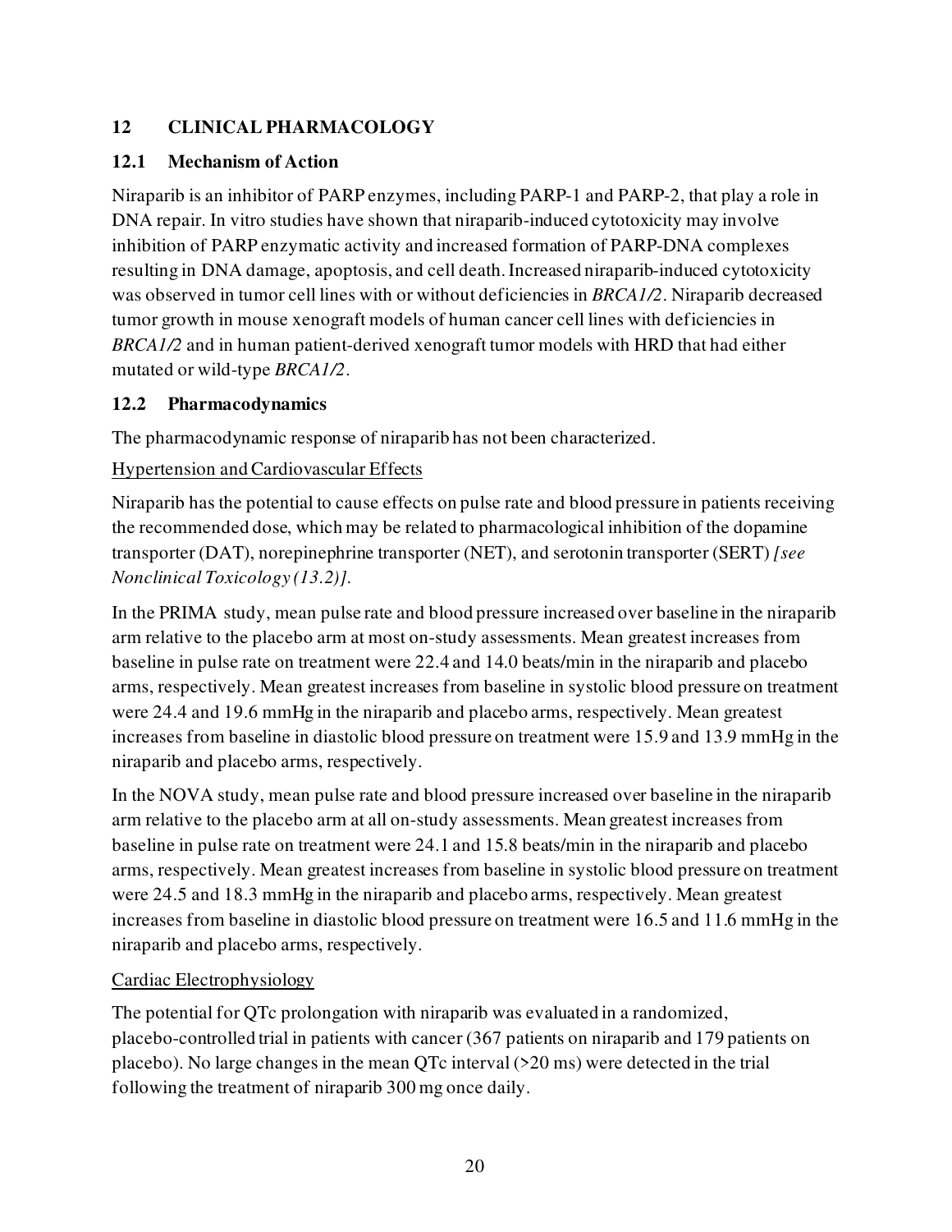# <span id="page-19-0"></span>**12 CLINICAL PHARMACOLOGY**

# <span id="page-19-1"></span>**12.1 Mechanism of Action**

Niraparib is an inhibitor of PARP enzymes, including PARP-1 and PARP-2, that play a role in DNA repair. In vitro studies have shown that niraparib-induced cytotoxicity may involve inhibition of PARP enzymatic activity and increased formation of PARP-DNA complexes resulting in DNA damage, apoptosis, and cell death. Increased niraparib-induced cytotoxicity was observed in tumor cell lines with or without deficiencies in *BRCA1/2*. Niraparib decreased tumor growth in mouse xenograft models of human cancer cell lines with deficiencies in *BRCA1/2* and in human patient-derived xenograft tumor models with HRD that had either mutated or wild-type *BRCA1/2*.

# <span id="page-19-2"></span>**12.2 Pharmacodynamics**

The pharmacodynamic response of niraparib has not been characterized.

# Hypertension and Cardiovascular Effects

Niraparib has the potential to cause effects on pulse rate and blood pressure in patients receiving the recommended dose, which may be related to pharmacological inhibition of the dopamine transporter (DAT), norepinephrine transporter (NET), and serotonin transporter (SERT) *[see Nonclinical Toxicology (13.2)]*.

In the PRIMA study, mean pulse rate and blood pressure increased over baseline in the niraparib arm relative to the placebo arm at most on-study assessments. Mean greatest increases from baseline in pulse rate on treatment were 22.4 and 14.0 beats/min in the niraparib and placebo arms, respectively. Mean greatest increases from baseline in systolic blood pressure on treatment were 24.4 and 19.6 mmHg in the niraparib and placebo arms, respectively. Mean greatest increases from baseline in diastolic blood pressure on treatment were 15.9 and 13.9 mmHg in the niraparib and placebo arms, respectively.

In the NOVA study, mean pulse rate and blood pressure increased over baseline in the niraparib arm relative to the placebo arm at all on-study assessments. Mean greatest increases from baseline in pulse rate on treatment were 24.1 and 15.8 beats/min in the niraparib and placebo arms, respectively. Mean greatest increases from baseline in systolic blood pressure on treatment were 24.5 and 18.3 mmHg in the niraparib and placebo arms, respectively. Mean greatest increases from baseline in diastolic blood pressure on treatment were 16.5 and 11.6 mmHg in the niraparib and placebo arms, respectively.

# Cardiac Electrophysiology

The potential for QTc prolongation with niraparib was evaluated in a randomized, placebo-controlled trial in patients with cancer (367 patients on niraparib and 179 patients on placebo). No large changes in the mean QTc interval (>20 ms) were detected in the trial following the treatment of niraparib 300 mg once daily.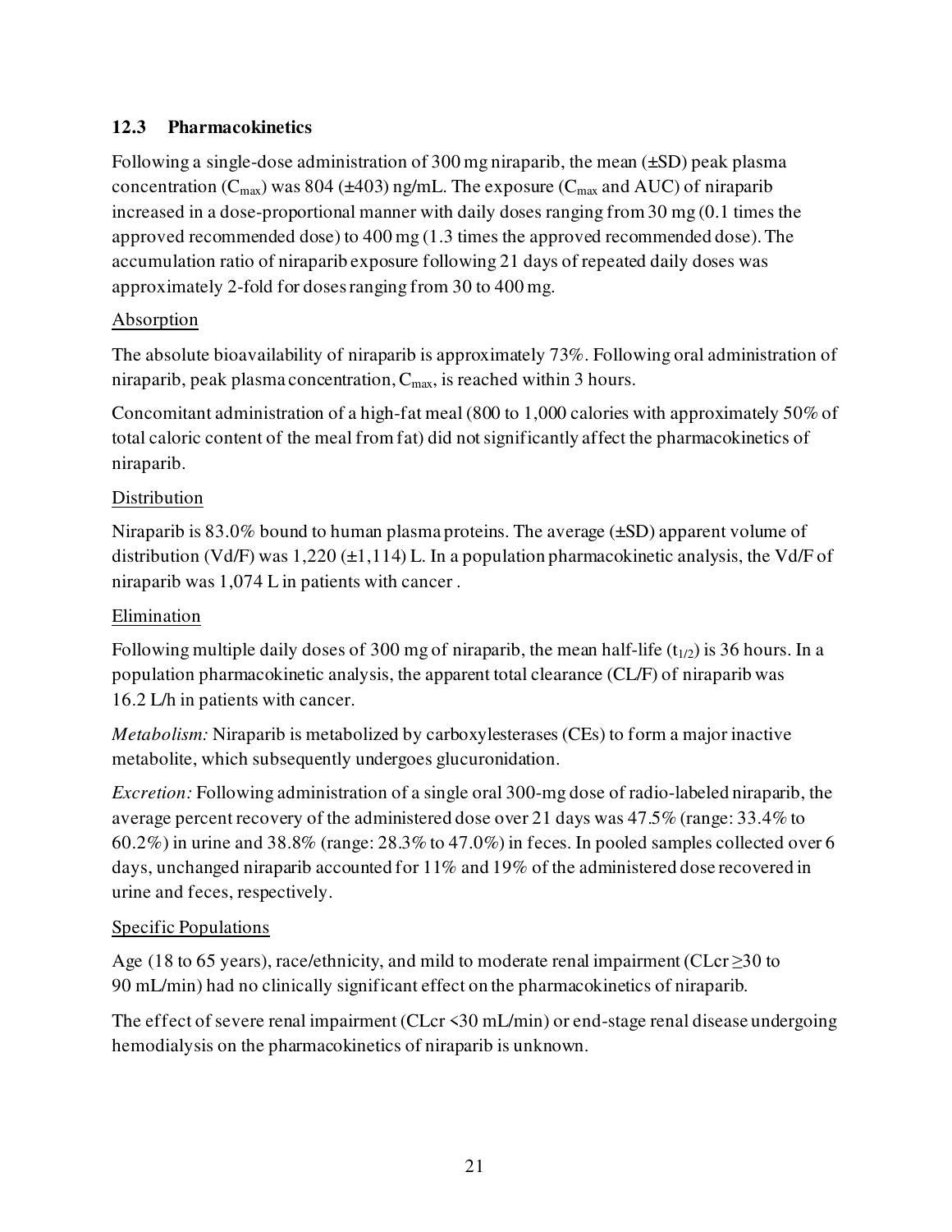# <span id="page-20-0"></span>**12.3 Pharmacokinetics**

Following a single-dose administration of 300 mg niraparib, the mean (±SD) peak plasma concentration ( $C_{\text{max}}$ ) was 804 ( $\pm$ 403) ng/mL. The exposure ( $C_{\text{max}}$  and AUC) of niraparib increased in a dose-proportional manner with daily doses ranging from 30 mg (0.1 times the approved recommended dose) to 400 mg (1.3 times the approved recommended dose). The accumulation ratio of niraparib exposure following 21 days of repeated daily doses was approximately 2-fold for doses ranging from 30 to 400 mg.

# Absorption

The absolute bioavailability of niraparib is approximately 73%. Following oral administration of niraparib, peak plasma concentration,  $C_{\text{max}}$ , is reached within 3 hours.

Concomitant administration of a high-fat meal (800 to 1,000 calories with approximately 50% of total caloric content of the meal from fat) did not significantly affect the pharmacokinetics of niraparib.

# Distribution

Niraparib is 83.0% bound to human plasma proteins. The average  $(\pm SD)$  apparent volume of distribution (Vd/F) was  $1,220 \pm 1,114$ ) L. In a population pharmacokinetic analysis, the Vd/F of niraparib was 1,074 L in patients with cancer .

## Elimination

Following multiple daily doses of 300 mg of niraparib, the mean half-life  $(t_{1/2})$  is 36 hours. In a population pharmacokinetic analysis, the apparent total clearance (CL/F) of niraparib was 16.2 L/h in patients with cancer.

*Metabolism:* Niraparib is metabolized by carboxylesterases (CEs) to form a major inactive metabolite, which subsequently undergoes glucuronidation.

*Excretion:* Following administration of a single oral 300-mg dose of radio-labeled niraparib, the average percent recovery of the administered dose over 21 days was 47.5% (range: 33.4% to 60.2%) in urine and 38.8% (range: 28.3% to 47.0%) in feces. In pooled samples collected over 6 days, unchanged niraparib accounted for 11% and 19% of the administered dose recovered in urine and feces, respectively.

# Specific Populations

Age (18 to 65 years), race/ethnicity, and mild to moderate renal impairment (CLcr  $\geq$ 30 to 90 mL/min) had no clinically significant effect on the pharmacokinetics of niraparib.

The effect of severe renal impairment (CLcr <30 mL/min) or end-stage renal disease undergoing hemodialysis on the pharmacokinetics of niraparib is unknown.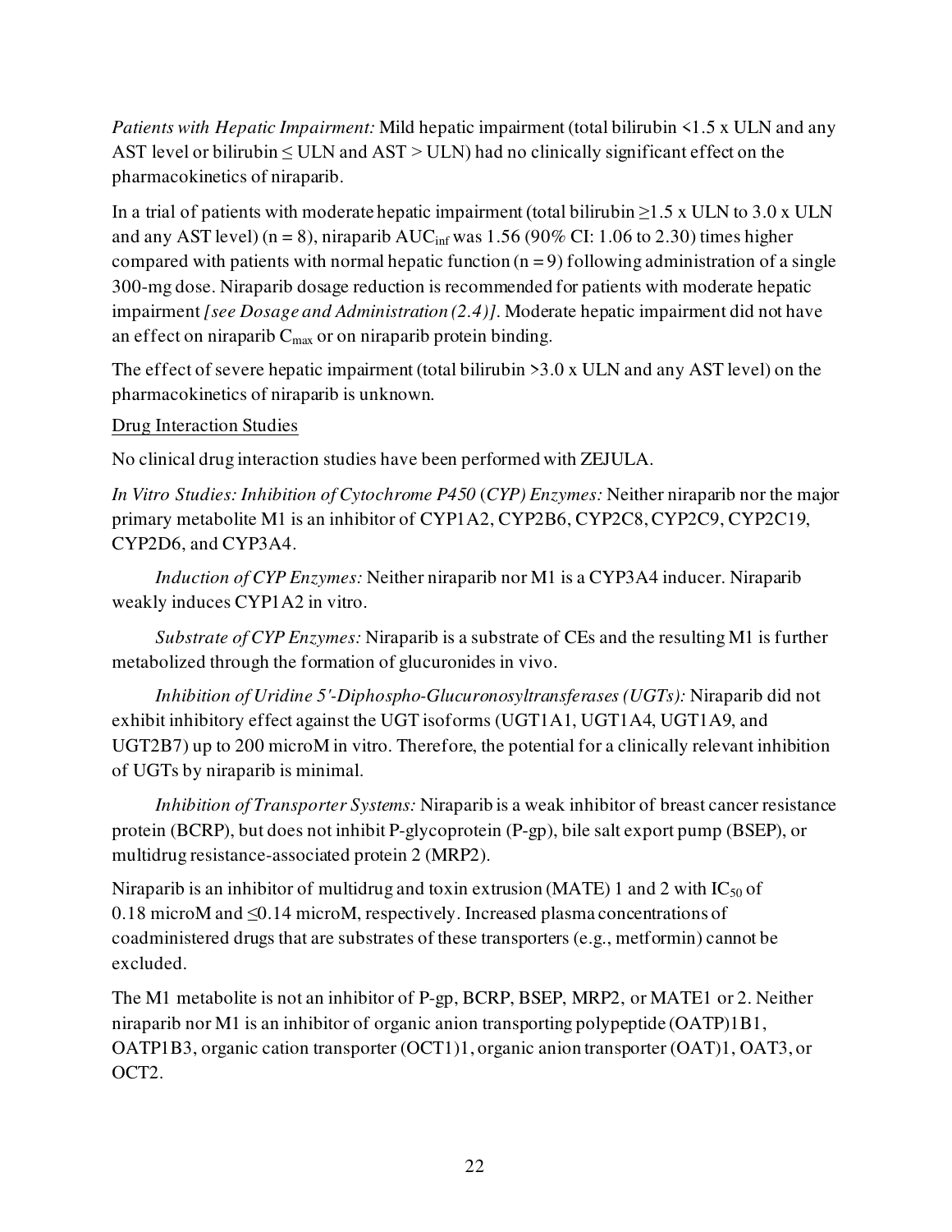*Patients with Hepatic Impairment:* Mild hepatic impairment (total bilirubin <1.5 x ULN and any AST level or bilirubin  $\leq$  ULN and AST  $>$  ULN) had no clinically significant effect on the pharmacokinetics of niraparib.

In a trial of patients with moderate hepatic impairment (total bilirubin  $\geq$ 1.5 x ULN to 3.0 x ULN and any AST level) (n = 8), niraparib  $AUC_{inf}$  was 1.56 (90% CI: 1.06 to 2.30) times higher compared with patients with normal hepatic function  $(n = 9)$  following administration of a single 300-mg dose. Niraparib dosage reduction is recommended for patients with moderate hepatic impairment *[see Dosage and Administration (2.4)]*. Moderate hepatic impairment did not have an effect on niraparib  $C_{\text{max}}$  or on niraparib protein binding.

The effect of severe hepatic impairment (total bilirubin >3.0 x ULN and any AST level) on the pharmacokinetics of niraparib is unknown.

### Drug Interaction Studies

No clinical drug interaction studies have been performed with ZEJULA.

*In Vitro Studies: Inhibition of Cytochrome P450* (*CYP) Enzymes:* Neither niraparib nor the major primary metabolite M1 is an inhibitor of CYP1A2, CYP2B6, CYP2C8, CYP2C9, CYP2C19, CYP2D6, and CYP3A4.

*Induction of CYP Enzymes:* Neither niraparib nor M1 is a CYP3A4 inducer. Niraparib weakly induces CYP1A2 in vitro.

*Substrate of CYP Enzymes:* Niraparib is a substrate of CEs and the resulting M1 is further metabolized through the formation of glucuronides in vivo.

*Inhibition of Uridine 5'-Diphospho-Glucuronosyltransferases (UGTs):* Niraparib did not exhibit inhibitory effect against the UGT isoforms (UGT1A1, UGT1A4, UGT1A9, and UGT2B7) up to 200 microM in vitro. Therefore, the potential for a clinically relevant inhibition of UGTs by niraparib is minimal.

*Inhibition of Transporter Systems:* Niraparib is a weak inhibitor of breast cancer resistance protein (BCRP), but does not inhibit P-glycoprotein (P-gp), bile salt export pump (BSEP), or multidrug resistance-associated protein 2 (MRP2).

Niraparib is an inhibitor of multidrug and toxin extrusion (MATE) 1 and 2 with  $IC_{50}$  of 0.18 microM and ≤0.14 microM, respectively. Increased plasma concentrations of coadministered drugs that are substrates of these transporters (e.g., metformin) cannot be excluded.

The M1 metabolite is not an inhibitor of P-gp, BCRP, BSEP, MRP2, or MATE1 or 2. Neither niraparib nor M1 is an inhibitor of organic anion transporting polypeptide (OATP)1B1, OATP1B3, organic cation transporter (OCT1)1, organic anion transporter (OAT)1, OAT3, or OCT2.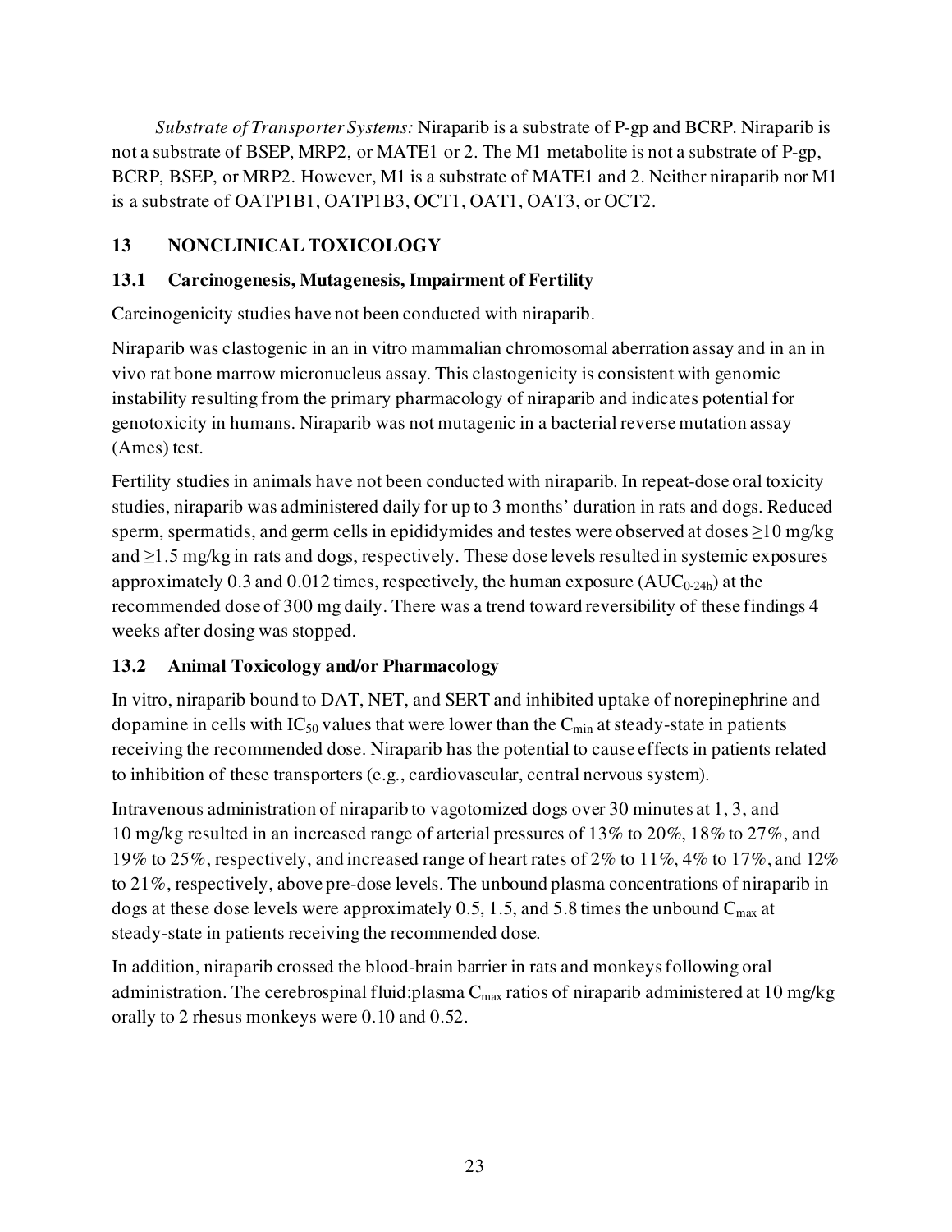*Substrate of Transporter Systems:* Niraparib is a substrate of P-gp and BCRP. Niraparib is not a substrate of BSEP, MRP2, or MATE1 or 2. The M1 metabolite is not a substrate of P-gp, BCRP, BSEP, or MRP2. However, M1 is a substrate of MATE1 and 2. Neither niraparib nor M1 is a substrate of OATP1B1, OATP1B3, OCT1, OAT1, OAT3, or OCT2.

# <span id="page-22-0"></span>**13 NONCLINICAL TOXICOLOGY**

## <span id="page-22-1"></span>**13.1 Carcinogenesis, Mutagenesis, Impairment of Fertility**

Carcinogenicity studies have not been conducted with niraparib.

Niraparib was clastogenic in an in vitro mammalian chromosomal aberration assay and in an in vivo rat bone marrow micronucleus assay. This clastogenicity is consistent with genomic instability resulting from the primary pharmacology of niraparib and indicates potential for genotoxicity in humans. Niraparib was not mutagenic in a bacterial reverse mutation assay (Ames) test.

Fertility studies in animals have not been conducted with niraparib. In repeat-dose oral toxicity studies, niraparib was administered daily for up to 3 months' duration in rats and dogs. Reduced sperm, spermatids, and germ cells in epididymides and testes were observed at doses ≥10 mg/kg and  $\geq$ 1.5 mg/kg in rats and dogs, respectively. These dose levels resulted in systemic exposures approximately  $0.3$  and  $0.012$  times, respectively, the human exposure ( $AUC_{0-24h}$ ) at the recommended dose of 300 mg daily. There was a trend toward reversibility of these findings 4 weeks after dosing was stopped.

# <span id="page-22-2"></span>**13.2 Animal Toxicology and/or Pharmacology**

In vitro, niraparib bound to DAT, NET, and SERT and inhibited uptake of norepinephrine and dopamine in cells with  $IC_{50}$  values that were lower than the  $C_{min}$  at steady-state in patients receiving the recommended dose. Niraparib has the potential to cause effects in patients related to inhibition of these transporters (e.g., cardiovascular, central nervous system).

Intravenous administration of niraparib to vagotomized dogs over 30 minutes at 1, 3, and 10 mg/kg resulted in an increased range of arterial pressures of 13% to 20%, 18% to 27%, and 19% to 25%, respectively, and increased range of heart rates of 2% to 11%, 4% to 17%, and 12% to 21%, respectively, above pre-dose levels. The unbound plasma concentrations of niraparib in dogs at these dose levels were approximately 0.5, 1.5, and 5.8 times the unbound  $C_{\text{max}}$  at steady-state in patients receiving the recommended dose.

In addition, niraparib crossed the blood-brain barrier in rats and monkeys following oral administration. The cerebrospinal fluid: plasma  $C_{\text{max}}$  ratios of niraparib administered at 10 mg/kg orally to 2 rhesus monkeys were 0.10 and 0.52.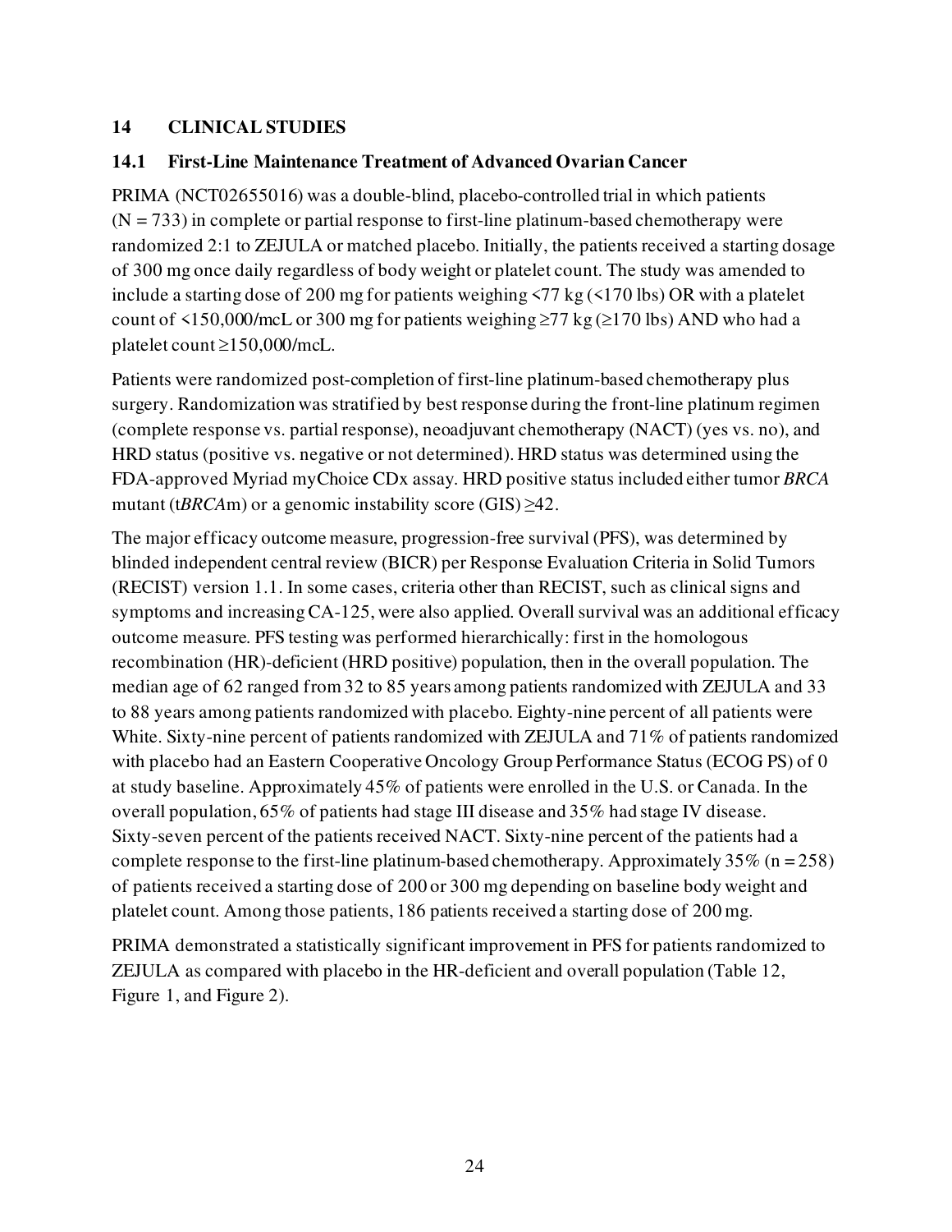## <span id="page-23-0"></span>**14 CLINICAL STUDIES**

### <span id="page-23-1"></span>**14.1 First-Line Maintenance Treatment of Advanced Ovarian Cancer**

PRIMA (NCT02655016) was a double-blind, placebo-controlled trial in which patients  $(N = 733)$  in complete or partial response to first-line platinum-based chemotherapy were randomized 2:1 to ZEJULA or matched placebo. Initially, the patients received a starting dosage of 300 mg once daily regardless of body weight or platelet count. The study was amended to include a starting dose of 200 mg for patients weighing <77 kg (<170 lbs) OR with a platelet count of <150,000/mcL or 300 mg for patients weighing  $\geq$ 77 kg ( $\geq$ 170 lbs) AND who had a platelet count ≥150,000/mcL.

Patients were randomized post-completion of first-line platinum-based chemotherapy plus surgery. Randomization was stratified by best response during the front-line platinum regimen (complete response vs. partial response), neoadjuvant chemotherapy (NACT) (yes vs. no), and HRD status (positive vs. negative or not determined). HRD status was determined using the FDA-approved Myriad myChoice CDx assay. HRD positive status included either tumor *BRCA*  mutant (t*BRCA*m) or a genomic instability score (GIS)  $\geq$ 42.

The major efficacy outcome measure, progression-free survival (PFS), was determined by blinded independent central review (BICR) per Response Evaluation Criteria in Solid Tumors (RECIST) version 1.1. In some cases, criteria other than RECIST, such as clinical signs and symptoms and increasing CA-125, were also applied. Overall survival was an additional efficacy outcome measure. PFS testing was performed hierarchically: first in the homologous recombination (HR)-deficient (HRD positive) population, then in the overall population. The median age of 62 ranged from 32 to 85 years among patients randomized with ZEJULA and 33 to 88 years among patients randomized with placebo. Eighty-nine percent of all patients were White. Sixty-nine percent of patients randomized with ZEJULA and 71% of patients randomized with placebo had an Eastern Cooperative Oncology Group Performance Status (ECOG PS) of 0 at study baseline. Approximately 45% of patients were enrolled in the U.S. or Canada. In the overall population, 65% of patients had stage III disease and 35% had stage IV disease. Sixty-seven percent of the patients received NACT. Sixty-nine percent of the patients had a complete response to the first-line platinum-based chemotherapy. Approximately  $35\%$  (n = 258) of patients received a starting dose of 200 or 300 mg depending on baseline body weight and platelet count. Among those patients, 186 patients received a starting dose of 200 mg.

PRIMA demonstrated a statistically significant improvement in PFS for patients randomized to ZEJULA as compared with placebo in the HR-deficient and overall population (Table 12, Figure 1, and Figure 2).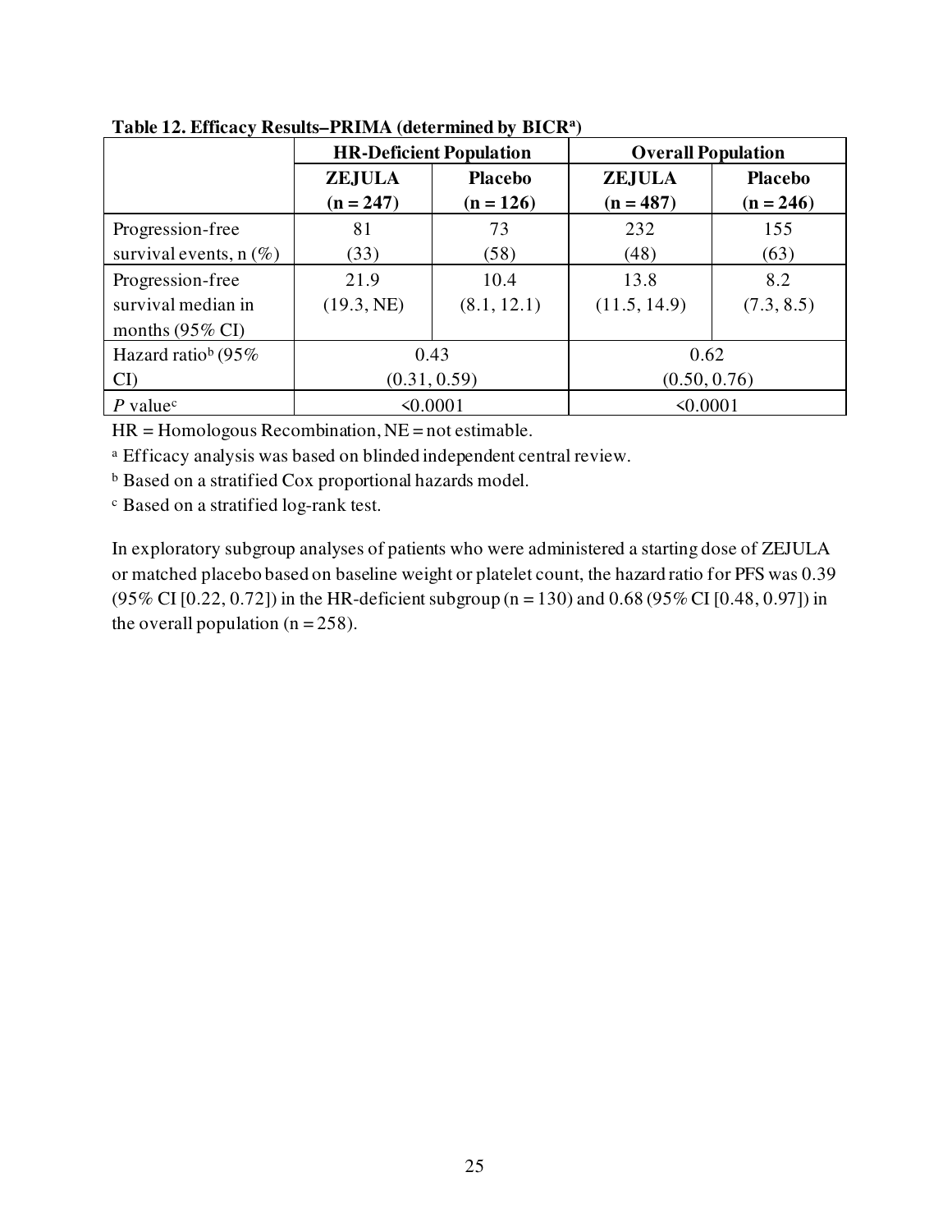|                                | <b>HR-Deficient Population</b> |                | <b>Overall Population</b> |                |
|--------------------------------|--------------------------------|----------------|---------------------------|----------------|
|                                | <b>ZEJULA</b>                  | <b>Placebo</b> | <b>ZEJULA</b>             | <b>Placebo</b> |
|                                | $(n = 247)$                    | $(n = 126)$    | $(n = 487)$               | $(n = 246)$    |
| Progression-free               | 81                             | 73             | 232                       | 155            |
| survival events, $n(\%)$       | (33)                           | (58)           | (48)                      | (63)           |
| Progression-free               | 21.9                           | 10.4           | 13.8                      | 8.2            |
| survival median in             | (19.3, NE)                     | (8.1, 12.1)    | (11.5, 14.9)              | (7.3, 8.5)     |
| months $(95\% \text{ CI})$     |                                |                |                           |                |
| Hazard ratio <sup>b</sup> (95% | 0.43<br>0.62                   |                |                           |                |
| CI                             | (0.31, 0.59)                   |                | (0.50, 0.76)              |                |
| $P$ value <sup>c</sup>         | $\leq 0.0001$                  |                | $\leq 0.0001$             |                |

**Table 12. Efficacy Results–PRIMA (determined by BICR<sup>a</sup> )** 

 $HR = Homologous Recombination, NE = not estimate.$ 

a Efficacy analysis was based on blinded independent central review.

b Based on a stratified Cox proportional hazards model.

c Based on a stratified log-rank test.

In exploratory subgroup analyses of patients who were administered a starting dose of ZEJULA or matched placebo based on baseline weight or platelet count, the hazard ratio for PFS was 0.39  $(95\% \text{ CI} [0.22, 0.72])$  in the HR-deficient subgroup (n = 130) and 0.68 (95% CI [0.48, 0.97]) in the overall population  $(n = 258)$ .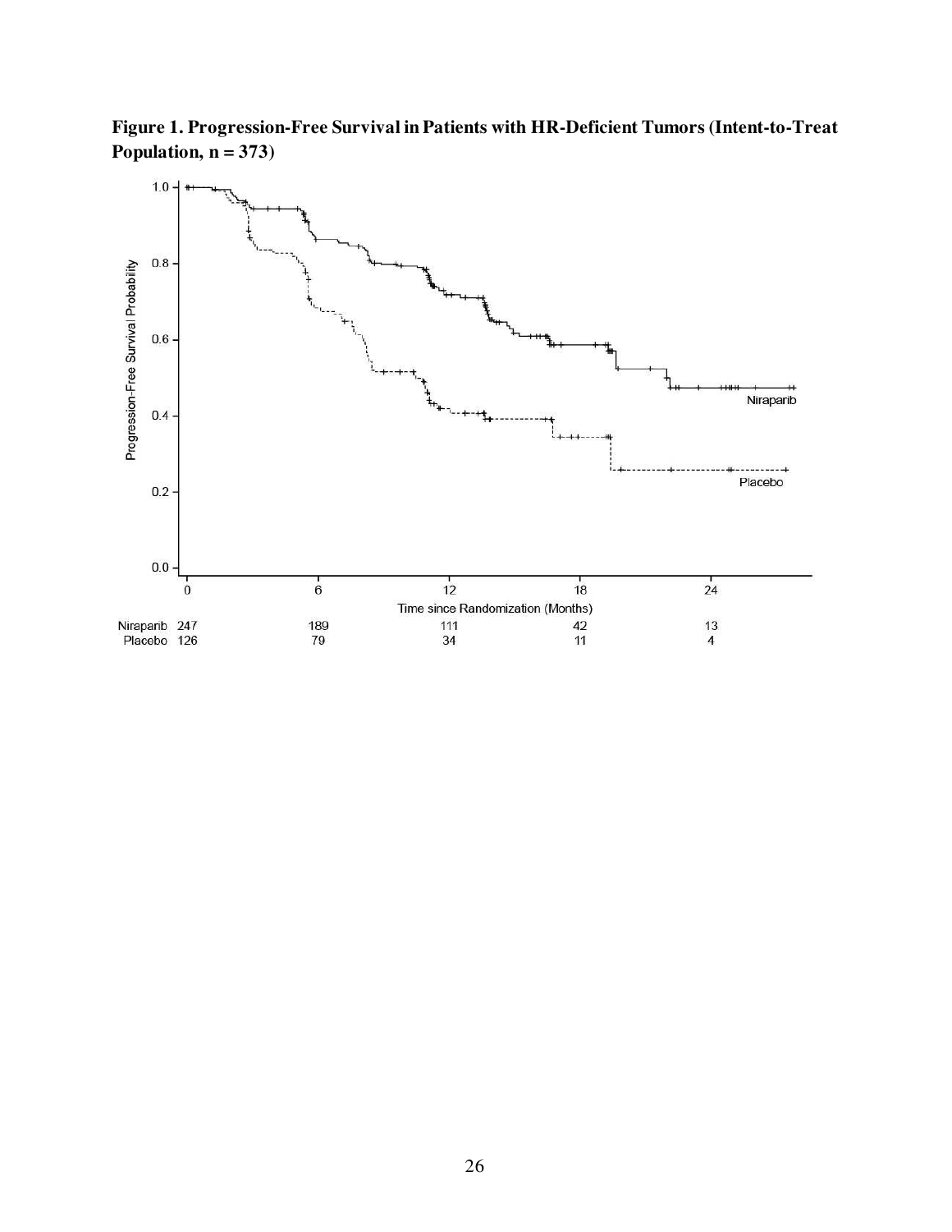**Figure 1. Progression-Free Survival in Patients with HR-Deficient Tumors (Intent-to-Treat Population, n = 373)**

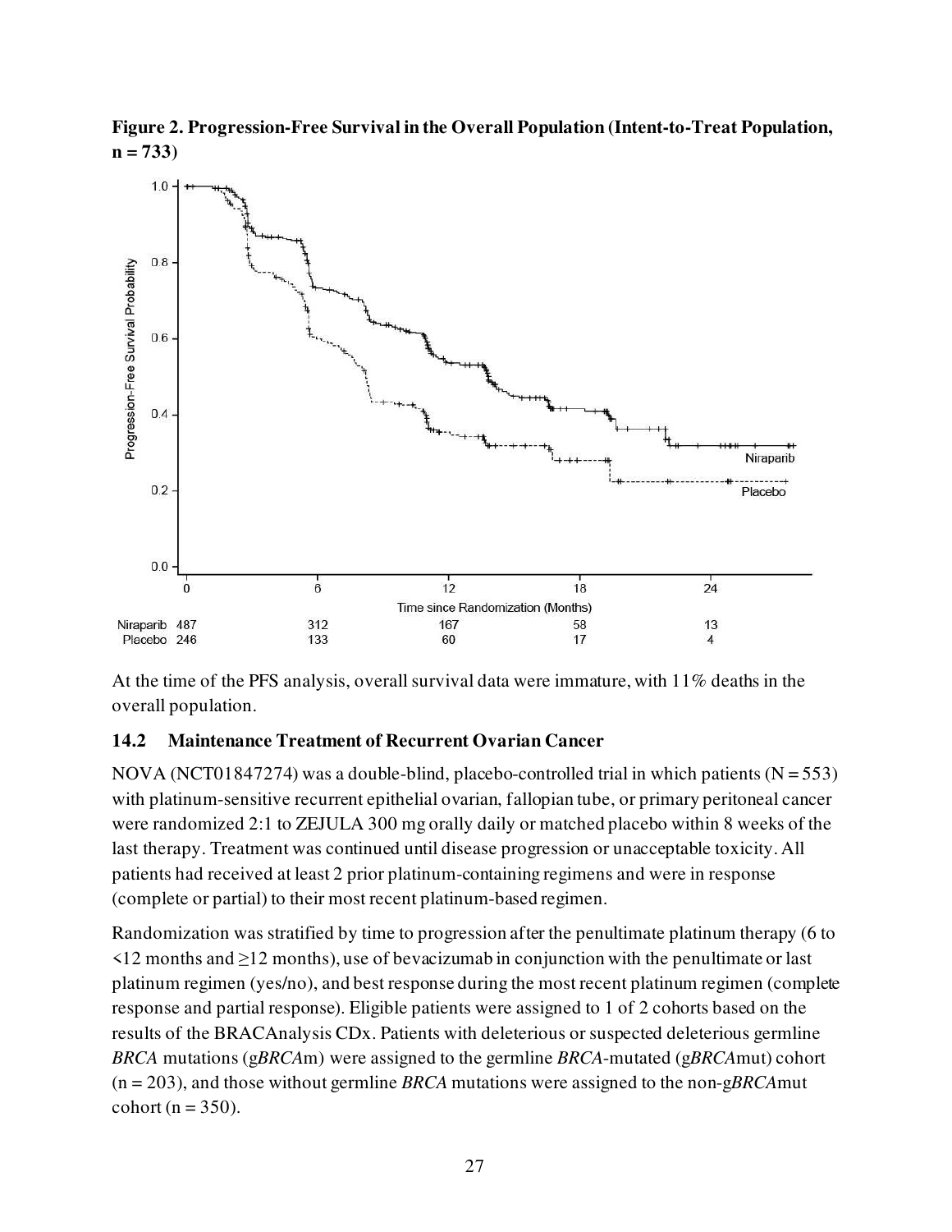**Figure 2. Progression-Free Survival in the Overall Population (Intent-to-Treat Population, n = 733)** 



At the time of the PFS analysis, overall survival data were immature, with 11% deaths in the overall population.

### <span id="page-26-0"></span>**14.2 Maintenance Treatment of Recurrent Ovarian Cancer**

NOVA (NCT01847274) was a double-blind, placebo-controlled trial in which patients ( $N = 553$ ) with platinum-sensitive recurrent epithelial ovarian, fallopian tube, or primary peritoneal cancer were randomized 2:1 to ZEJULA 300 mg orally daily or matched placebo within 8 weeks of the last therapy. Treatment was continued until disease progression or unacceptable toxicity. All patients had received at least 2 prior platinum-containing regimens and were in response (complete or partial) to their most recent platinum-based regimen.

Randomization was stratified by time to progression after the penultimate platinum therapy (6 to <12 months and ≥12 months), use of bevacizumab in conjunction with the penultimate or last platinum regimen (yes/no), and best response during the most recent platinum regimen (complete response and partial response). Eligible patients were assigned to 1 of 2 cohorts based on the results of the BRACAnalysis CDx. Patients with deleterious or suspected deleterious germline *BRCA* mutations (g*BRCA*m) were assigned to the germline *BRCA*-mutated (g*BRCA*mut) cohort (n = 203), and those without germline *BRCA* mutations were assigned to the non-g*BRCA*mut cohort ( $n = 350$ ).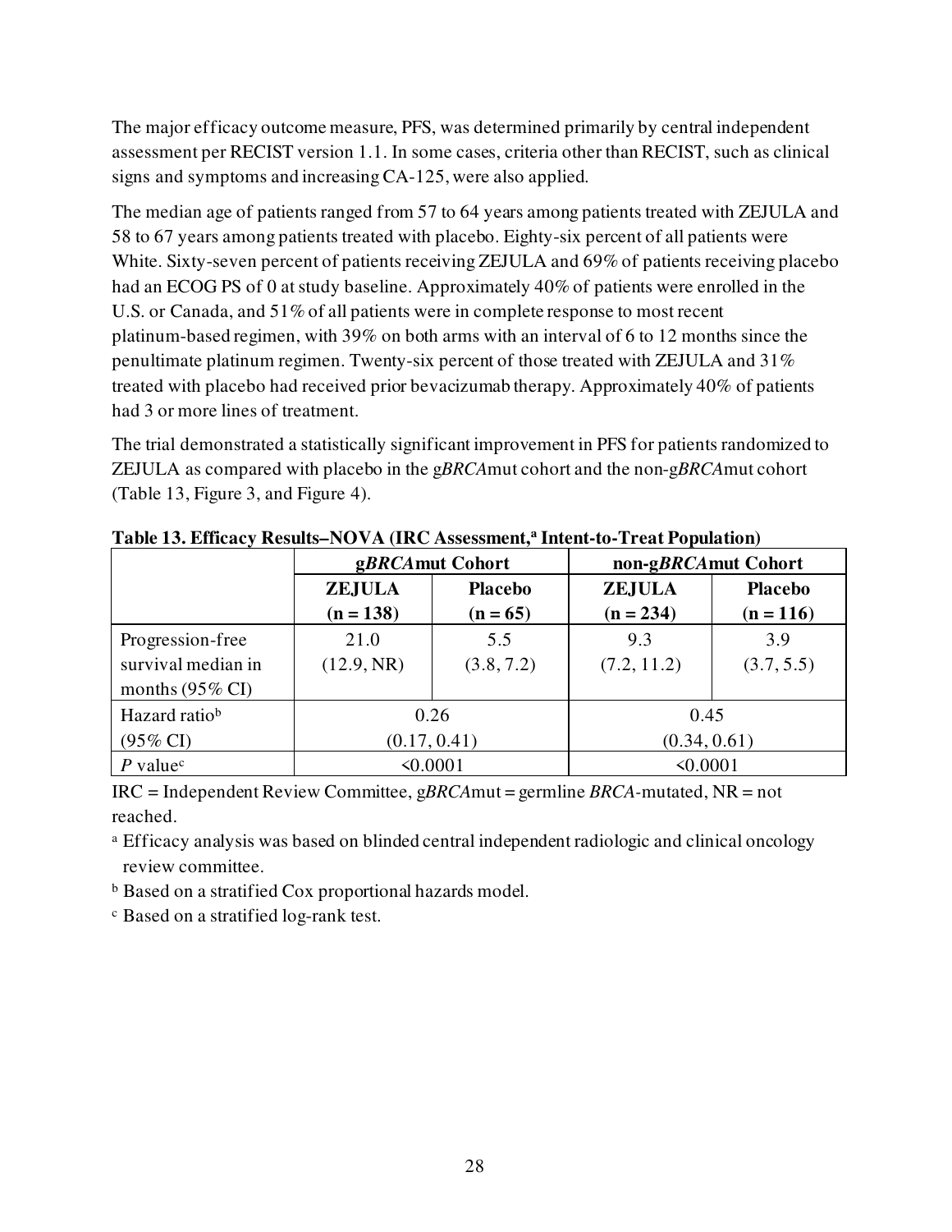The major efficacy outcome measure, PFS, was determined primarily by central independent assessment per RECIST version 1.1. In some cases, criteria other than RECIST, such as clinical signs and symptoms and increasing CA-125, were also applied.

The median age of patients ranged from 57 to 64 years among patients treated with ZEJULA and 58 to 67 years among patients treated with placebo. Eighty-six percent of all patients were White. Sixty-seven percent of patients receiving ZEJULA and 69% of patients receiving placebo had an ECOG PS of 0 at study baseline. Approximately 40% of patients were enrolled in the U.S. or Canada, and 51% of all patients were in complete response to most recent platinum-based regimen, with 39% on both arms with an interval of 6 to 12 months since the penultimate platinum regimen. Twenty-six percent of those treated with ZEJULA and 31% treated with placebo had received prior bevacizumab therapy. Approximately 40% of patients had 3 or more lines of treatment.

The trial demonstrated a statistically significant improvement in PFS for patients randomized to ZEJULA as compared with placebo in the g*BRCA*mut cohort and the non-g*BRCA*mut cohort (Table 13, Figure 3, and Figure 4).

|                            | gBRCAmut Cohort |                | non-gBRCAmut Cohort |                |
|----------------------------|-----------------|----------------|---------------------|----------------|
|                            | <b>ZEJULA</b>   | <b>Placebo</b> | <b>ZEJULA</b>       | <b>Placebo</b> |
|                            | $(n = 138)$     | $(n = 65)$     | $(n = 234)$         | $(n = 116)$    |
| Progression-free           | 21.0            | 5.5            | 9.3                 | 3.9            |
| survival median in         | (12.9, NR)      | (3.8, 7.2)     | (7.2, 11.2)         | (3.7, 5.5)     |
| months $(95\% \text{ CI})$ |                 |                |                     |                |
| Hazard ratiob              |                 | 0.26           | 0.45                |                |
| $(95\% \text{ CI})$        | (0.17, 0.41)    |                | (0.34, 0.61)        |                |
| $P$ value <sup>c</sup>     | $\leq 0.0001$   |                | $\leq 0.0001$       |                |

**Table 13. Efficacy Results–NOVA (IRC Assessment, a Intent-to-Treat Population)**

IRC = Independent Review Committee, g*BRCA*mut = germline *BRCA-*mutated, NR = not reached.

<sup>a</sup> Efficacy analysis was based on blinded central independent radiologic and clinical oncology review committee.

b Based on a stratified Cox proportional hazards model.

c Based on a stratified log-rank test.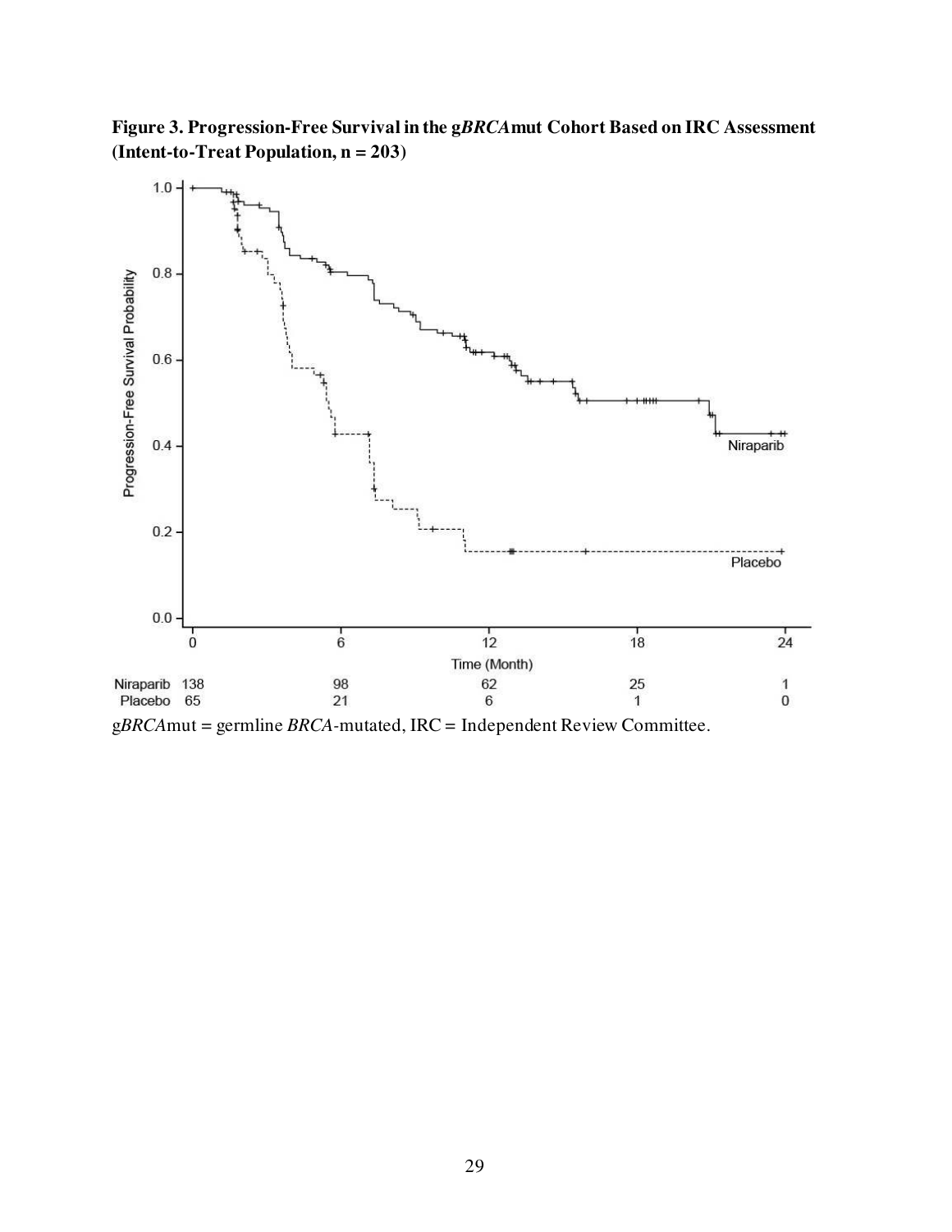**Figure 3. Progression-Free Survival in the g***BRCA***mut Cohort Based on IRC Assessment (Intent-to-Treat Population, n = 203)**



g*BRCA*mut = germline *BRCA-*mutated, IRC = Independent Review Committee.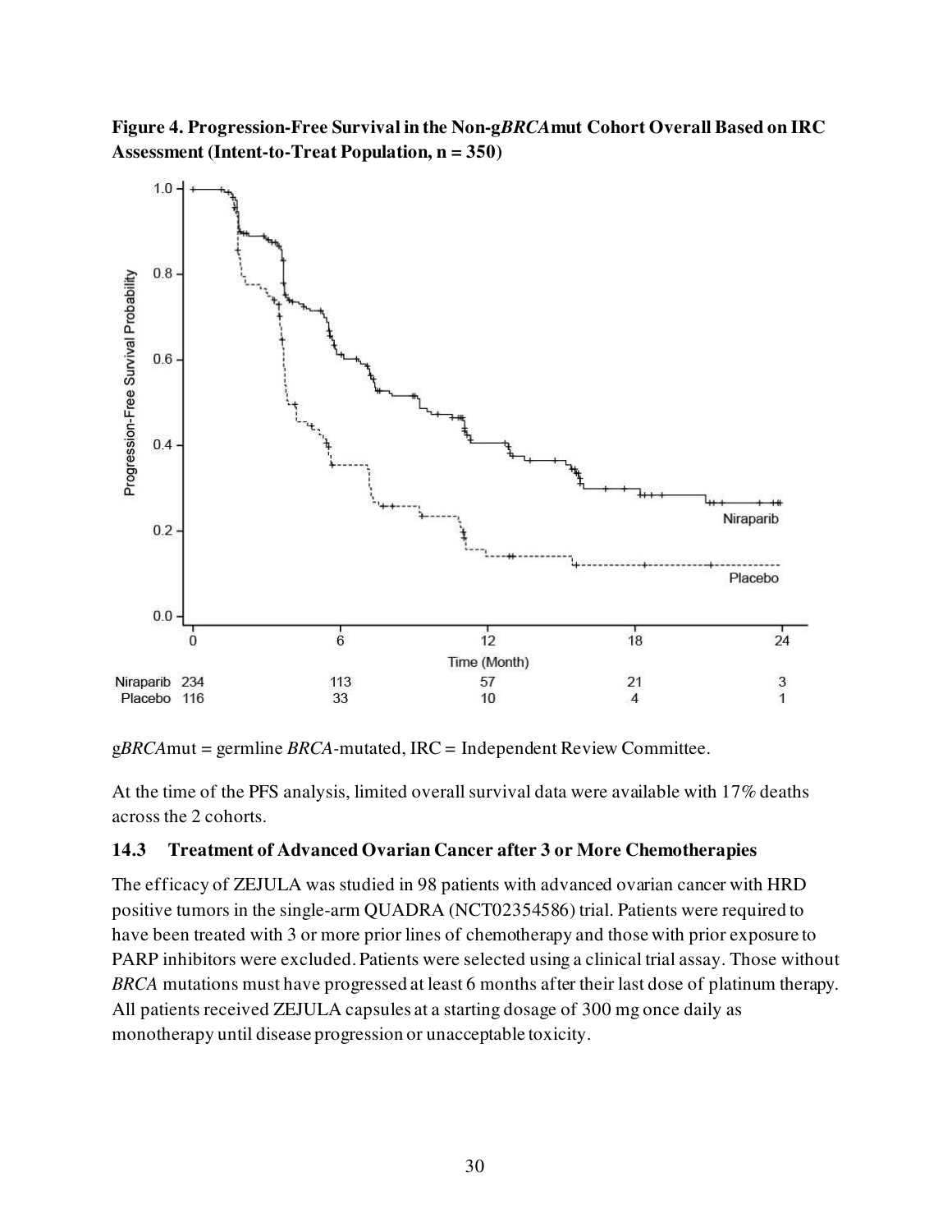**Figure 4. Progression-Free Survival in the Non-g***BRCA***mut Cohort Overall Based on IRC Assessment (Intent-to-Treat Population, n = 350)** 



g*BRCA*mut = germline *BRCA-*mutated, IRC = Independent Review Committee.

At the time of the PFS analysis, limited overall survival data were available with 17% deaths across the 2 cohorts.

### <span id="page-29-0"></span>**14.3 Treatment of Advanced Ovarian Cancer after 3 or More Chemotherapies**

The efficacy of ZEJULA was studied in 98 patients with advanced ovarian cancer with HRD positive tumors in the single-arm QUADRA (NCT02354586) trial. Patients were required to have been treated with 3 or more prior lines of chemotherapy and those with prior exposure to PARP inhibitors were excluded. Patients were selected using a clinical trial assay. Those without *BRCA* mutations must have progressed at least 6 months after their last dose of platinum therapy. All patients received ZEJULA capsules at a starting dosage of 300 mg once daily as monotherapy until disease progression or unacceptable toxicity.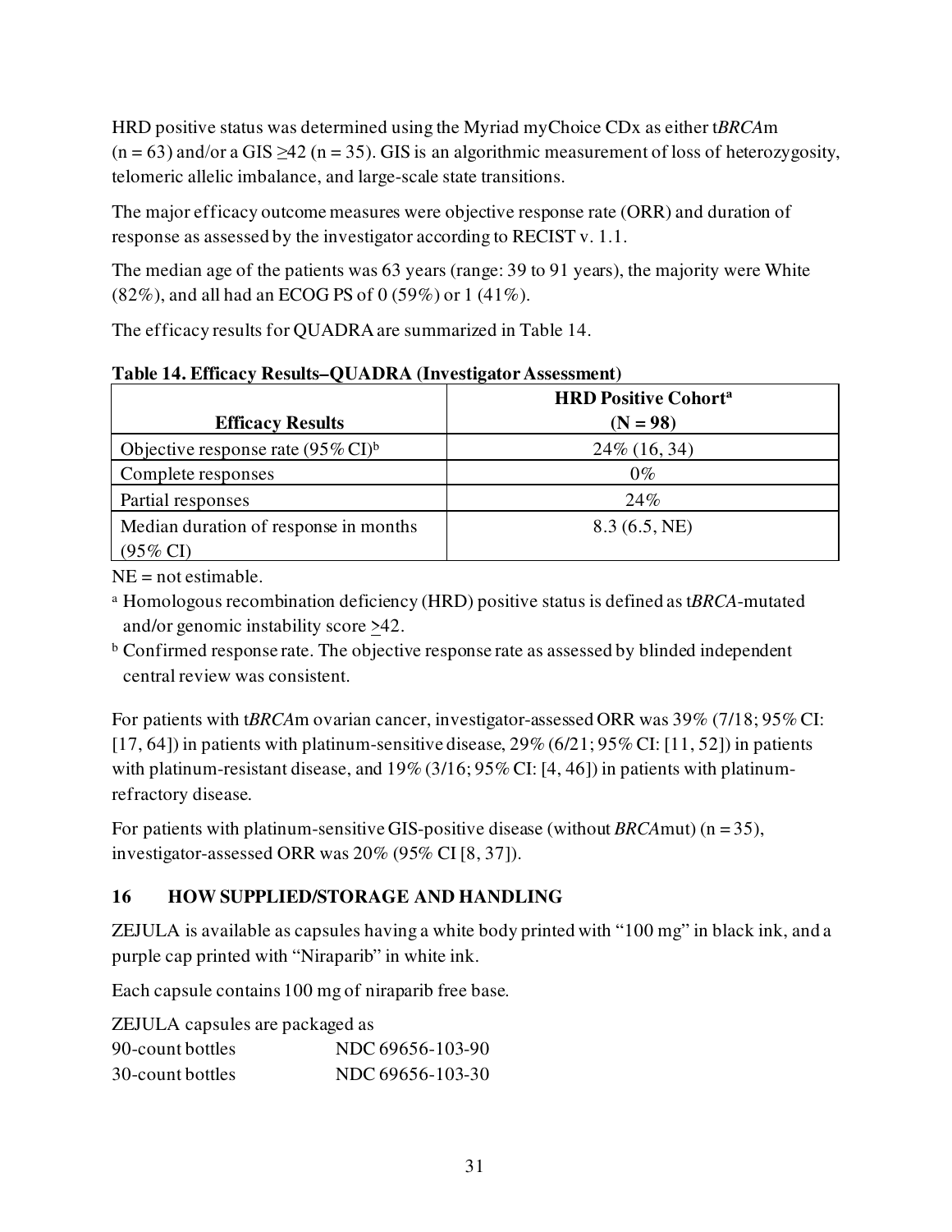HRD positive status was determined using the Myriad myChoice CDx as either t*BRCA*m  $(n = 63)$  and/or a GIS  $\geq$ 42 (n = 35). GIS is an algorithmic measurement of loss of heterozygosity, telomeric allelic imbalance, and large-scale state transitions.

The major efficacy outcome measures were objective response rate (ORR) and duration of response as assessed by the investigator according to RECIST v. 1.1.

The median age of the patients was 63 years (range: 39 to 91 years), the majority were White (82%), and all had an ECOG PS of 0 (59%) or 1 (41%).

The efficacy results for QUADRA are summarized in Table 14.

|                                               | <b>HRD Positive Cohorta</b> |  |
|-----------------------------------------------|-----------------------------|--|
| <b>Efficacy Results</b>                       | $(N = 98)$                  |  |
| Objective response rate $(95\% \text{ CI})^6$ | 24\% (16, 34)               |  |
| Complete responses                            | $0\%$                       |  |
| Partial responses                             | 24%                         |  |
| Median duration of response in months         | 8.3(6.5, NE)                |  |
| $(95\% \text{ CI})$                           |                             |  |

**Table 14. Efficacy Results–QUADRA (Investigator Assessment)**

 $NE = not$  estimable.

a Homologous recombination deficiency (HRD) positive status is defined as t*BRCA*-mutated and/or genomic instability score >42.

<sup>b</sup> Confirmed response rate. The objective response rate as assessed by blinded independent central review was consistent.

For patients with t*BRCA*m ovarian cancer, investigator-assessed ORR was 39% (7/18; 95% CI: [17, 64]) in patients with platinum-sensitive disease, 29% (6/21; 95% CI: [11, 52]) in patients with platinum-resistant disease, and  $19\%$  (3/16; 95% CI: [4, 46]) in patients with platinumrefractory disease.

For patients with platinum-sensitive GIS-positive disease (without *BRCA*mut) (n = 35), investigator-assessed ORR was 20% (95% CI [8, 37]).

# <span id="page-30-0"></span>**16 HOW SUPPLIED/STORAGE AND HANDLING**

ZEJULA is available as capsules having a white body printed with "100 mg" in black ink, and a purple cap printed with "Niraparib" in white ink.

Each capsule contains 100 mg of niraparib free base.

| <b>ZEJULA</b> capsules are packaged as |                  |
|----------------------------------------|------------------|
| 90-count bottles                       | NDC 69656-103-90 |
| 30-count bottles                       | NDC 69656-103-30 |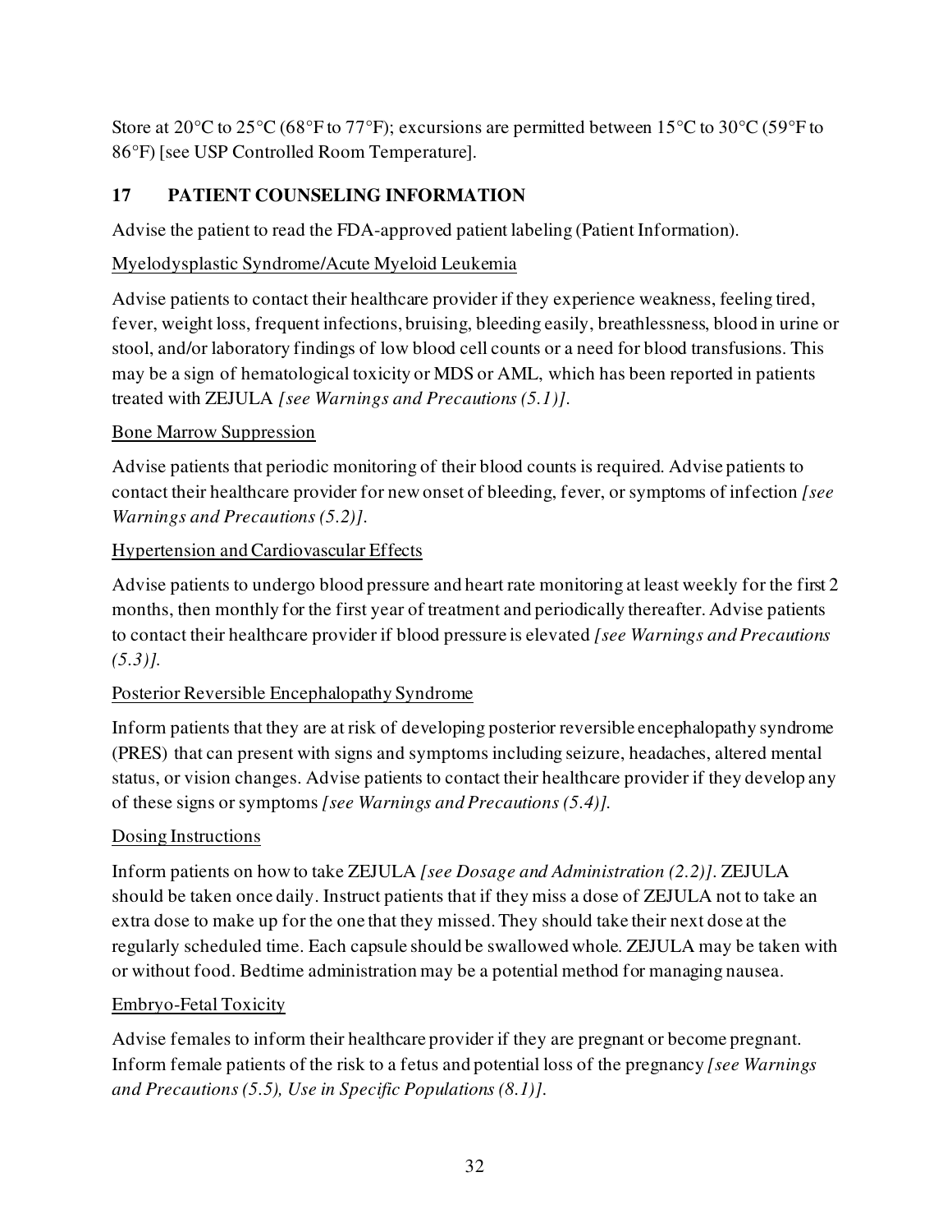Store at 20°C to 25°C (68°F to 77°F); excursions are permitted between 15°C to 30°C (59°F to 86°F) [see USP Controlled Room Temperature].

# <span id="page-31-0"></span>**17 PATIENT COUNSELING INFORMATION**

Advise the patient to read the FDA-approved patient labeling (Patient Information).

# Myelodysplastic Syndrome/Acute Myeloid Leukemia

Advise patients to contact their healthcare provider if they experience weakness, feeling tired, fever, weight loss, frequent infections, bruising, bleeding easily, breathlessness, blood in urine or stool, and/or laboratory findings of low blood cell counts or a need for blood transfusions. This may be a sign of hematological toxicity or MDS or AML, which has been reported in patients treated with ZEJULA *[see Warnings and Precautions (5.1)]*.

# Bone Marrow Suppression

Advise patients that periodic monitoring of their blood counts is required. Advise patients to contact their healthcare provider for new onset of bleeding, fever, or symptoms of infection *[see Warnings and Precautions (5.2)]*.

# Hypertension and Cardiovascular Effects

Advise patients to undergo blood pressure and heart rate monitoring at least weekly for the first 2 months, then monthly for the first year of treatment and periodically thereafter. Advise patients to contact their healthcare provider if blood pressure is elevated *[see Warnings and Precautions (5.3)].*

# Posterior Reversible Encephalopathy Syndrome

Inform patients that they are at risk of developing posterior reversible encephalopathy syndrome (PRES) that can present with signs and symptoms including seizure, headaches, altered mental status, or vision changes. Advise patients to contact their healthcare provider if they develop any of these signs or symptoms *[see [Warnings](https://dailymed.nlm.nih.gov/dailymed/drugInfo.cfm?setid=1e56c550-1c2b-4177-8e49-26303e9e335f&audience=consumer#i4i_warnings_precautions_id_f394c7fc-4f30-417a-9dbd-623b45eb7b87) and Precautions [\(5.](https://dailymed.nlm.nih.gov/dailymed/drugInfo.cfm?setid=1e56c550-1c2b-4177-8e49-26303e9e335f&audience=consumer#i4i_section_id_30c689c5-c4ac-4245-b169-23d784fda7f3)4)].* 

### Dosing Instructions

Inform patients on how to take ZEJULA *[see Dosage and Administration (2.2)]*. ZEJULA should be taken once daily. Instruct patients that if they miss a dose of ZEJULA not to take an extra dose to make up for the one that they missed. They should take their next dose at the regularly scheduled time. Each capsule should be swallowed whole. ZEJULA may be taken with or without food. Bedtime administration may be a potential method for managing nausea.

# Embryo-Fetal Toxicity

Advise females to inform their healthcare provider if they are pregnant or become pregnant. Inform female patients of the risk to a fetus and potential loss of the pregnancy *[see Warnings and Precautions (5.5), Use in Specific Populations (8.1)]*.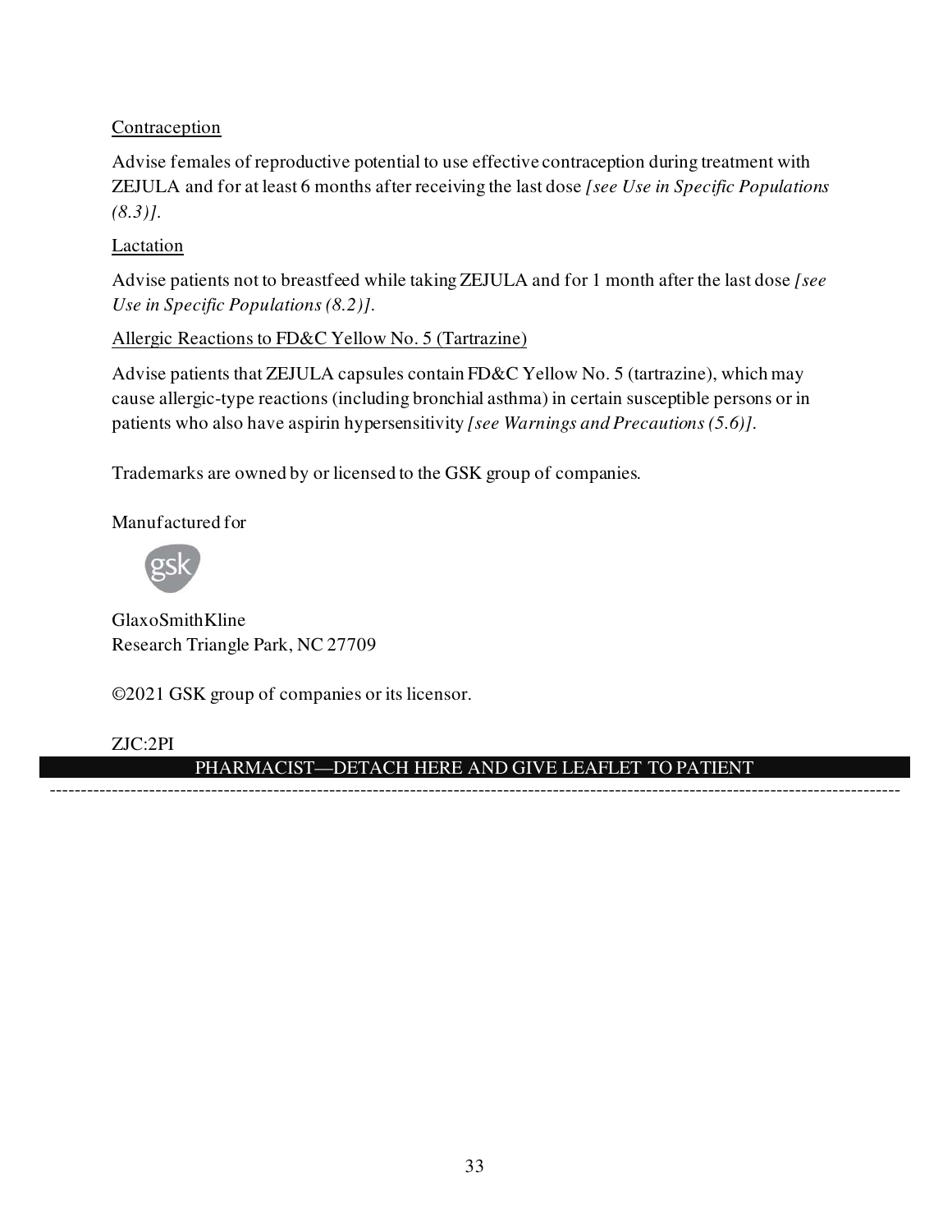## Contraception

Advise females of reproductive potential to use effective contraception during treatment with ZEJULA and for at least 6 months after receiving the last dose *[see Use in Specific Populations (8.3)]*.

## Lactation

Advise patients not to breastfeed while taking ZEJULA and for 1 month after the last dose *[see Use in Specific Populations (8.2)]*.

## Allergic Reactions to FD&C Yellow No. 5 (Tartrazine)

Advise patients that ZEJULA capsules contain FD&C Yellow No. 5 (tartrazine), which may cause allergic-type reactions (including bronchial asthma) in certain susceptible persons or in patients who also have aspirin hypersensitivity *[see Warnings and Precautions (5.6)]*.

Trademarks are owned by or licensed to the GSK group of companies.

Manufactured for



GlaxoSmithKline Research Triangle Park, NC 27709

©2021 GSK group of companies or its licensor.

# ZJC:2PI

### PHARMACIST—DETACH HERE AND GIVE LEAFLET TO PATIENT -----------------------------------------------------------------------------------------------------------------------------------------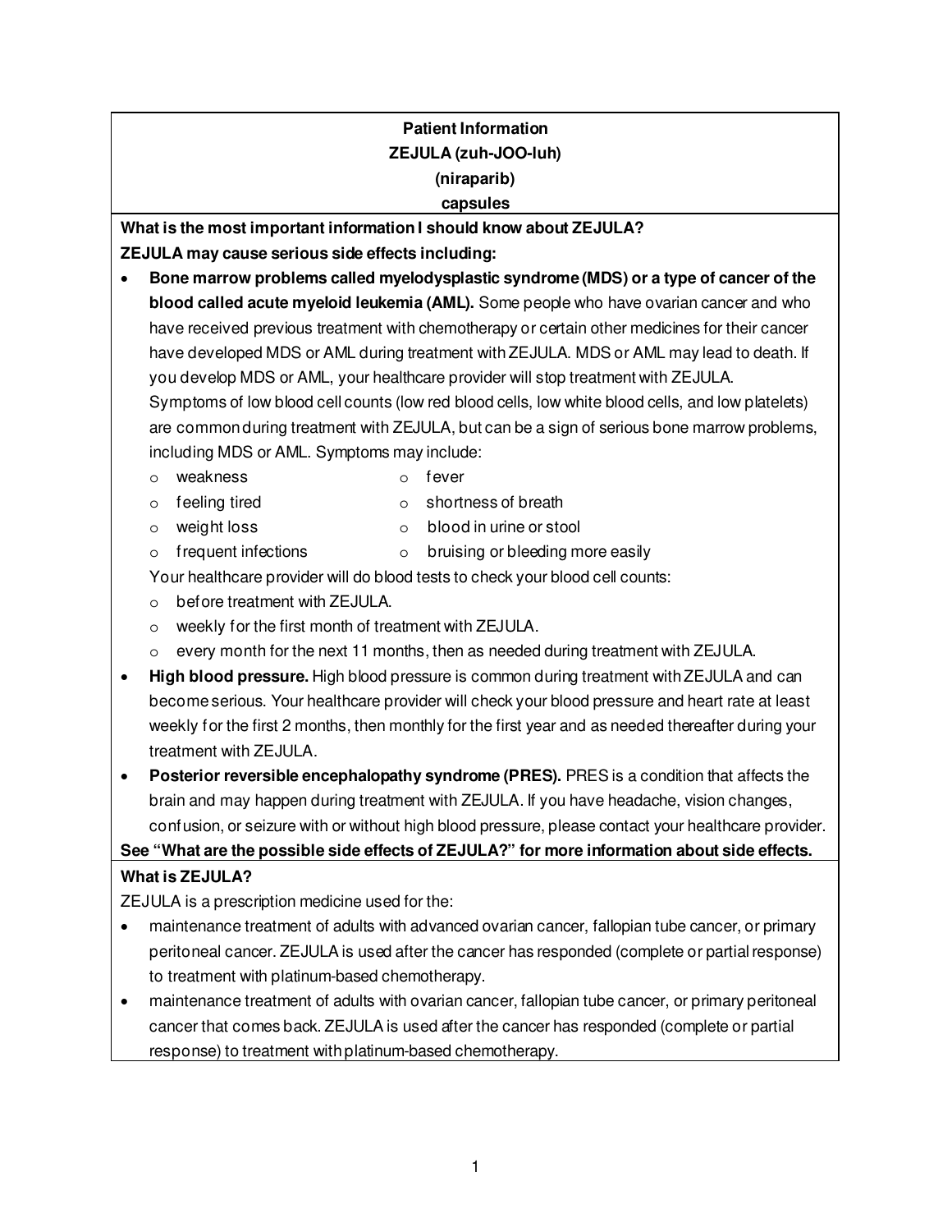# **Patient Information ZEJULA (zuh-JOO-luh) (niraparib) capsules**

**What is the most important information I should know about ZEJULA? ZEJULA may cause serious side effects including:**

- **Bone marrow problems called myelodysplastic syndrome (MDS) or a type of cancer of the blood called acute myeloid leukemia (AML).** Some people who have ovarian cancer and who have received previous treatment with chemotherapy or certain other medicines for their cancer have developed MDS or AML during treatment with ZEJULA. MDS or AML may lead to death. If you develop MDS or AML, your healthcare provider will stop treatment with ZEJULA. Symptoms of low blood cell counts (low red blood cells, low white blood cells, and low platelets) are common during treatment with ZEJULA, but can be a sign of serious bone marrow problems, including MDS or AML. Symptoms may include:
	- o weakness o fever
	- o feeling tired o shortness of breath
	-
	- o weight loss o blood in urine or stool
	-

 $\circ$  frequent infections  $\circ$  bruising or bleeding more easily

Your healthcare provider will do blood tests to check your blood cell counts:

- o before treatment with ZEJULA.
- o weekly for the first month of treatment with ZEJULA.
- $\circ$  every month for the next 11 months, then as needed during treatment with ZEJULA.
- **High blood pressure.** High blood pressure is common during treatment with ZEJULA and can become serious. Your healthcare provider will check your blood pressure and heart rate at least weekly for the first 2 months, then monthly for the first year and as needed thereafter during your treatment with ZEJULA.
- **Posterior reversible encephalopathy syndrome (PRES).** PRES is a condition that affects the brain and may happen during treatment with ZEJULA. If you have headache, vision changes, confusion, or seizure with or without high blood pressure, please contact your healthcare provider.

# **See "What are the possible side effects of ZEJULA?" for more information about side effects.**

# **What is ZEJULA?**

ZEJULA is a prescription medicine used for the:

- maintenance treatment of adults with advanced ovarian cancer, fallopian tube cancer, or primary peritoneal cancer. ZEJULA is used after the cancer has responded (complete or partial response) to treatment with platinum-based chemotherapy.
- maintenance treatment of adults with ovarian cancer, fallopian tube cancer, or primary peritoneal cancer that comes back. ZEJULA is used after the cancer has responded (complete or partial response) to treatment with platinum-based chemotherapy.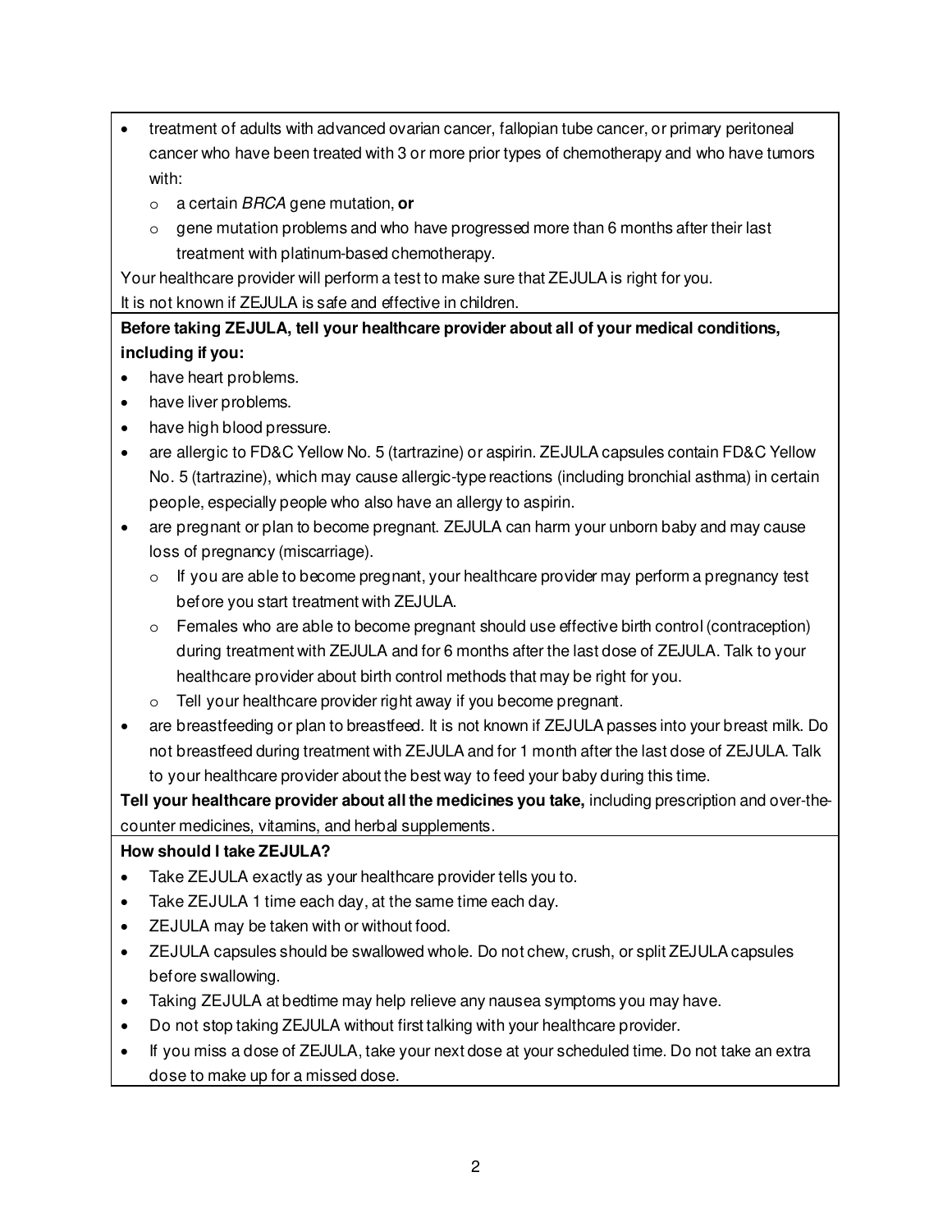- treatment of adults with advanced ovarian cancer, fallopian tube cancer, or primary peritoneal cancer who have been treated with 3 or more prior types of chemotherapy and who have tumors with:
	- o a certain BRCA gene mutation, **or**
	- $\circ$  gene mutation problems and who have progressed more than 6 months after their last treatment with platinum-based chemotherapy.

Your healthcare provider will perform a test to make sure that ZEJULA is right for you.

It is not known if ZEJULA is safe and effective in children.

**Before taking ZEJULA, tell your healthcare provider about all of your medical conditions, including if you:**

- have heart problems.
- have liver problems.
- have high blood pressure.
- are allergic to FD&C Yellow No. 5 (tartrazine) or aspirin. ZEJULA capsules contain FD&C Yellow No. 5 (tartrazine), which may cause allergic-type reactions (including bronchial asthma) in certain people, especially people who also have an allergy to aspirin.
- are pregnant or plan to become pregnant. ZEJULA can harm your unborn baby and may cause loss of pregnancy (miscarriage).
	- $\circ$  If you are able to become pregnant, your healthcare provider may perform a pregnancy test before you start treatment with ZEJULA.
	- $\circ$  Females who are able to become pregnant should use effective birth control (contraception) during treatment with ZEJULA and for 6 months after the last dose of ZEJULA. Talk to your healthcare provider about birth control methods that may be right for you.
	- o Tell your healthcare provider right away if you become pregnant.
- are breastfeeding or plan to breastfeed. It is not known if ZEJULA passes into your breast milk. Do not breastfeed during treatment with ZEJULA and for 1 month after the last dose of ZEJULA. Talk to your healthcare provider about the best way to feed your baby during this time.

**Tell your healthcare provider about all the medicines you take,** including prescription and over-thecounter medicines, vitamins, and herbal supplements.

### **How should I take ZEJULA?**

- Take ZEJULA exactly as your healthcare provider tells you to.
- Take ZEJULA 1 time each day, at the same time each day.
- ZEJULA may be taken with or without food.
- ZEJULA capsules should be swallowed whole. Do not chew, crush, or split ZEJULA capsules before swallowing.
- Taking ZEJULA at bedtime may help relieve any nausea symptoms you may have.
- Do not stop taking ZEJULA without first talking with your healthcare provider.
- If you miss a dose of ZEJULA, take your next dose at your scheduled time. Do not take an extra dose to make up for a missed dose.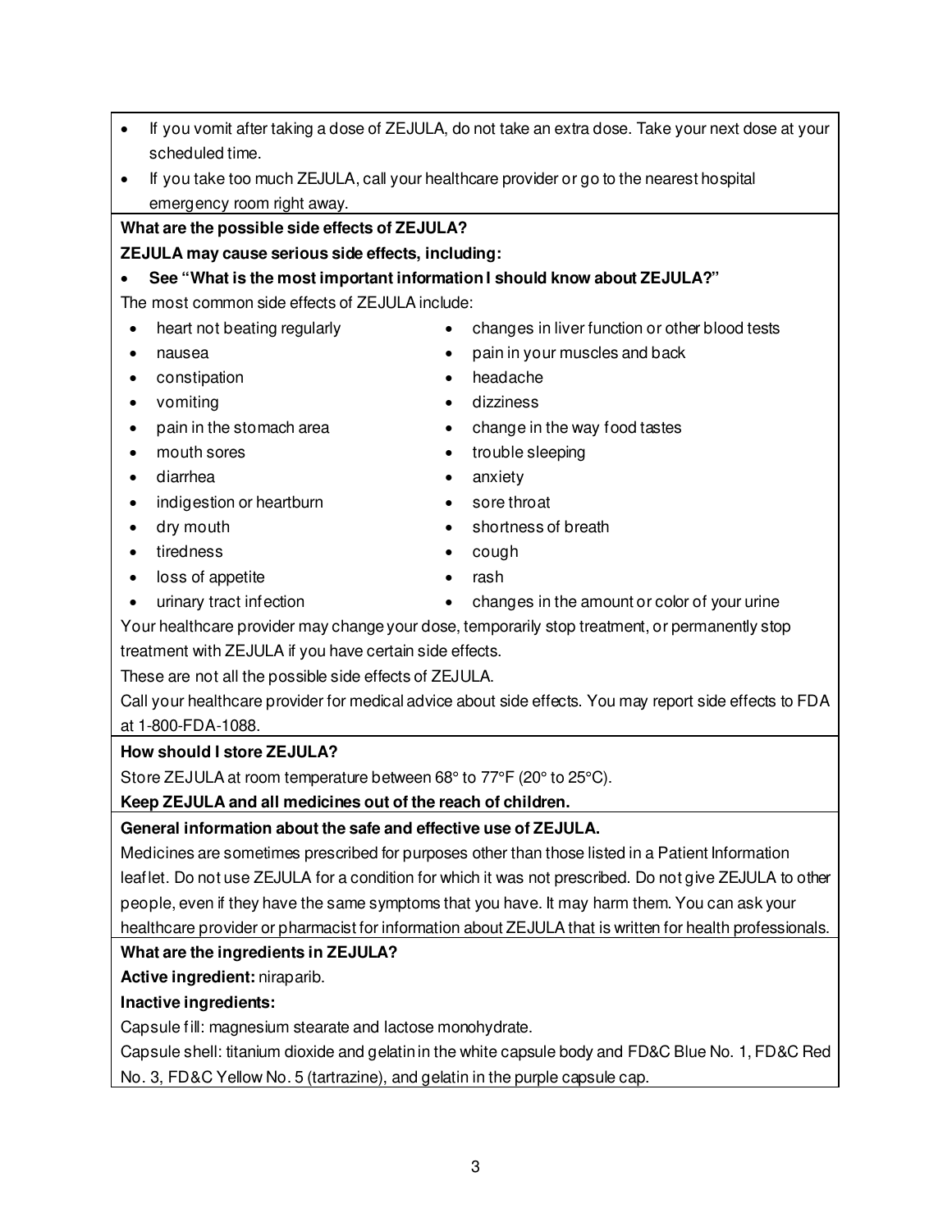| Your healthcare provider may change your dose, temporarily stop treatment, or permanently stop           |
|----------------------------------------------------------------------------------------------------------|
| treatment with ZEJULA if you have certain side effects.                                                  |
| These are not all the possible side effects of ZEJULA.                                                   |
| Call your healthcare provider for medical advice about side effects. You may report side effects to FDA  |
| at 1-800-FDA-1088.                                                                                       |
| How should I store ZEJULA?                                                                               |
| Store ZEJULA at room temperature between 68° to 77°F (20° to 25°C).                                      |
| Keep ZEJULA and all medicines out of the reach of children.                                              |
| General information about the safe and effective use of ZEJULA.                                          |
| Medicines are sometimes prescribed for purposes other than those listed in a Patient Information         |
| leaflet. Do not use ZEJULA for a condition for which it was not prescribed. Do not give ZEJULA to other  |
| people, even if they have the same symptoms that you have. It may harm them. You can ask your            |
| healthcare provider or pharmacist for information about ZEJULA that is written for health professionals. |
| What are the ingredients in ZEJULA?                                                                      |
| Active ingredient: niraparib.                                                                            |
| Inactive ingredients:                                                                                    |
| Capsule fill: magnesium stearate and lactose monohydrate.                                                |
| Capsule shell: titanium dioxide and gelatin in the white capsule body and FD&C Blue No. 1, FD&C Red      |
| No. 3, FD&C Yellow No. 5 (tartrazine), and gelatin in the purple capsule cap.                            |
|                                                                                                          |
|                                                                                                          |
| З                                                                                                        |
|                                                                                                          |

Your healthcare provider may change your dose, temporarily stop treatment, or permanently stop treatment with ZEJULA if you

**What are the possible side effects of ZEJULA? ZEJULA may cause serious side effects, including:** 

The most common side effects of ZEJULA include:

## **How should I store ZEJULA?**

# **General information about**

# **What are the ingredients in**

# **Inactive ingredients:**

# • heart not beating regularly • changes in liver function or other blood tests

- nausea pain in your muscles and back
- constipation headache
- vomiting dizziness
- pain in the stomach area change in the way food tastes
- mouth sores trouble sleeping
- diarrhea anxiety
- indigestion or heartburn sore throat
- dry mouth shortness of breath
- tiredness cough
	-
- loss of appetite rash
- urinary tract infection changes in the amount or color of your urine
- If you vomit after taking a dose of ZEJULA, do not take an extra dose. Take your next dose at your scheduled time.
- If you take too much ZEJULA, call your healthcare provider or go to the nearest hospital

emergency room right away.

• **See "What is the most important information I should know about ZEJULA?"**